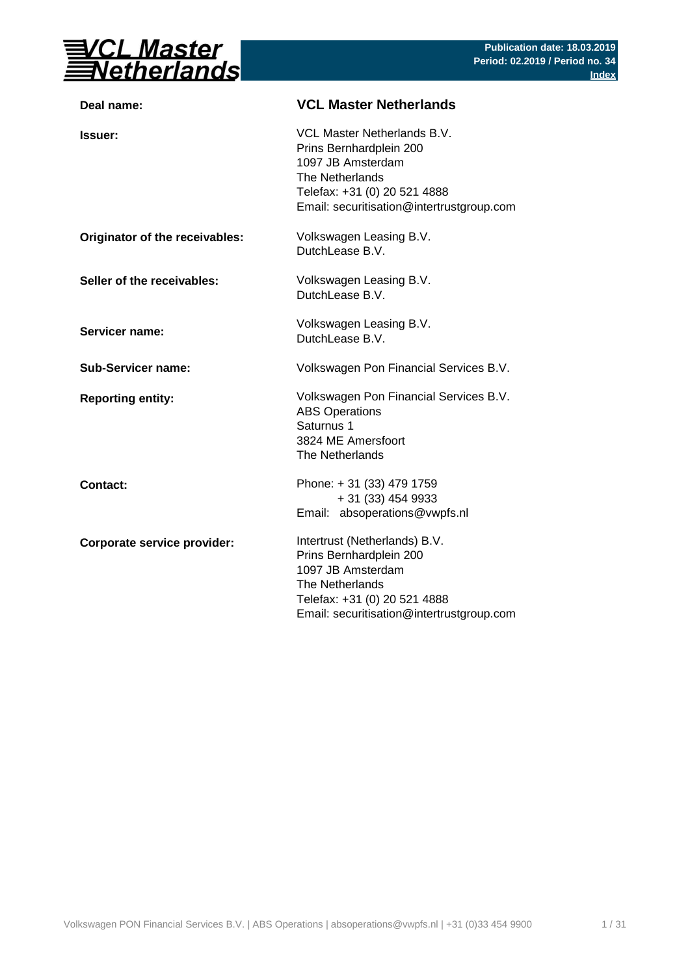

| Deal name:                     | <b>VCL Master Netherlands</b>                                                                                                                                                 |
|--------------------------------|-------------------------------------------------------------------------------------------------------------------------------------------------------------------------------|
| <b>Issuer:</b>                 | VCL Master Netherlands B.V.<br>Prins Bernhardplein 200<br>1097 JB Amsterdam<br>The Netherlands<br>Telefax: +31 (0) 20 521 4888<br>Email: securitisation@intertrustgroup.com   |
| Originator of the receivables: | Volkswagen Leasing B.V.<br>DutchLease B.V.                                                                                                                                    |
| Seller of the receivables:     | Volkswagen Leasing B.V.<br>DutchLease B.V.                                                                                                                                    |
| <b>Servicer name:</b>          | Volkswagen Leasing B.V.<br>DutchLease B.V.                                                                                                                                    |
| <b>Sub-Servicer name:</b>      | Volkswagen Pon Financial Services B.V.                                                                                                                                        |
| <b>Reporting entity:</b>       | Volkswagen Pon Financial Services B.V.<br><b>ABS Operations</b><br>Saturnus 1<br>3824 ME Amersfoort<br>The Netherlands                                                        |
| <b>Contact:</b>                | Phone: +31 (33) 479 1759<br>+ 31 (33) 454 9933<br>Email: absoperations@vwpfs.nl                                                                                               |
| Corporate service provider:    | Intertrust (Netherlands) B.V.<br>Prins Bernhardplein 200<br>1097 JB Amsterdam<br>The Netherlands<br>Telefax: +31 (0) 20 521 4888<br>Email: securitisation@intertrustgroup.com |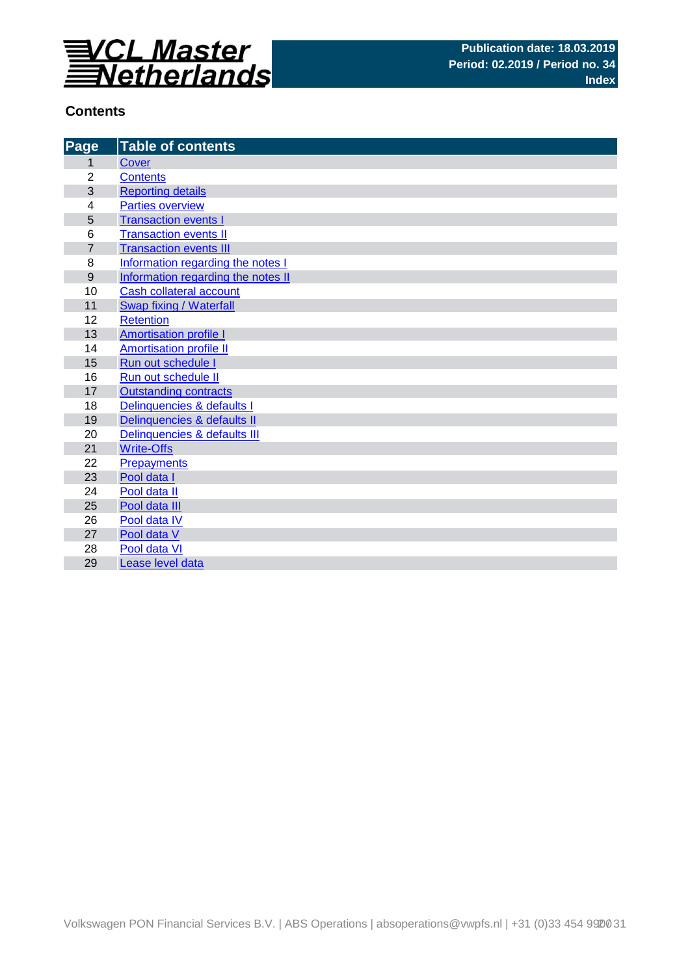

## **Contents**

| Page           | <b>Table of contents</b>           |
|----------------|------------------------------------|
| 1              | <b>Cover</b>                       |
| $\overline{2}$ | <b>Contents</b>                    |
| 3              | <b>Reporting details</b>           |
| 4              | <b>Parties overview</b>            |
| 5              | <b>Transaction events I</b>        |
| 6              | <b>Transaction events II</b>       |
| $\overline{7}$ | <b>Transaction events III</b>      |
| 8              | Information regarding the notes I  |
| 9              | Information regarding the notes II |
| 10             | Cash collateral account            |
| 11             | Swap fixing / Waterfall            |
| 12             | <b>Retention</b>                   |
| 13             | <b>Amortisation profile I</b>      |
| 14             | <b>Amortisation profile II</b>     |
| 15             | Run out schedule I                 |
| 16             | Run out schedule II                |
| 17             | <b>Outstanding contracts</b>       |
| 18             | Delinquencies & defaults I         |
| 19             | Delinquencies & defaults II        |
| 20             | Delinquencies & defaults III       |
| 21             | <b>Write-Offs</b>                  |
| 22             | <b>Prepayments</b>                 |
| 23             | Pool data I                        |
| 24             | Pool data II                       |
| 25             | Pool data III                      |
| 26             | Pool data IV                       |
| 27<br>28       | Pool data V<br>Pool data VI        |
|                |                                    |
| 29             | Lease level data                   |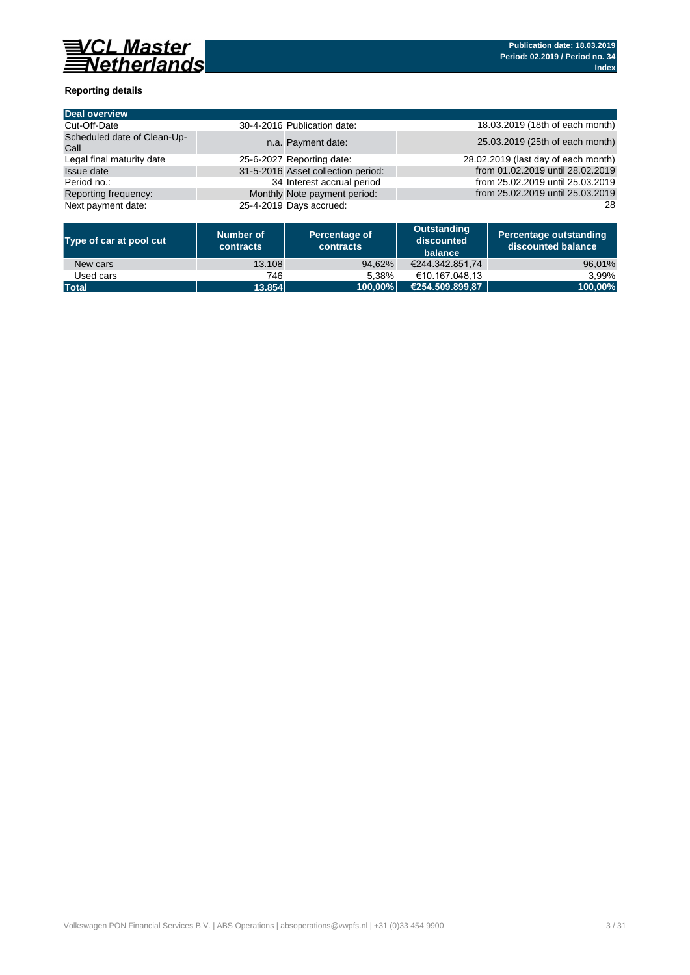

### **Reporting details**

| <b>Deal overview</b>                |                                    |                                     |
|-------------------------------------|------------------------------------|-------------------------------------|
| Cut-Off-Date                        | 30-4-2016 Publication date:        | 18.03.2019 (18th of each month)     |
| Scheduled date of Clean-Up-<br>Call | n.a. Payment date:                 | 25.03.2019 (25th of each month)     |
| Legal final maturity date           | 25-6-2027 Reporting date:          | 28.02.2019 (last day of each month) |
| Issue date                          | 31-5-2016 Asset collection period: | from 01.02.2019 until 28.02.2019    |
| Period no.:                         | 34 Interest accrual period         | from 25.02.2019 until 25.03.2019    |
| Reporting frequency:                | Monthly Note payment period:       | from 25.02.2019 until 25.03.2019    |
| Next payment date:                  | 25-4-2019 Days accrued:            | 28                                  |

| Type of car at pool cut | Number of<br>contracts | Percentage of<br><b>contracts</b> | Outstanding<br>discounted<br>balance | Percentage outstanding<br>discounted balance |
|-------------------------|------------------------|-----------------------------------|--------------------------------------|----------------------------------------------|
| New cars                | 13.108                 | 94.62%                            | €244.342.851.74                      | 96,01%                                       |
| Used cars               | 746                    | 5.38%                             | €10.167.048.13                       | 3.99%                                        |
| <b>Total</b>            | 13.854                 | 100.00%                           | (€254.509.899.87                     | 100,00%                                      |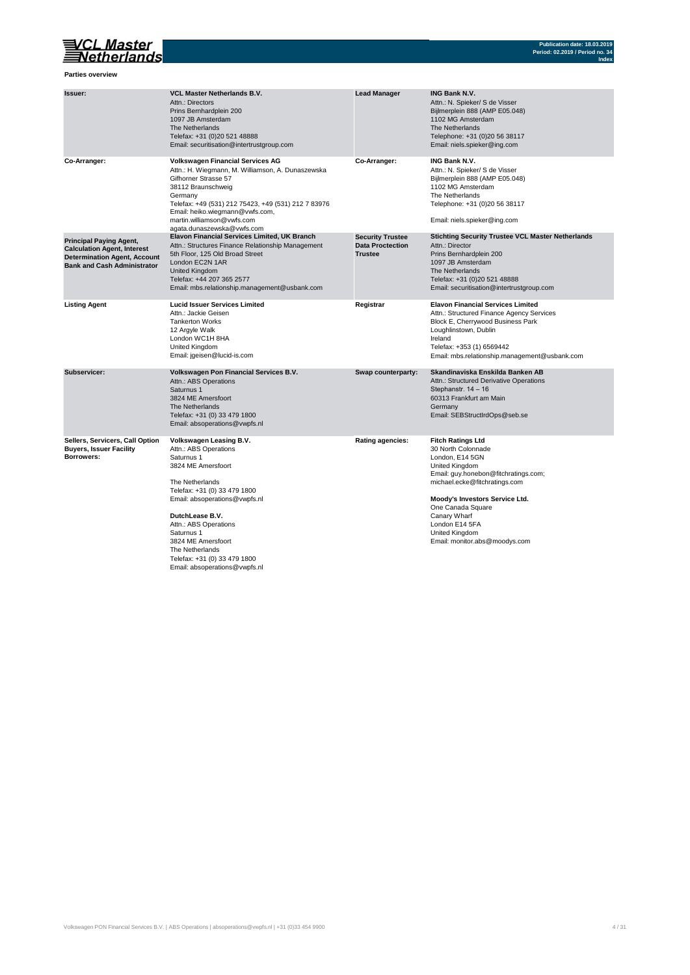

**Parties overview**

| Issuer:                                                                                                                                           | <b>VCL Master Netherlands B.V.</b><br>Attn.: Directors<br>Prins Bernhardplein 200<br>1097 JB Amsterdam<br>The Netherlands<br>Telefax: +31 (0)20 521 48888<br>Email: securitisation@intertrustgroup.com                                                                                                                                       | <b>Lead Manager</b>                                                  | <b>ING Bank N.V.</b><br>Attn.: N. Spieker/ S de Visser<br>Bijlmerplein 888 (AMP E05.048)<br>1102 MG Amsterdam<br>The Netherlands<br>Telephone: +31 (0)20 56 38117<br>Email: niels.spieker@ing.com                                                                                                               |
|---------------------------------------------------------------------------------------------------------------------------------------------------|----------------------------------------------------------------------------------------------------------------------------------------------------------------------------------------------------------------------------------------------------------------------------------------------------------------------------------------------|----------------------------------------------------------------------|-----------------------------------------------------------------------------------------------------------------------------------------------------------------------------------------------------------------------------------------------------------------------------------------------------------------|
| Co-Arranger:                                                                                                                                      | <b>Volkswagen Financial Services AG</b><br>Attn.: H. Wiegmann, M. Williamson, A. Dunaszewska<br>Gifhorner Strasse 57<br>38112 Braunschweig<br>Germany<br>Telefax: +49 (531) 212 75423, +49 (531) 212 7 83976<br>Email: heiko.wiegmann@vwfs.com,<br>martin.williamson@vwfs.com<br>agata.dunaszewska@vwfs.com                                  | Co-Arranger:                                                         | <b>ING Bank N.V.</b><br>Attn.: N. Spieker/ S de Visser<br>Bijlmerplein 888 (AMP E05.048)<br>1102 MG Amsterdam<br>The Netherlands<br>Telephone: +31 (0)20 56 38117<br>Email: niels.spieker@ing.com                                                                                                               |
| <b>Principal Paying Agent,</b><br><b>Calculation Agent, Interest</b><br><b>Determination Agent, Account</b><br><b>Bank and Cash Administrator</b> | <b>Elavon Financial Services Limited, UK Branch</b><br>Attn.: Structures Finance Relationship Management<br>5th Floor, 125 Old Broad Street<br>London EC2N 1AR<br><b>United Kingdom</b><br>Telefax: +44 207 365 2577<br>Email: mbs.relationship.management@usbank.com                                                                        | <b>Security Trustee</b><br><b>Data Proctection</b><br><b>Trustee</b> | <b>Stichting Security Trustee VCL Master Netherlands</b><br>Attn.: Director<br>Prins Bernhardplein 200<br>1097 JB Amsterdam<br>The Netherlands<br>Telefax: +31 (0)20 521 48888<br>Email: securitisation@intertrustgroup.com                                                                                     |
| <b>Listing Agent</b>                                                                                                                              | <b>Lucid Issuer Services Limited</b><br>Attn.: Jackie Geisen<br><b>Tankerton Works</b><br>12 Argyle Walk<br>London WC1H 8HA<br>United Kingdom<br>Email: jgeisen@lucid-is.com                                                                                                                                                                 | Registrar                                                            | <b>Elavon Financial Services Limited</b><br>Attn.: Structured Finance Agency Services<br>Block E, Cherrywood Business Park<br>Loughlinstown, Dublin<br>Ireland<br>Telefax: +353 (1) 6569442<br>Email: mbs.relationship.management@usbank.com                                                                    |
| Subservicer:                                                                                                                                      | Volkswagen Pon Financial Services B.V.<br>Attn.: ABS Operations<br>Saturnus 1<br>3824 ME Amersfoort<br>The Netherlands<br>Telefax: +31 (0) 33 479 1800<br>Email: absoperations@vwpfs.nl                                                                                                                                                      | Swap counterparty:                                                   | Skandinaviska Enskilda Banken AB<br>Attn.: Structured Derivative Operations<br>Stephanstr. 14 - 16<br>60313 Frankfurt am Main<br>Germany<br>Email: SEBStructIrdOps@seb.se                                                                                                                                       |
| Sellers, Servicers, Call Option<br><b>Buyers, Issuer Facility</b><br>Borrowers:                                                                   | Volkswagen Leasing B.V.<br>Attn.: ABS Operations<br>Saturnus 1<br>3824 ME Amersfoort<br>The Netherlands<br>Telefax: +31 (0) 33 479 1800<br>Email: absoperations@vwpfs.nl<br>DutchLease B.V.<br>Attn.: ABS Operations<br>Saturnus 1<br>3824 ME Amersfoort<br>The Netherlands<br>Telefax: +31 (0) 33 479 1800<br>Email: absoperations@vwpfs.nl | <b>Rating agencies:</b>                                              | <b>Fitch Ratings Ltd</b><br>30 North Colonnade<br>London, E14 5GN<br><b>United Kingdom</b><br>Email: guy.honebon@fitchratings.com;<br>michael.ecke@fitchratings.com<br>Moody's Investors Service Ltd.<br>One Canada Square<br>Canary Wharf<br>London E14 5FA<br>United Kingdom<br>Email: monitor.abs@moodys.com |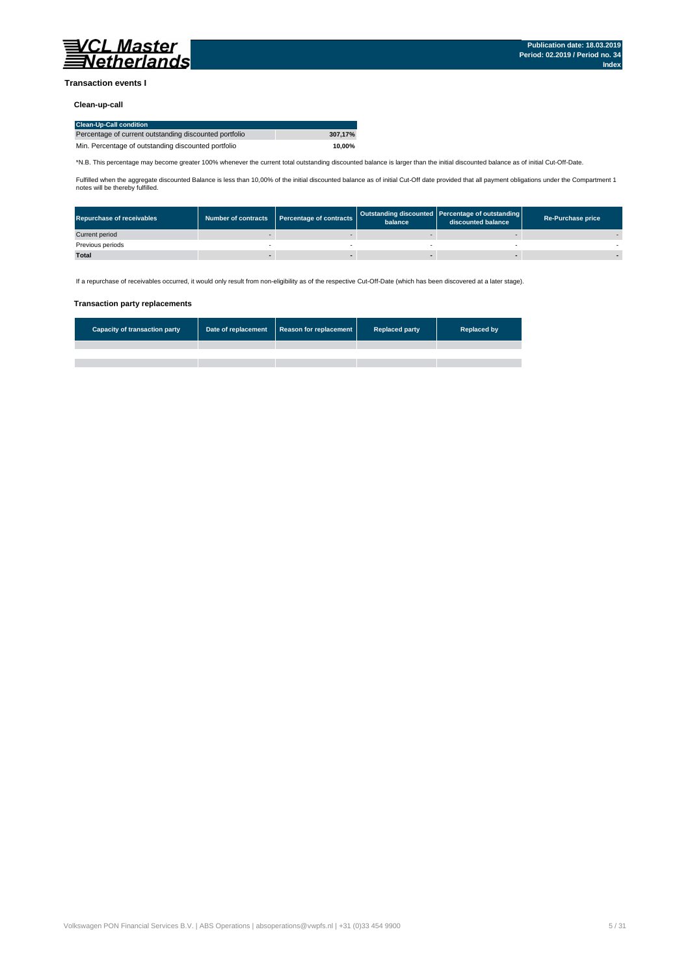

### **Transaction events I**

### **Clean-up-call**

| <b>Clean-Up-Call condition</b>                         |         |
|--------------------------------------------------------|---------|
| Percentage of current outstanding discounted portfolio | 307.17% |
| Min. Percentage of outstanding discounted portfolio    | 10.00%  |

\*N.B. This percentage may become greater 100% whenever the current total outstanding discounted balance is larger than the initial discounted balance as of initial Cut-Off-Date.

Fulfilled when the aggregate discounted Balance is less than 10,00% of the initial discounted balance as of initial Cut-Off date provided that all payment obligations under the Compartment 1 notes will be thereby fulfilled.

| <b>Repurchase of receivables</b> | Number of contracts Percentage of contracts | balance | Outstanding discounted Percentage of outstanding<br>discounted balance | <b>Re-Purchase price</b> |
|----------------------------------|---------------------------------------------|---------|------------------------------------------------------------------------|--------------------------|
| Current period                   |                                             |         |                                                                        |                          |
| Previous periods                 |                                             |         |                                                                        |                          |
| <b>Total</b>                     |                                             |         |                                                                        |                          |

If a repurchase of receivables occurred, it would only result from non-eligibility as of the respective Cut-Off-Date (which has been discovered at a later stage).

#### **Transaction party replacements**

| <b>Capacity of transaction party</b> | Date of replacement Reason for replacement | <b>Replaced party</b> | <b>Replaced by</b> |
|--------------------------------------|--------------------------------------------|-----------------------|--------------------|
|                                      |                                            |                       |                    |
|                                      |                                            |                       |                    |
|                                      |                                            |                       |                    |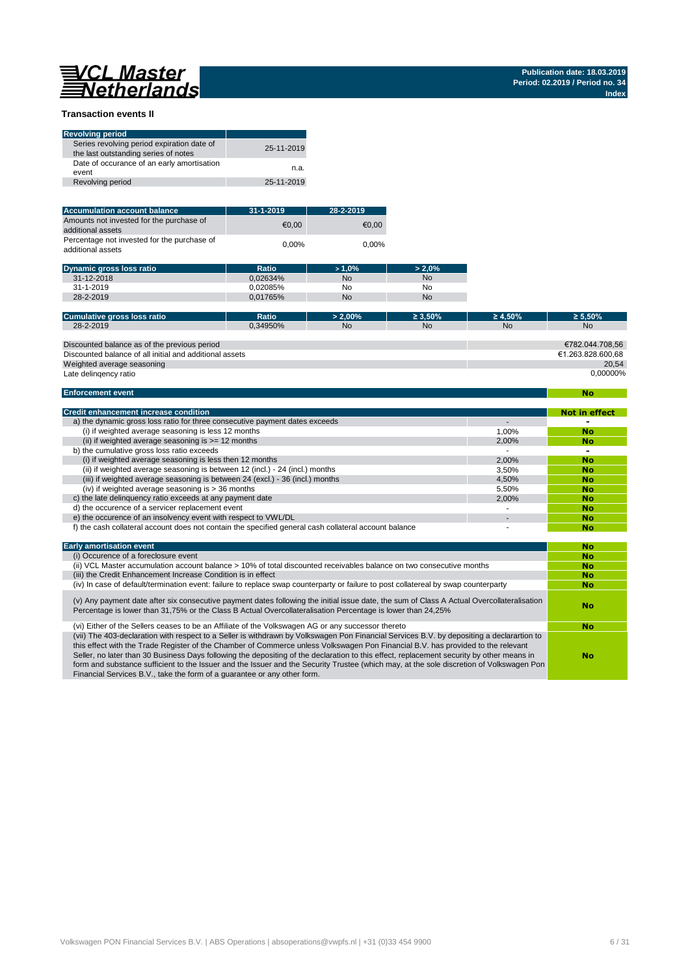**No**

### **Transaction events II**

| <b>Revolving period</b>                                                            |            |
|------------------------------------------------------------------------------------|------------|
| Series revolving period expiration date of<br>the last outstanding series of notes | 25-11-2019 |
| Date of occurance of an early amortisation<br>event                                | n.a.       |
| Revolving period                                                                   | 25-11-2019 |

| <b>Accumulation account balance</b>                              | $31 - 1 - 2019$ | 28-2-2019 |
|------------------------------------------------------------------|-----------------|-----------|
| Amounts not invested for the purchase of<br>additional assets    | €0.00           | €0.00     |
| Percentage not invested for the purchase of<br>additional assets | $0.00\%$        | $0.00\%$  |

| <b>Dynamic gross loss ratio</b> | Ratio    | $>1.0\%$  | $> 2.0\%$ |
|---------------------------------|----------|-----------|-----------|
| 31-12-2018                      | 0.02634% | <b>No</b> | <b>No</b> |
| $31 - 1 - 2019$                 | 0.02085% | No        | No        |
| 28-2-2019                       | 0.01765% | <b>No</b> | <b>No</b> |

| Cumulative gross loss ratio                             | <b>Ratio</b> | $> 2.00\%$ | $\geq 3.50\%$ | $\geq 4.50\%$ | $\geq 5.50\%$     |
|---------------------------------------------------------|--------------|------------|---------------|---------------|-------------------|
| 28-2-2019                                               | 0.34950%     | No.        | <b>No</b>     | <b>No</b>     | <b>No</b>         |
|                                                         |              |            |               |               |                   |
| Discounted balance as of the previous period            |              |            |               |               | €782.044.708.56   |
| Discounted balance of all initial and additional assets |              |            |               |               | €1.263.828.600.68 |
| Weighted average seasoning                              |              |            |               |               | 20.54             |
| Late delingency ratio                                   |              |            |               |               | 0.00000%          |
|                                                         |              |            |               |               |                   |

#### **Enforcement event**

| <b>Credit enhancement increase condition</b>                                                          |       | Not in effect |
|-------------------------------------------------------------------------------------------------------|-------|---------------|
| a) the dynamic gross loss ratio for three consecutive payment dates exceeds                           |       |               |
| (i) if weighted average seasoning is less 12 months                                                   | 1.00% | <b>No</b>     |
| (ii) if weighted average seasoning is $\geq$ = 12 months                                              | 2.00% | No            |
| b) the cumulative gross loss ratio exceeds                                                            |       |               |
| (i) if weighted average seasoning is less then 12 months                                              | 2.00% | <b>No</b>     |
| (ii) if weighted average seasoning is between 12 (incl.) - 24 (incl.) months                          | 3.50% | No            |
| (iii) if weighted average seasoning is between 24 (excl.) - 36 (incl.) months                         | 4.50% | No            |
| (iv) if weighted average seasoning is $>$ 36 months                                                   | 5.50% | No            |
| c) the late delinguency ratio exceeds at any payment date                                             | 2.00% | No            |
| d) the occurence of a servicer replacement event                                                      |       | No            |
| e) the occurence of an insolvency event with respect to VWL/DL                                        |       | No            |
| f) the cash collateral account does not contain the specified general cash collateral account balance |       | No            |

| <b>Early amortisation event</b>                                                                                                                                                                                                                                                                                                                                                                                                                                                                                                                                                                                                                    | No |
|----------------------------------------------------------------------------------------------------------------------------------------------------------------------------------------------------------------------------------------------------------------------------------------------------------------------------------------------------------------------------------------------------------------------------------------------------------------------------------------------------------------------------------------------------------------------------------------------------------------------------------------------------|----|
| (i) Occurence of a foreclosure event                                                                                                                                                                                                                                                                                                                                                                                                                                                                                                                                                                                                               | No |
| (ii) VCL Master accumulation account balance > 10% of total discounted receivables balance on two consecutive months                                                                                                                                                                                                                                                                                                                                                                                                                                                                                                                               | No |
| (iii) the Credit Enhancement Increase Condition is in effect                                                                                                                                                                                                                                                                                                                                                                                                                                                                                                                                                                                       | No |
| (iv) In case of default/termination event: failure to replace swap counterparty or failure to post collatereal by swap counterparty                                                                                                                                                                                                                                                                                                                                                                                                                                                                                                                | No |
| (v) Any payment date after six consecutive payment dates following the initial issue date, the sum of Class A Actual Overcollateralisation<br>Percentage is lower than 31,75% or the Class B Actual Overcollateralisation Percentage is lower than 24,25%                                                                                                                                                                                                                                                                                                                                                                                          | No |
| (vi) Either of the Sellers ceases to be an Affiliate of the Volkswagen AG or any successor thereto                                                                                                                                                                                                                                                                                                                                                                                                                                                                                                                                                 | No |
| (vii) The 403-declaration with respect to a Seller is withdrawn by Volkswagen Pon Financial Services B.V. by depositing a declarartion to<br>this effect with the Trade Register of the Chamber of Commerce unless Volkswagen Pon Financial B.V. has provided to the relevant<br>Seller, no later than 30 Business Days following the depositing of the declaration to this effect, replacement security by other means in<br>form and substance sufficient to the Issuer and the Issuer and the Security Trustee (which may, at the sole discretion of Volkswagen Pon<br>Financial Services B.V., take the form of a quarantee or any other form. | No |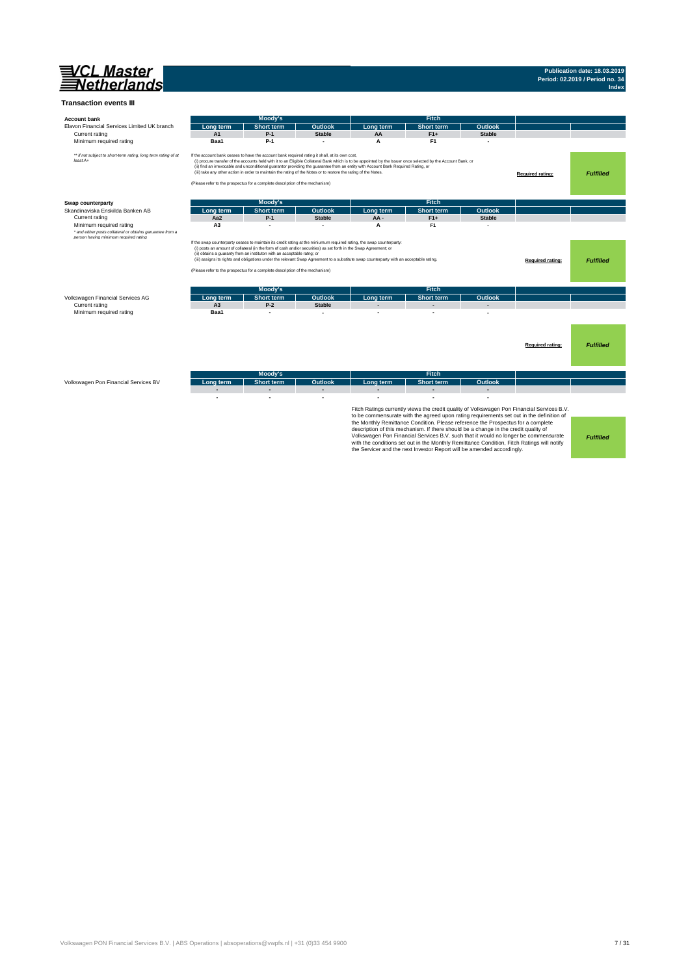

## **Publication date: 18.03.2019 Period: 02.2019 / Period no. 34 Index**

| <b>Account bank</b>                                                        |                | Moody's                                                                                                                                                                                                                                                                                           |               |                                                                                                                                                                                                                                                                                                    | Fitch                                                                                                                                                                                                                                                                                                                                           |                |                                                                                                                                                                                                                                                                               |                  |
|----------------------------------------------------------------------------|----------------|---------------------------------------------------------------------------------------------------------------------------------------------------------------------------------------------------------------------------------------------------------------------------------------------------|---------------|----------------------------------------------------------------------------------------------------------------------------------------------------------------------------------------------------------------------------------------------------------------------------------------------------|-------------------------------------------------------------------------------------------------------------------------------------------------------------------------------------------------------------------------------------------------------------------------------------------------------------------------------------------------|----------------|-------------------------------------------------------------------------------------------------------------------------------------------------------------------------------------------------------------------------------------------------------------------------------|------------------|
| Elavon Financial Services Limited UK branch                                | Lona term      | <b>Short term</b>                                                                                                                                                                                                                                                                                 | Outlook       | Long term                                                                                                                                                                                                                                                                                          | <b>Short term</b>                                                                                                                                                                                                                                                                                                                               | <b>Outlook</b> |                                                                                                                                                                                                                                                                               |                  |
| Current rating                                                             | A1             | $P-1$                                                                                                                                                                                                                                                                                             | <b>Stable</b> | AA                                                                                                                                                                                                                                                                                                 | $F1+$                                                                                                                                                                                                                                                                                                                                           | <b>Stable</b>  |                                                                                                                                                                                                                                                                               |                  |
| Minimum required rating                                                    | Baa1           | $P-1$                                                                                                                                                                                                                                                                                             |               | A                                                                                                                                                                                                                                                                                                  | F <sub>1</sub>                                                                                                                                                                                                                                                                                                                                  |                |                                                                                                                                                                                                                                                                               |                  |
| ** if not subject to short-term rating, long term rating of at<br>least A+ |                | If the account bank ceases to have the account bank required rating it shall, at its own cost,<br>(iii) take any other action in order to maintain the rating of the Notes or to restore the rating of the Notes.<br>(Please refer to the prospectus for a complete description of the mechanism) |               | (i) procure transfer of the accounts held with it to an Eligible Collateral Bank which is to be appointed by the Issuer once selected by the Account Bank, or<br>(ii) find an irrevocable and unconditional guarantor providing the guarantee from an entity with Account Bank Required Rating, or |                                                                                                                                                                                                                                                                                                                                                 |                | Required rating:                                                                                                                                                                                                                                                              | <b>Fulfilled</b> |
| Swap counterparty                                                          |                | Moody's                                                                                                                                                                                                                                                                                           |               |                                                                                                                                                                                                                                                                                                    | <b>Fitch</b>                                                                                                                                                                                                                                                                                                                                    |                |                                                                                                                                                                                                                                                                               |                  |
| Skandinaviska Enskilda Banken AB                                           | Lona term      | <b>Short term</b>                                                                                                                                                                                                                                                                                 | Outlook       | Lona term                                                                                                                                                                                                                                                                                          | <b>Short term</b>                                                                                                                                                                                                                                                                                                                               | Outlook        |                                                                                                                                                                                                                                                                               |                  |
| Current rating                                                             | Aa2            | $P-1$                                                                                                                                                                                                                                                                                             | <b>Stable</b> | AA-                                                                                                                                                                                                                                                                                                | $F1+$                                                                                                                                                                                                                                                                                                                                           | <b>Stable</b>  |                                                                                                                                                                                                                                                                               |                  |
| Minimum required rating                                                    | A <sub>3</sub> |                                                                                                                                                                                                                                                                                                   |               | A                                                                                                                                                                                                                                                                                                  | F <sub>1</sub>                                                                                                                                                                                                                                                                                                                                  |                |                                                                                                                                                                                                                                                                               |                  |
| * and either posts collateral or obtains garuantee from a                  |                |                                                                                                                                                                                                                                                                                                   |               |                                                                                                                                                                                                                                                                                                    |                                                                                                                                                                                                                                                                                                                                                 |                |                                                                                                                                                                                                                                                                               |                  |
|                                                                            |                | (i) posts an amount of collateral (in the form of cash and/or securities) as set forth in the Swap Agreement; or<br>(ii) obtains a guaranty from an instituton with an acceptable ratng; or<br>(Please refer to the prospectus for a complete description of the mechanism)                       |               | If the swap counterparty ceases to maintain its credit rating at the miniumum required rating, the swap counterparty:<br>(iii) assigns its rights and obligations under the relevant Swap Agreement to a substitute swap counterparty with an acceptable rating.                                   |                                                                                                                                                                                                                                                                                                                                                 |                | Required rating:                                                                                                                                                                                                                                                              | <b>Fulfilled</b> |
|                                                                            |                | Moody's                                                                                                                                                                                                                                                                                           |               |                                                                                                                                                                                                                                                                                                    | <b>Fitch</b>                                                                                                                                                                                                                                                                                                                                    |                |                                                                                                                                                                                                                                                                               |                  |
| Volkswagen Financial Services AG                                           | Lona term      | <b>Short term</b>                                                                                                                                                                                                                                                                                 | Outlook       | Long term                                                                                                                                                                                                                                                                                          | <b>Short term</b>                                                                                                                                                                                                                                                                                                                               | Outlook        |                                                                                                                                                                                                                                                                               |                  |
| Current rating                                                             | A <sub>3</sub> | $P-2$                                                                                                                                                                                                                                                                                             | <b>Stable</b> |                                                                                                                                                                                                                                                                                                    |                                                                                                                                                                                                                                                                                                                                                 |                |                                                                                                                                                                                                                                                                               |                  |
| Minimum required rating                                                    | Baa1           | ٠                                                                                                                                                                                                                                                                                                 |               |                                                                                                                                                                                                                                                                                                    |                                                                                                                                                                                                                                                                                                                                                 |                |                                                                                                                                                                                                                                                                               |                  |
|                                                                            |                |                                                                                                                                                                                                                                                                                                   |               |                                                                                                                                                                                                                                                                                                    |                                                                                                                                                                                                                                                                                                                                                 |                | Required rating:                                                                                                                                                                                                                                                              | <b>Fulfilled</b> |
|                                                                            |                | Moody's                                                                                                                                                                                                                                                                                           |               |                                                                                                                                                                                                                                                                                                    | <b>Fitch</b>                                                                                                                                                                                                                                                                                                                                    |                |                                                                                                                                                                                                                                                                               |                  |
| Volkswagen Pon Financial Services BV                                       | Lona term      | <b>Short term</b>                                                                                                                                                                                                                                                                                 | Outlook       | Long term                                                                                                                                                                                                                                                                                          | <b>Short term</b>                                                                                                                                                                                                                                                                                                                               | Outlook        |                                                                                                                                                                                                                                                                               |                  |
|                                                                            |                | L.                                                                                                                                                                                                                                                                                                |               |                                                                                                                                                                                                                                                                                                    |                                                                                                                                                                                                                                                                                                                                                 |                |                                                                                                                                                                                                                                                                               |                  |
|                                                                            |                |                                                                                                                                                                                                                                                                                                   |               |                                                                                                                                                                                                                                                                                                    | the Monthly Remittance Condition. Please reference the Prospectus for a complete<br>description of this mechanism. If there should be a change in the credit quality of<br>with the conditions set out in the Monthly Remittance Condition, Fitch Ratings will notify<br>the Servicer and the next Investor Report will be amended accordingly. |                | Fitch Ratings currently views the credit quality of Volkswagen Pon Financial Services B.V.<br>to be commensurate with the agreed upon rating requirements set out in the definition of<br>Volkswagen Pon Financial Services B.V. such that it would no longer be commensurate | <b>Fulfilled</b> |

Volkswagen PON Financial Services B.V. | ABS Operations | absoperations@vwpfs.nl | +31 (0)33 454 9900 7 / 31 / 31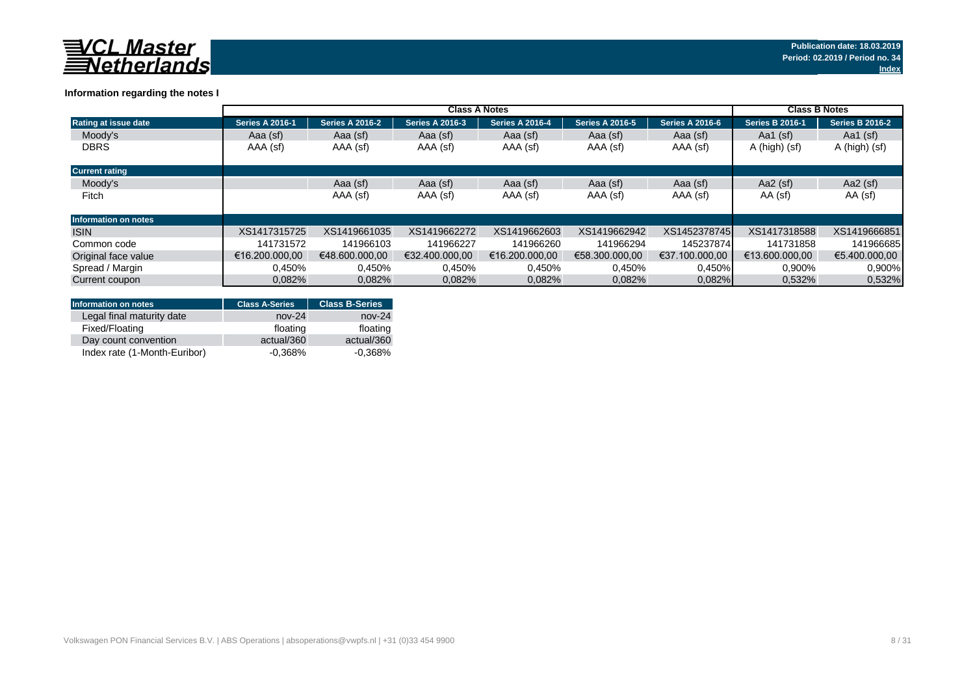

### **Information regarding the notes I**

|                             | <b>Class A Notes</b>   |                        |                        |                        |                        |                        | <b>Class B Notes</b>   |                        |
|-----------------------------|------------------------|------------------------|------------------------|------------------------|------------------------|------------------------|------------------------|------------------------|
| <b>Rating at issue date</b> | <b>Series A 2016-1</b> | <b>Series A 2016-2</b> | <b>Series A 2016-3</b> | <b>Series A 2016-4</b> | <b>Series A 2016-5</b> | <b>Series A 2016-6</b> | <b>Series B 2016-1</b> | <b>Series B 2016-2</b> |
| Moody's                     | Aaa (sf)               | Aaa (sf)               | Aaa (sf)               | Aaa (sf)               | Aaa (sf)               | Aaa (sf)               | Aa1 $(sf)$             | Aa1 $(sf)$             |
| <b>DBRS</b>                 | AAA (sf)               | AAA (sf)               | AAA (sf)               | AAA (sf)               | AAA (sf)               | AAA (sf)               | A (high) (sf)          | A (high) (sf)          |
| <b>Current rating</b>       |                        |                        |                        |                        |                        |                        |                        |                        |
| Moody's                     |                        | Aaa (sf)               | Aaa (sf)               | Aaa (sf)               | Aaa (sf)               | Aaa (sf)               | Aa2 $(sf)$             | Aa2 $(sf)$             |
| Fitch                       |                        | AAA (sf)               | AAA (sf)               | AAA (sf)               | AAA (sf)               | AAA (sf)               | AA (sf)                | AA (sf)                |
| Information on notes        |                        |                        |                        |                        |                        |                        |                        |                        |
| <b>ISIN</b>                 | XS1417315725           | XS1419661035           | XS1419662272           | XS1419662603           | XS1419662942           | XS1452378745           | XS1417318588           | XS1419666851           |
| Common code                 | 141731572              | 141966103              | 141966227              | 141966260              | 141966294              | 145237874              | 141731858              | 141966685              |
| Original face value         | €16.200.000.00         | €48,600,000,00         | €32.400.000.00         | €16.200.000.00         | €58.300.000.00         | €37.100.000.00         | €13.600.000.00         | €5.400.000.00          |
| Spread / Margin             | 0,450%                 | 0,450%                 | 0,450%                 | 0,450%                 | 0,450%                 | 0,450%                 | 0,900%                 | 0.900%                 |
| Current coupon              | 0.082%                 | 0,082%                 | 0.082%                 | 0.082%                 | 0.082%                 | 0.082%                 | 0,532%                 | 0,532%                 |

| Information on notes         | <b>Class A-Series</b> | <b>Class B-Series</b> |
|------------------------------|-----------------------|-----------------------|
| Legal final maturity date    | $nov-24$              | $nov-24$              |
| Fixed/Floating               | floating              | floating              |
| Day count convention         | actual/360            | actual/360            |
| Index rate (1-Month-Euribor) | $-0.368%$             | $-0.368%$             |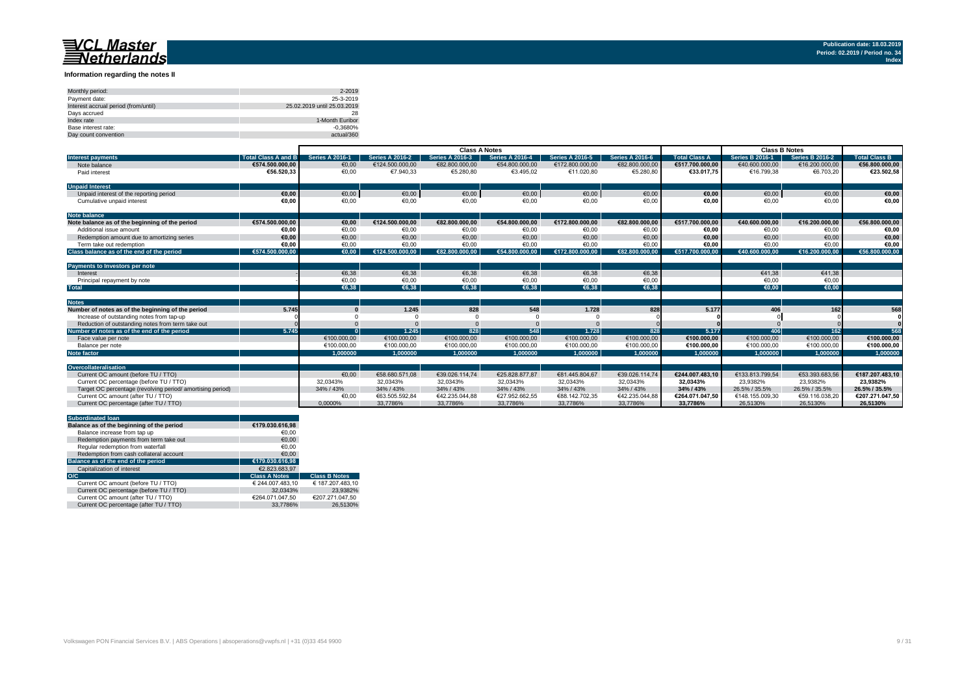#### **Information regarding the notes II**

| Monthly period:                      | 2-2019                      |
|--------------------------------------|-----------------------------|
| Payment date:                        | 25-3-2019                   |
| Interest accrual period (from/until) | 25.02.2019 until 25.03.2019 |
| Davs accrued                         | 28                          |
| Index rate                           | 1-Month Euribor             |
| Base interest rate:                  | $-0.3680%$                  |
| Day count convention                 | actual/360                  |

|                                                           |                            | <b>Class A Notes</b>   |                        |                        |                        |                        | <b>Class B Notes</b>   |                      |                        |                        |                      |
|-----------------------------------------------------------|----------------------------|------------------------|------------------------|------------------------|------------------------|------------------------|------------------------|----------------------|------------------------|------------------------|----------------------|
| <b>Interest payments</b>                                  | <b>Total Class A and B</b> | <b>Series A 2016-1</b> | <b>Series A 2016-2</b> | <b>Series A 2016-3</b> | <b>Series A 2016-4</b> | <b>Series A 2016-5</b> | <b>Series A 2016-6</b> | <b>Total Class A</b> | <b>Series B 2016-1</b> | <b>Series B 2016-2</b> | <b>Total Class B</b> |
| Note balance                                              | €574.500.000.00            | €0,00                  | €124.500.000,00        | €82.800.000,00         | €54.800.000,00         | €172.800.000,00        | €82.800.000,00         | €517.700.000.00      | €40.600.000,00         | €16.200.000,00         | €56.800.000,00       |
| Paid interest                                             | €56.520.33                 | €0,00                  | €7.940,33              | €5.280,80              | €3.495.02              | €11.020,80             | €5.280,80              | €33.017.75           | €16.799.38             | €6.703,20              | €23.502,58           |
| <b>Unpaid Interest</b>                                    |                            |                        |                        |                        |                        |                        |                        |                      |                        |                        |                      |
| Unpaid interest of the reporting period                   | €0.00                      | €0,00                  | €0,00                  | €0,00                  | €0,00                  | €0,00                  | €0,00                  | €0,00                | €0,00                  | €0,00                  | €0,00                |
| Cumulative unpaid interest                                | €0.00                      | €0,00                  | €0,00                  | €0,00                  | €0,00                  | €0,00                  | €0,00                  | €0,00                | €0,00                  | €0,00                  | €0,00                |
| <b>Note balance</b>                                       |                            |                        |                        |                        |                        |                        |                        |                      |                        |                        |                      |
| Note balance as of the beginning of the period            | €574.500.000.00            | €0.00                  | €124.500.000.00        | €82.800.000.00         | €54.800.000.00         | €172.800.000.00        | €82.800.000.00         | €517.700.000.00      | €40.600.000.00         | €16.200.000,00         | €56.800.000.00       |
| Additional issue amount                                   | €0.00                      | €0.00                  | €0,00                  | €0,00                  | €0.00                  | €0,00                  | €0,00                  | €0,00                | €0.00                  | €0,00                  | €0,00                |
| Redemotion amount due to amortizing series                | €0.00                      | €0.00                  | €0.00                  | €0,00                  | €0.00                  | €0.00                  | €0,00                  | €0.00                | €0.00                  | €0.00                  | €0,00                |
| Term take out redemption                                  | €0.00                      | €0.00                  | €0.00                  | €0.00                  | €0.00                  | €0.00                  | €0,00                  | €0,00                | €0.00                  | €0,00                  | €0,00                |
| Class balance as of the end of the period                 | €574.500.000.00            | €0.00                  | €124.500.000.00        | €82.800.000.00         | €54.800.000.00         | €172.800.000.00        | €82.800.000.00         | €517.700.000.00      | €40.600.000.00         | €16.200.000.00         | €56.800.000.00       |
|                                                           |                            |                        |                        |                        |                        |                        |                        |                      |                        |                        |                      |
| Payments to Investors per note                            |                            |                        |                        |                        |                        |                        |                        |                      |                        |                        |                      |
| Interest                                                  |                            | €6.38                  | €6,38                  | €6,38                  | €6.38                  | €6,38                  | €6,38                  |                      | €41.38                 | €41.38                 |                      |
| Principal repayment by note                               |                            | €0,00                  | €0,00                  | €0,00                  | €0,00                  | €0,00                  | €0,00                  |                      | €0,00                  | €0,00                  |                      |
| <b>Total</b>                                              |                            | €6.38                  | €6.38                  | €6.38                  | €6.38                  | €6.38                  | €6.38                  |                      | €0.00                  | €0.00                  |                      |
|                                                           |                            |                        |                        |                        |                        |                        |                        |                      |                        |                        |                      |
| <b>Notes</b>                                              |                            |                        |                        |                        |                        |                        |                        |                      |                        |                        |                      |
| Number of notes as of the beginning of the period         | 5.745                      |                        | 1.245                  | 828                    | 548                    | 1.728                  | 828                    | 5.177                | 406                    | 162                    | 568                  |
| Increase of outstanding notes from tap-up                 |                            |                        |                        |                        |                        |                        |                        |                      |                        |                        |                      |
| Reduction of outstanding notes from term take out         |                            |                        |                        |                        |                        |                        |                        |                      |                        |                        |                      |
| Number of notes as of the end of the period               | 5.745                      |                        | 1.245                  | 828                    | 548                    | 1.728                  | 828                    | 5.177                | <b>406</b>             | 162                    | 568                  |
| Face value per note                                       |                            | €100.000,00            | €100.000,00            | €100.000,00            | €100.000,00            | €100.000,00            | €100.000,00            | €100.000,00          | €100.000,00            | €100.000,00            | €100.000,00          |
| Balance per note                                          |                            | €100.000.00            | €100.000.00            | €100.000.00            | €100.000.00            | €100.000.00            | €100,000,00            | €100.000.00          | €100.000.00            | €100.000.00            | €100.000,00          |
| <b>Note factor</b>                                        |                            | 1.000000               | 1.000000               | 1.000000               | 1.000000               | 1.000000               | 1.000000               | 1.000000             | 1.000000               | 1.000000               | 1.000000             |
|                                                           |                            |                        |                        |                        |                        |                        |                        |                      |                        |                        |                      |
| Overcollateralisation                                     |                            |                        |                        |                        |                        |                        |                        |                      |                        |                        |                      |
| Current OC amount (before TU / TTO)                       |                            | €0.00                  | €58,680,571.08         | €39.026.114.74         | €25.828.877.87         | €81.445.804.67         | €39.026.114.74         | €244.007.483.10      | €133.813.799.54        | €53.393.683.56         | €187.207.483.10      |
| Current OC percentage (before TU / TTO)                   |                            | 32.0343%               | 32.0343%               | 32.0343%               | 32.0343%               | 32.0343%               | 32.0343%               | 32.0343%             | 23.9382%               | 23.9382%               | 23.9382%             |
| Target OC percentage (revolving period/amortising period) |                            | 34% / 43%              | 34% / 43%              | 34% / 43%              | 34% / 43%              | 34% / 43%              | 34% / 43%              | 34% / 43%            | 26.5% / 35.5%          | 26.5% / 35.5%          | 26.5% / 35.5%        |
| Current OC amount (after TU / TTO)                        |                            | €0,00                  | €63.505.592,84         | €42.235.044.88         | €27.952.662.55         | €88.142.702.35         | €42.235.044.88         | €264.071.047.50      | €148.155.009.30        | €59.116.038.20         | €207.271.047,50      |
| Current OC percentage (after TU / TTO)                    |                            | 0.0000%                | 33.7786%               | 33.7786%               | 33.7786%               | 33.7786%               | 33.7786%               | 33.7786%             | 26.5130%               | 26.5130%               | 26.5130%             |

| <b>Subordinated loan</b>                  |                      |                      |
|-------------------------------------------|----------------------|----------------------|
| Balance as of the beginning of the period | €179.030.616.98      |                      |
| Balance increase from tap up              | €0.00                |                      |
| Redemption payments from term take out    | €0.00                |                      |
| Regular redemption from waterfall         | €0.00                |                      |
| Redemption from cash collateral account   | €0.00                |                      |
| Balance as of the end of the period       | €179.030.616.98      |                      |
| Capitalization of interest                | €2.823.683.97        |                      |
| O/C                                       | <b>Class A Notes</b> | <b>Class B Notes</b> |
| Current OC amount (before TU / TTO)       | € 244.007.483.10     | € 187.207.483.10     |
| Current OC percentage (before TU / TTO)   | 32.0343%             | 23.9382%             |
| Current OC amount (after TU / TTO)        | €264.071.047.50      | €207.271.047.50      |
| Current OC percentage (after TU / TTO)    | 33.7786%             | 26.5130%             |
|                                           |                      |                      |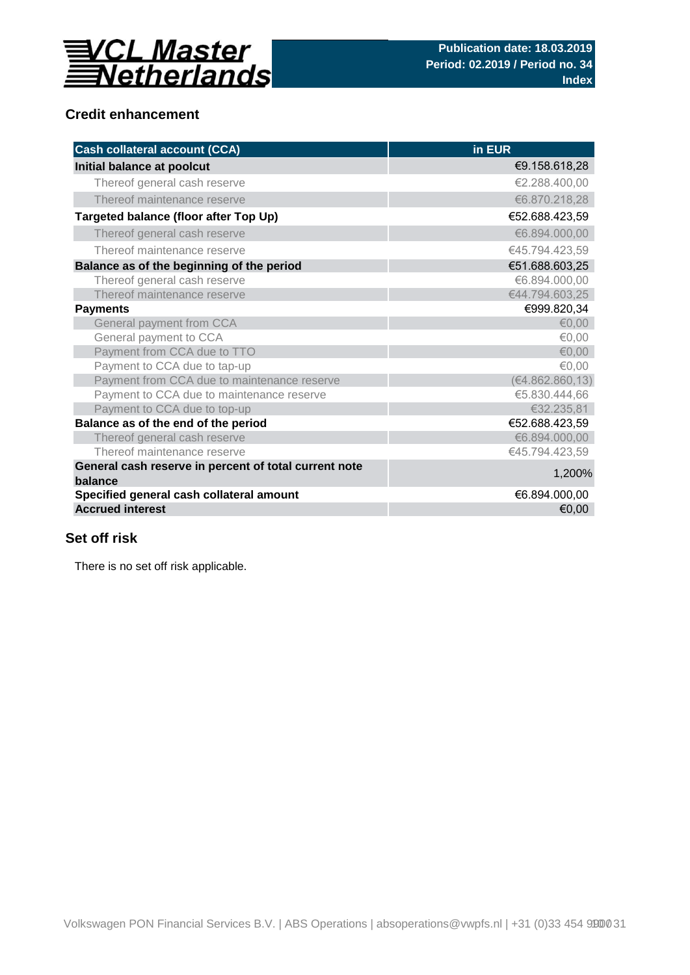

## **Credit enhancement**

| <b>Cash collateral account (CCA)</b>                             | in EUR           |
|------------------------------------------------------------------|------------------|
| Initial balance at poolcut                                       | €9.158.618,28    |
| Thereof general cash reserve                                     | €2.288.400.00    |
| Thereof maintenance reserve                                      | €6.870.218,28    |
| Targeted balance (floor after Top Up)                            | €52.688.423,59   |
| Thereof general cash reserve                                     | €6.894.000,00    |
| Thereof maintenance reserve                                      | €45.794.423,59   |
| Balance as of the beginning of the period                        | €51.688.603,25   |
| Thereof general cash reserve                                     | €6.894.000,00    |
| Thereof maintenance reserve                                      | €44.794.603,25   |
| <b>Payments</b>                                                  | €999.820,34      |
| General payment from CCA                                         | € $0,00$         |
| General payment to CCA                                           | €0,00            |
| Payment from CCA due to TTO                                      | € $0,00$         |
| Payment to CCA due to tap-up                                     | €0,00            |
| Payment from CCA due to maintenance reserve                      | (€4.862.860, 13) |
| Payment to CCA due to maintenance reserve                        | €5.830.444,66    |
| Payment to CCA due to top-up                                     | €32.235,81       |
| Balance as of the end of the period                              | €52.688.423,59   |
| Thereof general cash reserve                                     | €6.894.000,00    |
| Thereof maintenance reserve                                      | €45.794.423,59   |
| General cash reserve in percent of total current note<br>balance | 1,200%           |
| Specified general cash collateral amount                         | €6.894.000,00    |
| <b>Accrued interest</b>                                          | €0,00            |

## **Set off risk**

There is no set off risk applicable.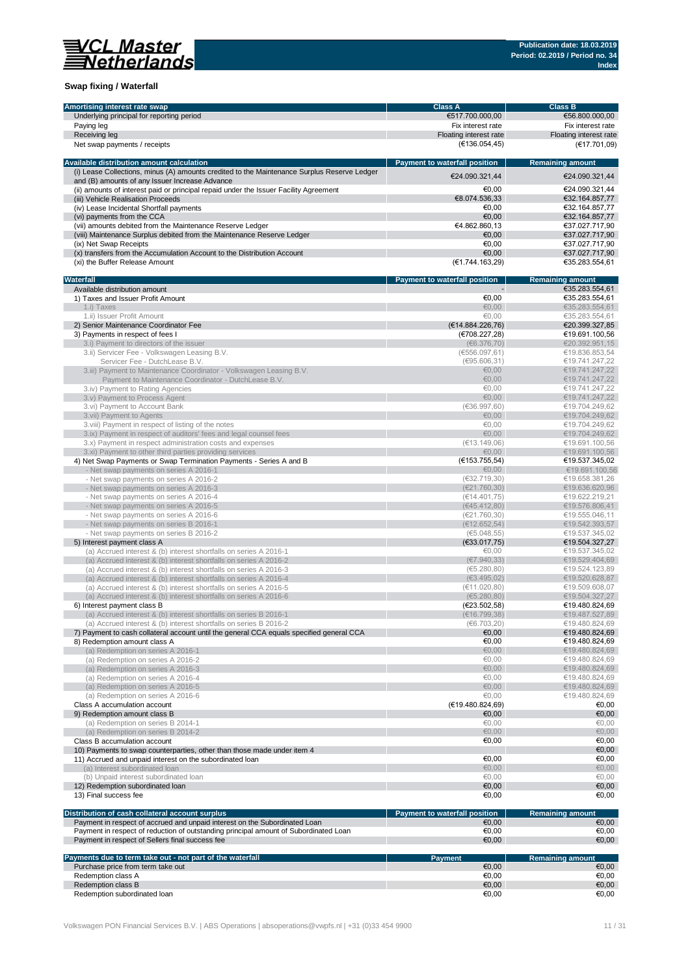

### **Swap fixing / Waterfall**

| Amortising interest rate swap                                                               | <b>Class A</b>                | <b>Class B</b>          |
|---------------------------------------------------------------------------------------------|-------------------------------|-------------------------|
| Underlying principal for reporting period                                                   | €517.700.000,00               | €56.800.000,00          |
| Paying leg                                                                                  | Fix interest rate             | Fix interest rate       |
| Receiving leg                                                                               | Floating interest rate        | Floating interest rate  |
| Net swap payments / receipts                                                                | (E136.054, 45)                | (€17.701,09)            |
|                                                                                             |                               |                         |
| Available distribution amount calculation                                                   | Payment to waterfall position | <b>Remaining amount</b> |
| (i) Lease Collections, minus (A) amounts credited to the Maintenance Surplus Reserve Ledger |                               |                         |
| and (B) amounts of any Issuer Increase Advance                                              | €24.090.321,44                | €24.090.321.44          |
| (ii) amounts of interest paid or principal repaid under the Issuer Facility Agreement       | €0,00                         | €24.090.321,44          |
|                                                                                             |                               |                         |
| (iii) Vehicle Realisation Proceeds                                                          | €8.074.536,33                 | €32.164.857,77          |
| (iv) Lease Incidental Shortfall payments                                                    | €0.00                         | €32.164.857,77          |
| (vi) payments from the CCA                                                                  | €0.00                         | €32.164.857,77          |
| (vii) amounts debited from the Maintenance Reserve Ledger                                   | €4.862.860,13                 | €37.027.717,90          |
| (viii) Maintenance Surplus debited from the Maintenance Reserve Ledger                      | €0,00                         | €37.027.717,90          |
| (ix) Net Swap Receipts                                                                      | €0.00                         | €37.027.717,90          |
| (x) transfers from the Accumulation Account to the Distribution Account                     | €0,00                         | €37.027.717,90          |
| (xi) the Buffer Release Amount                                                              | (€1.744.163,29)               | €35.283.554,61          |
|                                                                                             |                               |                         |
| Waterfall                                                                                   | Payment to waterfall position | <b>Remaining amount</b> |
| Available distribution amount                                                               |                               | €35.283.554,61          |
| 1) Taxes and Issuer Profit Amount                                                           | €0,00                         | €35.283.554,61          |
| 1.i) Taxes                                                                                  | €0.00                         | €35.283.554,61          |
| 1.ii) Issuer Profit Amount                                                                  | €0,00                         | €35.283.554,61          |
| 2) Senior Maintenance Coordinator Fee                                                       | (E14.884.226,76)              | €20.399.327,85          |
| 3) Payments in respect of fees I                                                            | (€708.227,28)                 | €19.691.100,56          |
| 3.i) Payment to directors of the issuer                                                     | (66.376, 70)                  | €20.392.951,15          |
| 3.ii) Servicer Fee - Volkswagen Leasing B.V.                                                | (6556.097, 61)                | €19.836.853,54          |
| Servicer Fee - DutchLease B.V.                                                              | (€95.606,31)                  | €19.741.247.22          |
| 3.iii) Payment to Maintenance Coordinator - Volkswagen Leasing B.V.                         | €0,00                         | €19.741.247,22          |
|                                                                                             |                               |                         |
| Payment to Maintenance Coordinator - DutchLease B.V.                                        | €0,00                         | €19.741.247,22          |
| 3.iv) Payment to Rating Agencies                                                            | €0.00                         | €19.741.247,22          |
| 3.v) Payment to Process Agent                                                               | €0,00                         | €19.741.247,22          |
| 3.vi) Payment to Account Bank                                                               | (636.997, 60)                 | €19.704.249,62          |
| 3.vii) Payment to Agents                                                                    | €0,00                         | €19.704.249,62          |
| 3. viii) Payment in respect of listing of the notes                                         | €0.00                         | €19.704.249,62          |
| 3.ix) Payment in respect of auditors' fees and legal counsel fees                           | €0,00                         | €19.704.249,62          |
| 3.x) Payment in respect administration costs and expenses                                   | (E13.149,06)                  | €19.691.100,56          |
| 3.xi) Payment to other third parties providing services                                     | €0,00                         | €19.691.100,56          |
| 4) Net Swap Payments or Swap Termination Payments - Series A and B                          | (E153.755, 54)                | €19.537.345,02          |
| - Net swap payments on series A 2016-1                                                      | €0,00                         | €19.691.100,56          |
| - Net swap payments on series A 2016-2                                                      | (€32.719,30)                  | €19.658.381,26          |
| - Net swap payments on series A 2016-3                                                      | (E21.760, 30)                 | €19.636.620,96          |
|                                                                                             | (€14.401,75)                  | €19.622.219,21          |
| - Net swap payments on series A 2016-4                                                      |                               |                         |
| - Net swap payments on series A 2016-5                                                      | (€45.412,80)                  | €19.576.806,41          |
| - Net swap payments on series A 2016-6                                                      | (E21.760,30)                  | €19.555.046,11          |
| - Net swap payments on series B 2016-1                                                      | (E12.652,54)                  | €19.542.393,57          |
| - Net swap payments on series B 2016-2                                                      | (65.048, 55)                  | €19.537.345,02          |
| 5) Interest payment class A                                                                 | (€33.017,75)                  | €19.504.327,27          |
| (a) Accrued interest & (b) interest shortfalls on series A 2016-1                           | €0,00                         | €19.537.345,02          |
| (a) Accrued interest & (b) interest shortfalls on series A 2016-2                           | (E7.940.33)                   | €19.529.404.69          |
| (a) Accrued interest & (b) interest shortfalls on series A 2016-3                           | (65.280, 80)                  | €19.524.123,89          |
| (a) Accrued interest & (b) interest shortfalls on series A 2016-4                           | (63.495, 02)                  | €19.520.628,87          |
| (a) Accrued interest & (b) interest shortfalls on series A 2016-5                           | (€11.020,80)                  | €19.509.608,07          |
| (a) Accrued interest & (b) interest shortfalls on series A 2016-6                           | (65.280, 80)                  | €19.504.327.27          |
| 6) Interest payment class B                                                                 | (E23.502,58)                  | €19.480.824,69          |
| (a) Accrued interest & (b) interest shortfalls on series B 2016-1                           | (E16.799, 38)                 | €19.487.527,89          |
| (a) Accrued interest & (b) interest shortfalls on series B 2016-2                           | (66.703, 20)                  | €19.480.824,69          |
| 7) Payment to cash collateral account until the general CCA equals specified general CCA    | €0,00                         | €19.480.824,69          |
|                                                                                             | €0,00                         |                         |
| 8) Redemption amount class A                                                                |                               | €19.480.824,69          |
| (a) Redemption on series A 2016-1                                                           | €0,00                         | €19.480.824,69          |
| (a) Redemption on series A 2016-2                                                           | €0,00                         | €19.480.824,69          |
| (a) Redemption on series A 2016-3                                                           | €0,00                         | €19.480.824,69          |
| (a) Redemption on series A 2016-4                                                           | €0,00                         | €19.480.824,69          |
| (a) Redemption on series A 2016-5                                                           | €0,00                         | €19.480.824,69          |
| (a) Redemption on series A 2016-6                                                           | €0,00                         | €19.480.824,69          |
| Class A accumulation account                                                                | (€19.480.824,69)              | €0,00                   |
| 9) Redemption amount class B                                                                | €0,00                         | €0,00                   |
| (a) Redemption on series B 2014-1                                                           | €0,00                         | €0,00                   |
| (a) Redemption on series B 2014-2                                                           | € $0,00$                      | €0,00                   |
| Class B accumulation account                                                                | €0,00                         | €0,00                   |
| 10) Payments to swap counterparties, other than those made under item 4                     |                               | €0,00                   |
| 11) Accrued and unpaid interest on the subordinated loan                                    | €0,00                         | €0,00                   |
|                                                                                             | €0,00                         | €0,00                   |
| (a) Interest subordinated loan                                                              |                               |                         |
| (b) Unpaid interest subordinated loan                                                       | €0,00                         | €0,00                   |
| 12) Redemption subordinated loan                                                            | €0,00                         | €0,00                   |
| 13) Final success fee                                                                       | €0,00                         | €0,00                   |
|                                                                                             |                               |                         |
| Distribution of cash collateral account surplus                                             | Payment to waterfall position | <b>Remaining amount</b> |
| Payment in respect of accrued and unpaid interest on the Subordinated Loan                  | €0,00                         | €0,00                   |
| Payment in respect of reduction of outstanding principal amount of Subordinated Loan        | €0,00                         | €0,00                   |
| Payment in respect of Sellers final success fee                                             | €0,00                         | €0,00                   |
|                                                                                             |                               |                         |
| Payments due to term take out - not part of the waterfall                                   | <b>Payment</b>                | <b>Remaining amount</b> |
| Purchase price from term take out                                                           | €0,00                         | €0,00                   |
| Redemption class A                                                                          | €0,00                         | €0,00                   |
| Redemption class B                                                                          | €0,00                         | €0,00                   |
| Redemption subordinated loan                                                                | €0,00                         | €0,00                   |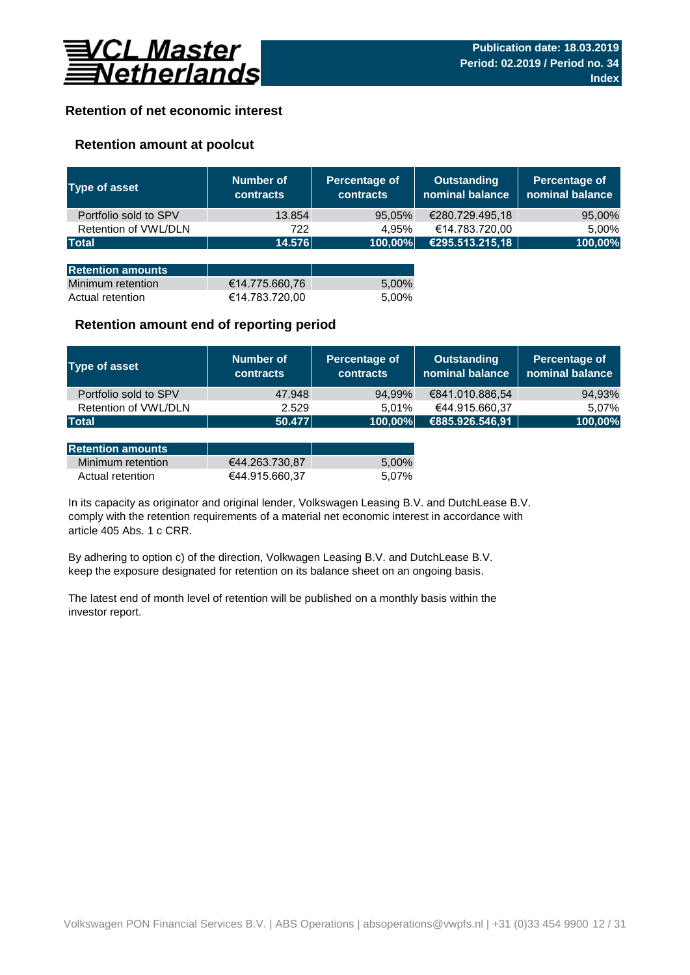

## **Retention of net economic interest**

## **Retention amount at poolcut**

| <b>Type of asset</b>     | Number of<br><b>contracts</b> | Percentage of<br><b>contracts</b> | <b>Outstanding</b><br>nominal balance | Percentage of<br>nominal balance |
|--------------------------|-------------------------------|-----------------------------------|---------------------------------------|----------------------------------|
| Portfolio sold to SPV    | 13.854                        | 95,05%                            | €280.729.495,18                       | 95,00%                           |
| Retention of VWL/DLN     | 722                           | 4.95%                             | €14.783.720,00                        | 5,00%                            |
| <b>Total</b>             | 14.576                        | 100,00%                           | €295.513.215,18                       | 100,00%                          |
|                          |                               |                                   |                                       |                                  |
| <b>Retention amounts</b> |                               |                                   |                                       |                                  |
| Minimum retention        | €14.775.660,76                | 5,00%                             |                                       |                                  |
| Actual retention         | €14.783.720,00                | 5.00%                             |                                       |                                  |

### **Retention amount end of reporting period**

| Type of asset         | Number of<br><b>contracts</b> | Percentage of<br><b>contracts</b> | <b>Outstanding</b><br>nominal balance | Percentage of<br>nominal balance |
|-----------------------|-------------------------------|-----------------------------------|---------------------------------------|----------------------------------|
| Portfolio sold to SPV | 47.948                        | 94,99%                            | €841.010.886,54                       | 94,93%                           |
| Retention of VWL/DLN  | 2.529                         | 5.01%                             | €44.915.660,37                        | 5.07%                            |
| <b>Total</b>          | 50.477                        | 100,00%                           | €885.926.546,91                       | 100,00%                          |

| <b>Retention amounts</b> |                |       |
|--------------------------|----------------|-------|
| Minimum retention        | €44.263.730.87 | 5.00% |
| Actual retention         | €44.915.660.37 | 5.07% |

article 405 Abs. 1 c CRR. In its capacity as originator and original lender, Volkswagen Leasing B.V. and DutchLease B.V. comply with the retention requirements of a material net economic interest in accordance with

By adhering to option c) of the direction, Volkwagen Leasing B.V. and DutchLease B.V. keep the exposure designated for retention on its balance sheet on an ongoing basis.

The latest end of month level of retention will be published on a monthly basis within the investor report.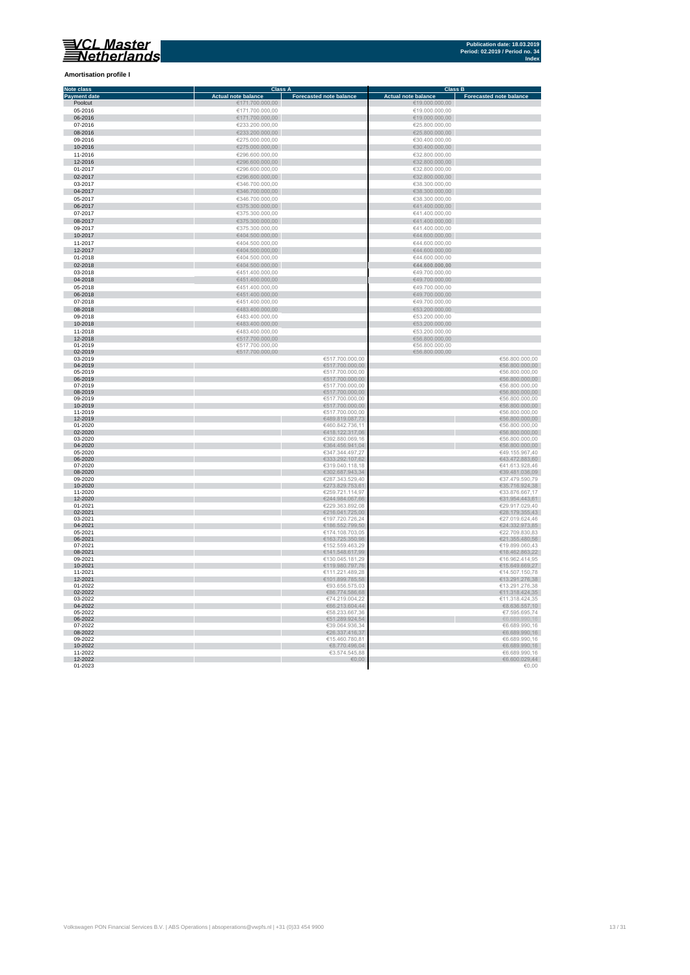**Amortisation profile I**

#### **Class A Class B Class B Class B Class B Class B Class B Class B Class B Class B Eq. 1 Note class Payment date and the Sale of the Case of the Sale of the Sale of the Sale of the Sale of the Sale of the Sale of the Sale of the Sale of the Sale of the Sale of the Sale of the Sale of the Sale of the Sale of the Sale of** Poolcut ∈19.000.000,00 ∈171.700.000,00 ∈171.700.000,00 ∈19.000.000,00 ∈19.000.000,00 ∈19.000.000,00 ∈19.000.000,00 ∈19.000.000,00 ∈19.000.000,00 ∈19.000.000,00 ∈19.000.000,00 ∈19.000.000,00 ∈19.000.000,00 ∈19.000.000,00 ∈ r 06-2016 €171.700.000,00 €19.000.000,00  $\begin{array}{r}\n 07-2016 \\
\hline\n 623.200.000,00 \\
\hline\n 625.800.000,00 \\
\hline\n 625.800.000,00 \\
\hline\n 625.800.000,00 \\
\hline\n 625.800.000,00 \\
\hline\n 625.800.000,00 \\
\hline\n 625.800.000,00 \\
\hline\n 625.800.000,00 \\
\hline\n 625.800.000,00 \\
\hline\n 625.800.000,00 \\
\h$ Ì. 08-2016 €233.200.000,00 €25.800.000,00 09-2016 €275.000.000,00 €30.400.000,00 10-2016 €275.000.000,00 €30.400.000,00 11-2016 €296.600.000,00 €32.800.000,00 11-2016<br>  $C296.600.000,00$ <br>  $C296.600.000,00$ <br>  $C296.600.000,00$ <br>  $C296.600.000,00$ <br>  $C296.600.000,00$ <br>  $C296.600.000,00$ <br>  $C296.600.000,00$ <br>  $C296.600.000,00$ <br>  $C32.800.000,00$ <br>  $C32.800.000,00$ <br>  $C32.800.000,00$ <br>  $C32.$ 12-2016 €296.600.000,00 €32.800.000,00 01-2017 €296.600.000,00 €32.800.000,00  $6346.700.000,00$  ∈38.300.000,00 ∈38.300.000,00 × 0**4-2017** €38.300.000,00 €346.700.000,00 €346.700.000,00 €38.300.000,00 €38.300.000,00 €38.300.000,00 €38.300.000,00<br>05-2017 €38.300.000,00 €346.700.000,00 €346.700.000,00 €346.700.000,00 €346.700 €38.300.000,00 €38.300.0 п 06-2017 €375.300.000,00 €41.400.000,00  $\epsilon$ 375.300.000,00  $\epsilon$  (and the set of  $\epsilon$ 41.400.000,00  $\epsilon$ 0**8-2017 ∈**41.400.000,00 ∈375.300.000,00 ∈375.300.000,00 ∈41.400.000,00 ∈41.400.000,00 ∈41.400.000,00 ∈41.400.000,00 ∈41.400.000,00 ∈41.400.000,00 ∈41.400.000,00 ∈41.400.000,00 ∈41.400.000,00 ∈41.400.000,00 ∈41.400.000,00 п 10-2017 €404.500.000,00 €44.600.000,00 11-2017 €404.500.000,00 €404.500.000,00 €404.500.000,00 €404.500.000,00 €404.500.000,00 €44.600.000,00 €44.600.000,00 Ì. 12-2017 €404.500.000,00 €404.500.000,00 €404.500.000,00 €404.500.000,00 €44.600.000,00 €44.600.000,00  $01-2018$  ∈404.500.000,00 ∈404.500.000,00 ∈404.500.000,00 ∈404.600.000,00 × 02-2018 €404.500.000,00 **€44.600.000,00** 03-2018 €451.400.000,00 €49.700.000,00 п 04-2018 €451.400.000,00 €49.700.000,00  $65-2018$  ∈451.400.000,00 ∈451.400.000,00 ∈451.400.000,00 ∈49.700.000,00 × 06-2018 €49.700.000,00 €451.400.000,00 € 451.400.000,00 € 5451.400.000,00 € 5451.400.000,00 € 549.700.000,00 07-2018 €451.400.000,00 €49.700.000,00 Ė  $\frac{6483.400.000,00}{6483.400.000,00}$   $\frac{6483.400.000,00}{6483.400,000,00}$   $\frac{653.200.000,00}{653.200,000,00}$ 09-2018  $+483.400.000,00$ <br>  $+483.400.000,00$ <br>  $+483.400.000,00$ <br>  $+483.400.000,00$ <br>  $+483.400.000,00$ <br>  $+53.200.000,00$ <br>  $+53.200.000,00$ <br>  $+53.200.000,00$ <br>  $+56.800.000,00$ <br>  $+56.800.000,00$ <br>  $+56.800.000,00$ <br>  $+56.800.$ 10-2018 €53.200.000,00 €683.400.000,00 €683.400.000,00 €53.200.000,00 €53.200.000,00 €53.200.000,00 €53.200.000,00<br>11-2018 €53.200.000,00 €53.200.000,00 €53.200.000,00 €53.200.000,00 €53.200.000,00 €53.200.000,00 €53.200. 12-2018 €51,200,000,00<br>01-2019 €56.800,000,00 €517.700,000,00<br>02-2019 €56.800,000,00 €517.700,000,00 €56.800,000,00 €56,800,000,00 ×  $03-2019$  ∈56.800.000,00 i. 0**4-2019** €56.800.000,00 €517.700.000,00 €517.700.000,00 €517.700.000,00 €517.700.000,00 €517.700.000,00 €56.800.000,00  $0.2019$  ∈517.700.000,00 ∈517.700.000,00 ∈ €517.700.000,00 ∈ €517.700.000,00 ∈ €517.700.000,00 ∈ €51.700.000,00 ∈ €51.700.000,00 ∈ €51.700.000,00 ∈ €51.700.000,00 ∈ ∈ €51.700.000,00 ∈ ∈ €51.700.000,00 ∈ ∈ €51.700.000,00 ×. 06-2019 €56.800.000,00 €517.700.000,00 €517.700.000,00 €517.700.000,00 €517.700.000,00 €517.700.000,00 €56.800.000,00  $07-2019$  ∈56.800.000,00 i. 08-2019 €517.700.000,00 €56.800.000,00  $09-2019$  ∈56.800.000,00 10-2019 €517.700.000,00 €56.800.000,00 11-2019 €517.700.000,00 €56.800.000,00 12-2019 €489.819.087,73 €56.800.000,00 01-2020 ∈56.800.000,00 п 02-2020 €56.800.000,00,00 € 56.800.000,00 € 57.5 € 57.5 € 57.5 € 57.5 € 57.5 € 57.5 € 57.5 € 57.5 € 57.5 € 57.5 € 57.5 € 57.5 € 57.5 € 57.5 € 57.5 € 57.5 € 57.5 € 57.5 € 57.5 € 57.5 € 57.5 € 57.5 € 57.5 € 57.5 € 57.5 € 5  $03$ -2020 ∈56.800.000,00 Ì. 04-2020 €56.800.000,00 € 66.800.000,00 € 66.800.000,00 € 66.800.000,00 € 66.800.000,00 € 66.800.000,00 € 65.800  $6347.344.497,27$   $649.155.967,4020$   $6347.344.497,27$   $649.155.967,4020$ n. 06-2020 ∈43.472.883,60 €43.472.883,60 € 533.292.107,62 € 533.292.107,62 € 43.472.883,60  $07$ -2020 ∈41.613.928,46 ∈41.613.928,46 r. 08-2020 €39.481.036,09 €302.687.943,34 €302.687.943,34 €302.687.943,34 €302.687.943,34 €30.481.036,09  $09-2020$  ∈37.479.590,79 €37.479.590,79 п 10-2020 €273.829.753,61 €35.716.924,38 11-2020 €259.721.114,97 €33.876.667,17 n. 12-2020 €31.954.443,61 €31.954.443,61 €31.954.443,61 €31.954.443,61 €31.954.443,61 €31.954.443,61 €31.954.443,61 01-2021 ∈29.917.029,40 €229.363.892,08 ∈229.363.892,08 ∈29.917.029,40 02-2021 €28.179.355,43  $03$ -2021 ∈27.019.624,46 ∈27.019.624,46 04-2021 €186.552.799,50 €24.332.973,85  **∈22.709.830,83** 06-2021 €163.725.350,98 €21.355.480,56  $07-2021$  ∈19.899.060,43 08-2021 €141.548.617,99 €18.462.863,22  $09-2021$  ∈ 130.045.181,29  $\blacksquare$   $045.181,29$   $\blacksquare$   $05.2021$   $\blacksquare$   $05.2414,95$ 10-2021 €15.649.669,27 € 119.980.797,76 € 119.980.797,76 € 119.980.797,76 € 119.980.797,76 € 119.980.797,76 € 1 11-2021 €111.221.489,28 €14.507.150,78 12-2021 €101.899.785,58 €13.291.276,38 01-2022 ∈93.656.575,03 ∈93.656.575,03 ∈93.656.575,03 €93.656.575,03 €93.656.575,03 €13.291.276,38 02-2022 €86.774.586,68 €11.318.424,35  $03-2022$  ∈11.318.424,35 I. 04-2022  $\epsilon$  68.636.557,10  $05-2022$  ∈  $05-2022$  ∈  $05-74$  ∈  $05-2022$  ∈  $05-74$  ∈  $05-2022$  ∈  $05-74$  ∈  $05-74$  ∈  $05-74$  ∈  $05-74$  ∈  $05-74$  ∈  $05-74$  ∈  $05-74$  ∈  $05-74$  ∈  $05-74$  ∈  $05-74$  ∈  $05-74$  ∈  $05-74$  ∈  $05-74$  ∈  $05-74$  ∈  $05-74$  ∈  $0$ 06-2022  $\epsilon$ 51.289.924,54  $\epsilon$ 51.289.924,54  $\epsilon$ 51.289.924,54  $\epsilon$ 51.289.924,54  $\epsilon$ 5.689.990,16  $07-2022$  ∈39.064.936,34 ∈6.689.990,16 08-2022 €26.337.416,37 €6.689.990,16  $09-2022$  ∈ 6.689.990,16 10-2022 €8.689.990,16 €8.770.496,04 €8.770.496,04 €8.770.496,04 €8.770.496,04 €8.770.496,04 €8.689.990,16 11-2022 ∈ 3.574.545,88 ∈ 3.574.545,88 ∈ 3.574.545,88 ∈ 3.574.545,88 ∈ 3.574.545,88 ∈ 3.574.545,88 ∈ 3.574.545,88 ∈ 3.574.545,88 ∈ 3.574.545,88 ∈ 3.574.545,88 ∈ 3.574.545,88 ∈ 3.574.545,88 ∈ 3.574.545,88 ∈ 3.574.545,88 ∈

12-2022 €6.600.029,44  $01$ -2023  $\in$  0.00  $\in$  0.00  $\in$  0.00  $\in$  0.00  $\in$  0.00  $\in$  0.00  $\in$  0.00  $\in$  0.00  $\in$  0.00  $\in$  0.00  $\in$  0.00  $\in$  0.00  $\in$  0.00  $\in$  0.00  $\in$  0.00  $\in$  0.00  $\in$  0.00  $\in$  0.00  $\in$  0.00  $\in$  0.00  $\in$  0.00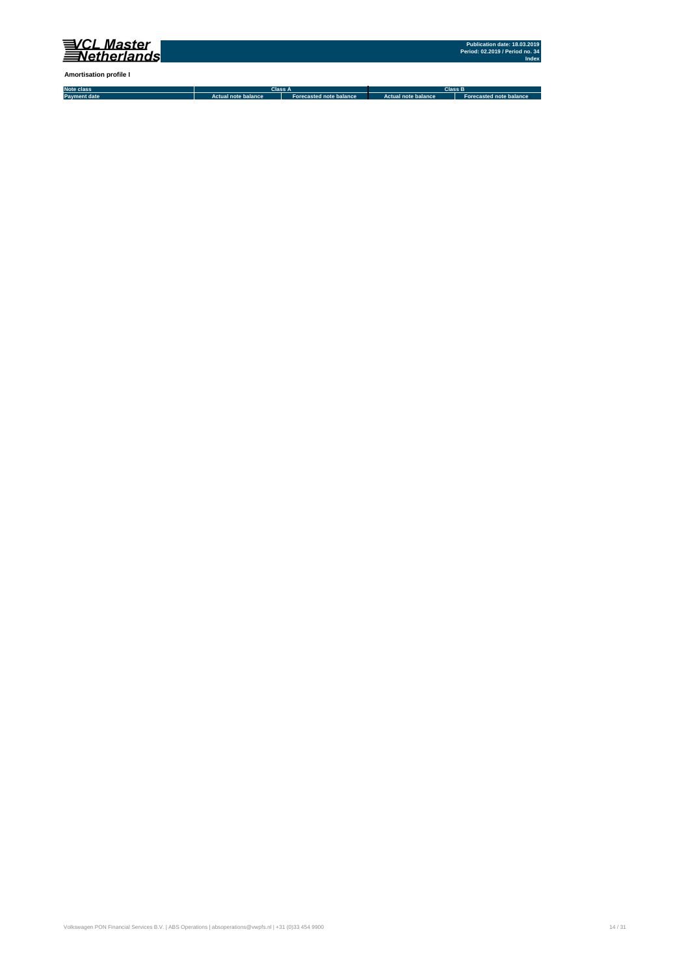

**Amortisation profile I**

**Note class Payment date Actual note balance Forecasted note balance Actual note balance2 Forecasted note balance3 Class A Class B**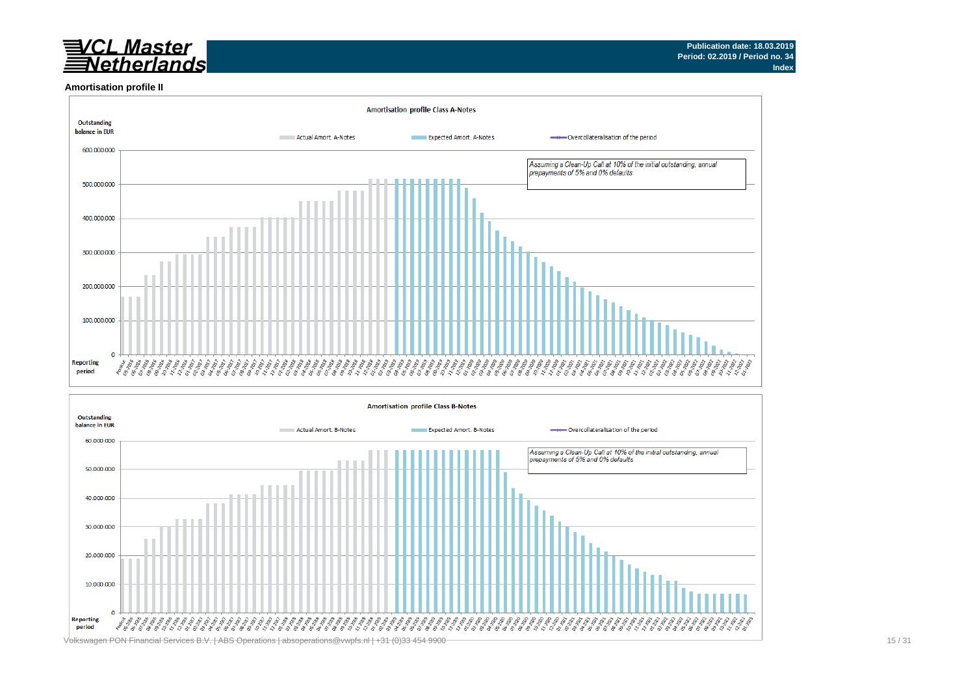## VCL Master<br>Netherlands

#### **Amortisation profile II**



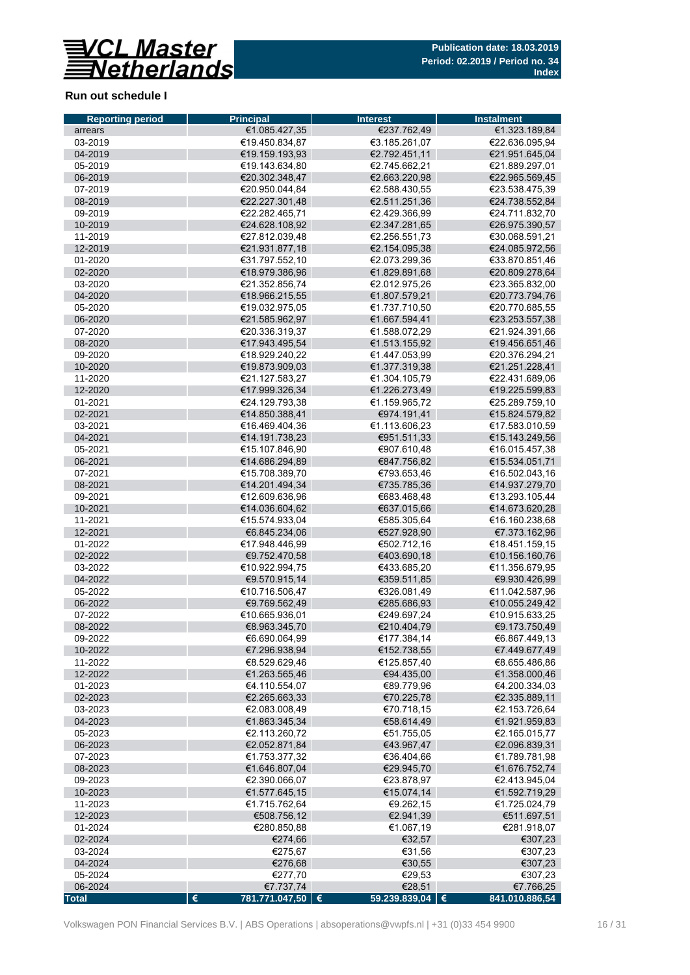

## **Run out schedule I**

| <b>Reporting period</b> | <b>Principal</b>                       | <b>Interest</b>                | <b>Instalment</b>                |
|-------------------------|----------------------------------------|--------------------------------|----------------------------------|
| arrears                 | €1.085.427,35                          | €237.762,49                    | €1.323.189,84                    |
| 03-2019                 | €19.450.834,87                         | €3.185.261,07                  | €22.636.095,94                   |
| 04-2019                 | €19.159.193,93                         | €2.792.451,11                  | €21.951.645,04                   |
| 05-2019                 | €19.143.634,80                         | €2.745.662,21                  | €21.889.297,01                   |
| 06-2019                 | €20.302.348,47                         | €2.663.220,98                  | €22.965.569,45                   |
| 07-2019                 | €20.950.044,84                         | €2.588.430,55                  | €23.538.475,39                   |
| 08-2019                 | €22.227.301,48                         | €2.511.251,36                  | €24.738.552,84                   |
| 09-2019                 | €22.282.465,71                         | €2.429.366,99                  | €24.711.832,70                   |
| 10-2019                 | €24.628.108,92                         | €2.347.281,65                  | €26.975.390,57                   |
| 11-2019                 | €27.812.039,48                         | €2.256.551,73                  | €30.068.591.21                   |
| 12-2019                 | €21.931.877,18                         | €2.154.095,38                  | €24.085.972,56                   |
| 01-2020                 | €31.797.552.10                         | €2.073.299,36                  | €33.870.851,46                   |
| 02-2020                 | €18.979.386,96                         | €1.829.891,68                  | €20.809.278,64                   |
| 03-2020                 | €21.352.856,74                         | €2.012.975,26                  | €23.365.832,00                   |
| 04-2020                 | €18.966.215,55                         | €1.807.579,21                  | €20.773.794,76                   |
| 05-2020                 | €19.032.975,05<br>€21.585.962,97       | €1.737.710,50<br>€1.667.594,41 | €20.770.685,55<br>€23.253.557,38 |
| 06-2020<br>07-2020      | €20.336.319,37                         | €1.588.072,29                  | €21.924.391,66                   |
| 08-2020                 | €17.943.495,54                         | €1.513.155,92                  | €19.456.651,46                   |
| 09-2020                 | €18.929.240,22                         | €1.447.053,99                  | €20.376.294.21                   |
| 10-2020                 | €19.873.909,03                         | €1.377.319,38                  | €21.251.228,41                   |
| 11-2020                 | €21.127.583,27                         | €1.304.105,79                  | €22.431.689.06                   |
| 12-2020                 | €17.999.326,34                         | €1.226.273,49                  | €19.225.599,83                   |
| 01-2021                 | €24.129.793,38                         | €1.159.965,72                  | €25.289.759,10                   |
| 02-2021                 | €14.850.388,41                         | €974.191,41                    | €15.824.579,82                   |
| 03-2021                 | €16.469.404,36                         | €1.113.606,23                  | €17.583.010,59                   |
| 04-2021                 | €14.191.738,23                         | €951.511,33                    | €15.143.249,56                   |
| 05-2021                 | €15.107.846,90                         | €907.610,48                    | €16.015.457,38                   |
| 06-2021                 | €14.686.294,89                         | €847.756,82                    | €15.534.051,71                   |
| 07-2021                 | €15.708.389,70                         | €793.653,46                    | €16.502.043,16                   |
| 08-2021                 | €14.201.494,34                         | €735.785,36                    | €14.937.279,70                   |
| 09-2021                 | €12.609.636,96                         | €683.468,48                    | €13.293.105,44                   |
| 10-2021                 | €14.036.604,62                         | €637.015,66                    | €14.673.620,28                   |
| 11-2021                 | €15.574.933,04                         | €585.305,64                    | €16.160.238,68                   |
| 12-2021                 | €6.845.234,06                          | €527.928,90                    | €7.373.162,96                    |
| 01-2022                 | €17.948.446,99                         | €502.712,16                    | €18.451.159,15                   |
| 02-2022                 | €9.752.470,58                          | €403.690,18                    | €10.156.160,76                   |
| 03-2022                 | €10.922.994,75                         | €433.685,20                    | €11.356.679,95                   |
| 04-2022                 | €9.570.915,14                          | €359.511,85                    | €9.930.426,99                    |
| 05-2022                 | €10.716.506,47                         | €326.081,49                    | €11.042.587,96                   |
| 06-2022                 | €9.769.562,49                          | €285.686,93                    | €10.055.249,42                   |
| 07-2022                 | €10.665.936,01                         | €249.697,24                    | €10.915.633.25                   |
| 08-2022                 | €8.963.345,70                          | €210.404,79                    | €9.173.750,49                    |
| 09-2022                 | €6.690.064,99                          | €177.384,14                    | €6.867.449,13                    |
| 10-2022                 | €7.296.938,94                          | €152.738,55                    | €7.449.677,49                    |
| 11-2022                 | €8.529.629,46                          | €125.857,40                    | €8.655.486,86                    |
| 12-2022                 | €1.263.565,46                          | €94.435,00                     | €1.358.000,46                    |
| 01-2023                 | €4.110.554,07                          | €89.779,96                     | €4.200.334,03                    |
| 02-2023<br>03-2023      | €2.265.663,33<br>€2.083.008,49         | €70.225,78<br>€70.718,15       | €2.335.889,11<br>€2.153.726,64   |
| 04-2023                 | €1.863.345,34                          | €58.614,49                     | €1.921.959,83                    |
| 05-2023                 | €2.113.260,72                          | €51.755,05                     | €2.165.015,77                    |
| 06-2023                 | €2.052.871,84                          | €43.967,47                     | €2.096.839,31                    |
| 07-2023                 | €1.753.377,32                          | €36.404,66                     | €1.789.781,98                    |
| 08-2023                 | €1.646.807,04                          | €29.945,70                     | €1.676.752,74                    |
| 09-2023                 | €2.390.066,07                          | €23.878,97                     | €2.413.945,04                    |
| 10-2023                 | €1.577.645,15                          | €15.074,14                     | €1.592.719,29                    |
| 11-2023                 | €1.715.762,64                          | €9.262,15                      | €1.725.024,79                    |
| 12-2023                 | €508.756,12                            | €2.941,39                      | €511.697,51                      |
| 01-2024                 | €280.850,88                            | €1.067,19                      | €281.918,07                      |
| 02-2024                 | €274,66                                | €32,57                         | €307,23                          |
| 03-2024                 | €275,67                                | €31,56                         | €307,23                          |
| 04-2024                 | €276,68                                | €30,55                         | €307,23                          |
| 05-2024                 | €277,70                                | €29,53                         | €307,23                          |
| 06-2024                 | €7.737,74                              | €28,51                         | €7.766,25                        |
| <b>Total</b>            | $\pmb{\epsilon}$<br>781.771.047,50   € | 59.239.839,04   €              | 841.010.886,54                   |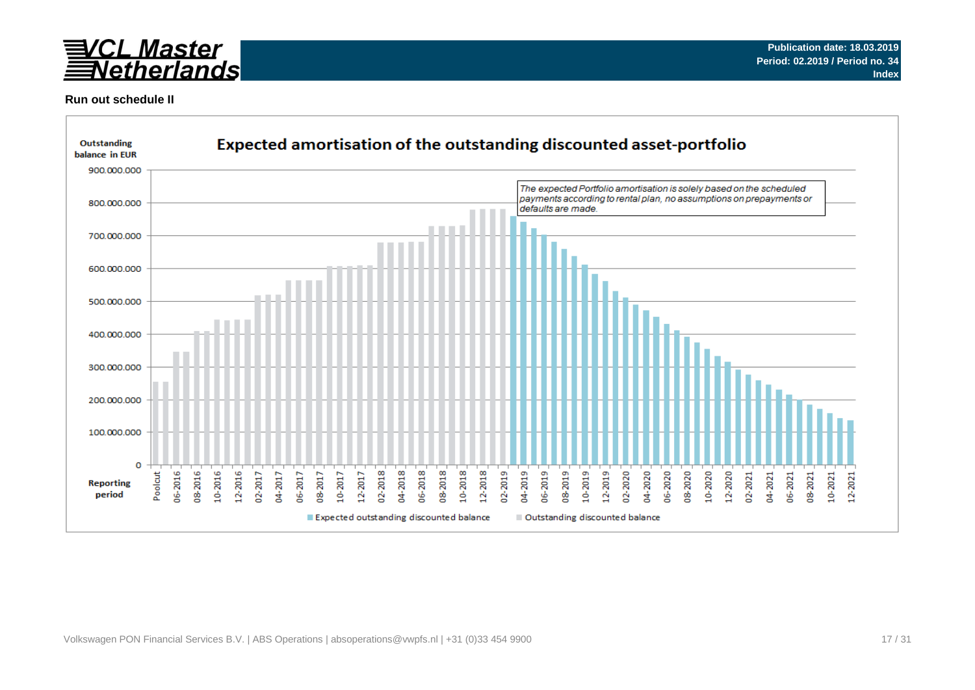

### **Run out schedule II**

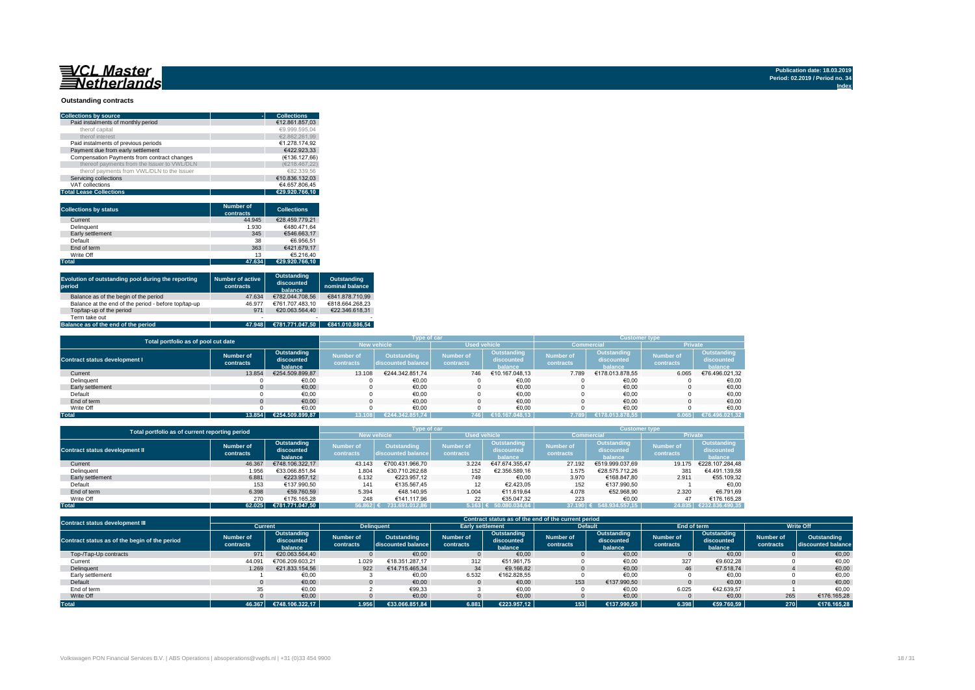#### **Outstanding contracts**

| <b>Collections by source</b>                | <b>Collections</b> |
|---------------------------------------------|--------------------|
| Paid instalments of monthly period          | €12.861.857.03     |
| therof capital                              | €9.999.595.04      |
| therof interest                             | €2.862.261.99      |
| Paid instalments of previous periods        | €1.278.174.92      |
| Payment due from early settlement           | €422.923.33        |
| Compensation Payments from contract changes | (€136.127.66)      |
| thereof payments from the Issuer to VWL/DLN | (€218.467.22)      |
| therof payments from VWL/DLN to the Issuer  | €82.339.56         |
| Servicing collections                       | €10.836.132.03     |
| VAT collections                             | €4.657.806.45      |
| <b>Total Lease Collections</b>              | €29.920.766.10     |

| <b>Collections by status</b> | <b>Number of</b><br>contracts | <b>Collections</b> |
|------------------------------|-------------------------------|--------------------|
| Current                      | 44.945                        | €28.459.779.21     |
| Delinguent                   | 1.930                         | €480.471.64        |
| Early settlement             | 345                           | €546.663.17        |
| Default                      | 38                            | €6.956.51          |
| End of term                  | 363                           | €421.679.17        |
| Write Off                    | 13                            | €5.216.40          |
| <b>Total</b>                 | 47.634                        | €29.920.766.10     |

| Evolution of outstanding pool during the reporting<br>period | <b>Number of active</b><br>contracts | Outstanding<br>discounted<br>balance | Outstanding<br>nominal balance |
|--------------------------------------------------------------|--------------------------------------|--------------------------------------|--------------------------------|
| Balance as of the begin of the period                        | 47.634                               | €782.044.708.56                      | €841.878.710.99                |
| Balance at the end of the period - before top/tap-up         | 46.977                               | €761.707.483.10                      | €818.664.268.23                |
| Top/tap-up of the period                                     | 971                                  | €20.063.564.40                       | €22.346.618.31                 |
| Term take out                                                | $\overline{\phantom{a}}$             | $\overline{\phantom{0}}$             |                                |
| Balance as of the end of the period                          | 47.948                               | €781.771.047.50                      | €841.010.886.54                |

| Total portfolio as of pool cut date  |                        |                           |                               | <b>Type of car</b>                       |                               |                           | <b>Customer type</b>          |                           |                               |                           |  |
|--------------------------------------|------------------------|---------------------------|-------------------------------|------------------------------------------|-------------------------------|---------------------------|-------------------------------|---------------------------|-------------------------------|---------------------------|--|
|                                      |                        |                           |                               | <b>New vehicle</b>                       | <b>Used vehicle</b>           |                           |                               | <b>Commercial</b>         | <b>Private</b>                |                           |  |
| <b>Contract status development I</b> | Number of<br>contracts | Outstanding<br>discounted | <b>Number</b> of<br>contracts | <b>Outstanding</b><br>discounted balance | <b>Number of</b><br>contracts | Outstanding<br>discounted | <b>Number of</b><br>contracts | Outstanding<br>discounted | <b>Number of</b><br>contracts | Outstanding<br>discounted |  |
|                                      |                        | balance                   |                               |                                          |                               | halance                   |                               | halance                   |                               | balance                   |  |
| Current                              | 13.854                 | €254.509.899.87           | 13.108                        | €244.342.851.74                          | 746                           | €10.167.048.13            | 7.789                         | €178.013.878.55           | 6.065                         | €76.496.021.32            |  |
| Delinquent                           |                        | €0,00                     |                               | €0,00                                    |                               | €0,00                     |                               | €0,00                     |                               | €0,00                     |  |
| Early settlement                     |                        | €0,00                     |                               | €0,00                                    |                               | €0,00                     |                               | €0,00                     |                               | €0,00                     |  |
| Default                              |                        | €0.00                     |                               | €0,00                                    |                               | €0,00                     |                               | €0,00                     |                               | €0,00                     |  |
| End of term                          |                        | €0.00                     |                               | €0.00                                    |                               | €0.00                     |                               | €0.00                     |                               | €0,00                     |  |
| Write Off                            |                        | €0.00                     |                               | €0.00                                    |                               | €0.00                     |                               | €0.00                     |                               | €0.00                     |  |
| <b>Total</b>                         | 13.854                 | €254.509.899.87           | 13.108                        | €244.342.851.74                          | 746                           | €10.167.048.13            | 7.789                         | €178.013.878.55           | 6.065                         | €76.496.021,32            |  |

| Total portfolio as of current reporting period |                        |                                      |                               | Type of car                              |                               |                                      | <b>Customer type</b>          |                                      |                               |                                      |  |
|------------------------------------------------|------------------------|--------------------------------------|-------------------------------|------------------------------------------|-------------------------------|--------------------------------------|-------------------------------|--------------------------------------|-------------------------------|--------------------------------------|--|
|                                                |                        |                                      | <b>New vehicle</b>            |                                          | <b>Used vehicle</b>           |                                      |                               | Commercial                           | <b>Private</b>                |                                      |  |
| <b>Contract status development II</b>          | Number of<br>contracts | Outstanding<br>discounted<br>balance | <b>Number of</b><br>contracts | <b>Outstanding</b><br>discounted balance | <b>Number of</b><br>contracts | Outstanding<br>discounted<br>balance | <b>Number of</b><br>contracts | Outstanding<br>discounted<br>balance | <b>Number of</b><br>contracts | Outstanding<br>discounted<br>balance |  |
| Current                                        | 46.367                 | €748.106.322.17                      | 43.143                        | €700.431.966.70                          | 3.224                         | €47.674.355.47                       | 27.192                        | €519.999.037.69                      | 19.175                        | €228.107.284.48                      |  |
| Delinquent                                     | 1.956                  | €33.066.851.84                       | 1.804                         | €30.710.262.68                           | 152                           | €2.356.589.16                        | 1.575                         | €28.575.712.26                       | 381                           | €4.491.139.58                        |  |
| Early settlement                               | 6.881                  | €223.957.12                          | 6.132                         | €223.957.12                              | 749                           | €0,00                                | 3.970                         | €168,847,80                          | 2.911                         | €55.109,32                           |  |
| Default                                        | 153                    | €137.990.50                          | 141                           | €135.567.45                              |                               | €2.423.05                            | 152                           | €137.990.50                          |                               | €0.00                                |  |
| End of term                                    | 6.398                  | €59.760.59                           | 5.394                         | €48.140.95                               | 1.004                         | €11.619.64                           | 4.078                         | €52.968.90                           | 2.320                         | €6.791.69                            |  |
| Write Off                                      | 270                    | €176.165.28                          | 248                           | €141.117.96                              | 22                            | €35.047.32                           | 223                           | €0.00                                | 47                            | €176.165.28                          |  |
| <b>Total</b>                                   | 62.025                 | €781.771.047.50                      | $56.862$ €                    | 731.691.012.86                           |                               | $5.163$ ∈ 50.080.034.64              | 37.190 €                      | 548.934.557.15                       | 24.835                        | €232.836.490.35                      |  |

| <b>Contract status development III</b>        |                               |                                      |                        |                                   |                               |                                      | Contract status as of the end of the current period |                                      |                               |                                      |                        |                                   |
|-----------------------------------------------|-------------------------------|--------------------------------------|------------------------|-----------------------------------|-------------------------------|--------------------------------------|-----------------------------------------------------|--------------------------------------|-------------------------------|--------------------------------------|------------------------|-----------------------------------|
|                                               | Current                       |                                      |                        | <b>Delinguent</b>                 | <b>Early settlement</b>       |                                      |                                                     | <b>Default</b>                       | End of term                   |                                      | <b>Write Off</b>       |                                   |
| Contract status as of the begin of the period | <b>Number of</b><br>contracts | Outstanding<br>discounted<br>halance | Number of<br>contracts | Outstanding<br>discounted balance | <b>Number of</b><br>contracts | Outstanding<br>discounted<br>balance | Number of<br>contracts                              | Outstanding<br>discounted<br>balance | <b>Number of</b><br>contracts | Outstanding<br>discounted<br>balance | Number of<br>contracts | Outstanding<br>discounted balance |
| Top-/Tap-Up contracts                         | 971                           | €20.063.564.40                       |                        | €0.00                             |                               | €0.00                                |                                                     | €0.00                                |                               | €0.00                                |                        | €0,00                             |
| Current                                       | 44.091                        | €706.209.603.21                      | 1.029                  | €18.351.287,17                    | 312                           | €51.961.75                           |                                                     | €0,00                                | 327                           | €9.602.28                            |                        | €0,00                             |
| Delinquent                                    | 1.269                         | €21.833.154.56                       | 922                    | €14.715.465.34                    | 34                            | €9.166.82                            |                                                     | €0,00                                | 46                            | €7.518.74                            |                        | €0,00                             |
| Early settlement                              |                               | €0,00                                |                        | €0,00                             | 6.532                         | €162.828.55                          |                                                     | €0,00                                |                               | €0,00                                |                        | €0,00                             |
| Default                                       |                               | €0.00                                |                        | €0,00                             |                               | €0,00                                | 153                                                 | €137.990.50                          |                               | €0.00                                |                        | €0,00                             |
| End of term                                   |                               | €0.00                                |                        | €99,33                            |                               | €0,00                                |                                                     | €0,00                                | 6.025                         | €42.639.57                           |                        | €0.00                             |
| Write Off                                     |                               | €0.00                                |                        | €0,00                             |                               | €0,00                                |                                                     | €0,00                                |                               | €0,00                                | 265                    | €176.165,28                       |
| <b>Total</b>                                  | 46.367                        | €748.106.322.17                      | 1.956                  | €33.066.851.84                    | 6.881                         | €223.957.12                          | 153                                                 | €137.990.50                          | 6.398                         | €59.760.59                           | 270                    | €176.165.28                       |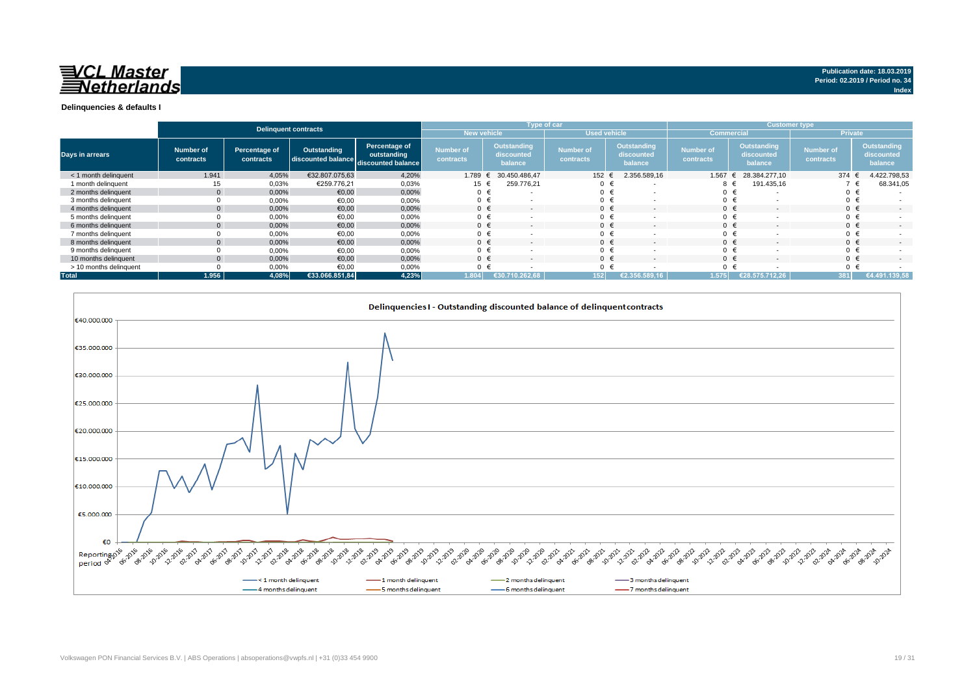

#### **Delinquencies & defaults I**

|                        |                        |                            | Delinquent contracts                                        |                              |                               |                                             | Type of car                   |                                      | <b>Customer type</b>          |                                      |                               |                                             |  |
|------------------------|------------------------|----------------------------|-------------------------------------------------------------|------------------------------|-------------------------------|---------------------------------------------|-------------------------------|--------------------------------------|-------------------------------|--------------------------------------|-------------------------------|---------------------------------------------|--|
|                        |                        |                            |                                                             |                              | New vehicle                   |                                             |                               | <b>Used vehicle</b>                  |                               | <b>Commercial</b>                    |                               | <b>Private</b>                              |  |
| <b>Days in arrears</b> | Number of<br>contracts | Percentage of<br>contracts | <b>Outstanding</b><br>discounted balance discounted balance | Percentage of<br>outstanding | <b>Number of</b><br>contracts | <b>Outstanding</b><br>discounted<br>balance | <b>Number of</b><br>contracts | Outstanding<br>discounted<br>balance | <b>Number of</b><br>contracts | Outstanding<br>discounted<br>balance | <b>Number of</b><br>contracts | <b>Outstanding</b><br>discounted<br>balance |  |
| < 1 month delinquent   | 1.941                  | 4,05%                      | €32.807.075.63                                              | 4,20%                        | 1.789                         | 30.450.486.47                               | 152                           | 2.356.589,16                         | 1.567                         | 28.384.277.10                        | 374                           | 4.422.798,53                                |  |
| 1 month delinguent     | 15                     | 0,03%                      | €259.776.21                                                 | 0,03%                        | 15 €                          | 259.776.21                                  |                               | €<br>$\overline{\phantom{a}}$        | 8 €                           | 191.435,16                           |                               | 68.341,05                                   |  |
| 2 months delinquent    |                        | 0,00%                      | €0,00                                                       | 0,00%                        | 0 <sub>0</sub>                | $\overline{\phantom{a}}$                    | $0 \in$                       | $\overline{\phantom{a}}$             | 0 <sub>0</sub>                |                                      | $0 \in$                       |                                             |  |
| 3 months delinquent    |                        | 0,00%                      | €0,00                                                       | 0,00%                        | $0 \in$                       |                                             |                               | €                                    | 0 <sub>0</sub>                |                                      | $0 \in$                       |                                             |  |
| 4 months delinquent    |                        | 0,00%                      | €0,00                                                       | 0,00%                        | $0 \in$                       | $\overline{\phantom{a}}$                    | $0 \in$                       | $\overline{\phantom{a}}$             | $0 \in$                       |                                      | $0 \in$                       | $\overline{\phantom{0}}$                    |  |
| 5 months delinquent    |                        | 0,00%                      | €0,00                                                       | 0,00%                        |                               | <b>.</b>                                    | $0 \in$                       | $\overline{\phantom{a}}$             | 0 <sub>0</sub>                |                                      | $0 \in$                       |                                             |  |
| 6 months delinquent    |                        | 0,00%                      | €0,00                                                       | 0,00%                        |                               |                                             | $0 \in$                       | $\overline{\phantom{a}}$             | $0 \in$                       |                                      | $0 \in$                       | $\sim$                                      |  |
| 7 months delinquent    |                        | 0,00%                      | €0,00                                                       | 0,00%                        |                               |                                             | $0 \in$                       | $\overline{\phantom{a}}$             | $0 \in$                       |                                      | $0 \in$                       |                                             |  |
| 8 months delinquent    |                        | 0,00%                      | €0,00                                                       | 0,00%                        |                               |                                             | $0 \in$                       | $\overline{\phantom{a}}$             | $0 \in$                       |                                      | $0 \in$                       |                                             |  |
| 9 months delinquent    |                        | 0,00%                      | €0.00                                                       | 0,00%                        | $0 \in$                       |                                             |                               | €<br>$\overline{\phantom{a}}$        | $0 \in$                       |                                      | $0 \in$                       |                                             |  |
| 10 months delinquent   |                        | 0.00%                      | €0.00                                                       | 0.00%                        | $0 \in$                       | $\overline{a}$                              | $0 \in$                       | $\sim$                               | $0 \in$                       | $\overline{a}$                       | $0 \in$                       | $\sim$                                      |  |
| > 10 months delinquent |                        | 0,00%                      | €0.00                                                       | 0,00%                        |                               |                                             |                               |                                      | $\Omega$                      |                                      | $0 \in$                       |                                             |  |
| <b>Total</b>           | 1.956                  | 4.08%                      | €33.066.851.84                                              | 4,23%                        | .804                          | 1.262.68<br>€30.710                         | 152                           | $\sqrt{2.356.589.16}$                | 1.575                         | (€28.575.712.26)                     |                               | €4.491.139.58                               |  |



**Index**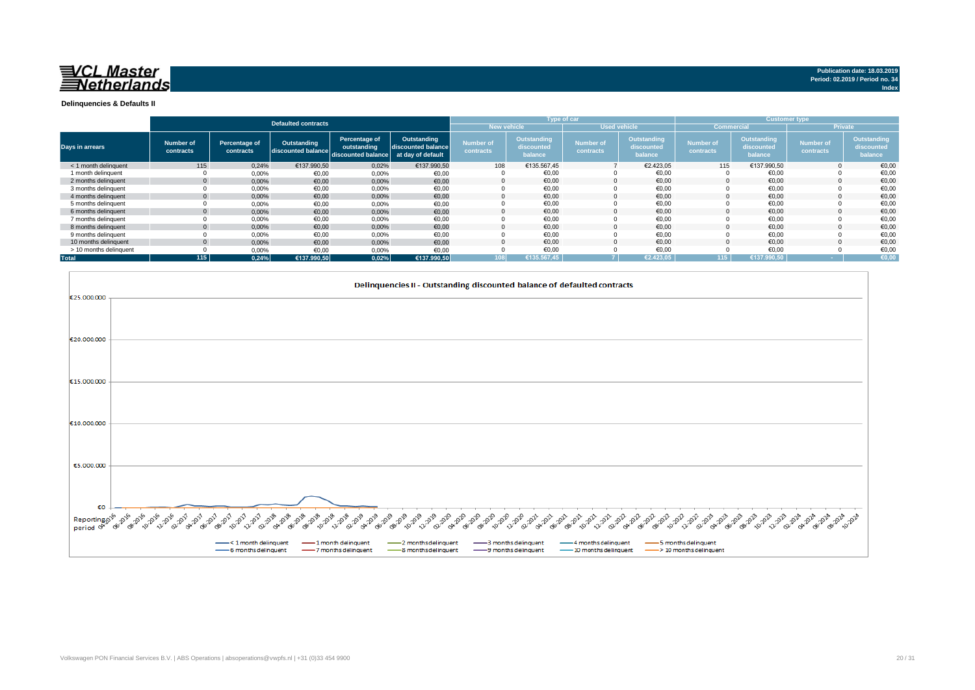

**Index**

#### **Delinquencies & Defaults II**

|                        |                               |                            |                                   |                                                    |                                                        |                               |                                             | Type of car                   |                                             |                               |                                             | <b>Customer type</b>          |                                      |
|------------------------|-------------------------------|----------------------------|-----------------------------------|----------------------------------------------------|--------------------------------------------------------|-------------------------------|---------------------------------------------|-------------------------------|---------------------------------------------|-------------------------------|---------------------------------------------|-------------------------------|--------------------------------------|
|                        |                               |                            | <b>Defaulted contracts</b>        |                                                    |                                                        | <b>New vehicle</b>            |                                             | <b>Used vehicle</b>           |                                             | <b>Commercial</b>             |                                             |                               | <b>Private</b>                       |
| <b>Days in arrears</b> | <b>Number of</b><br>contracts | Percentage of<br>contracts | Outstanding<br>discounted balance | Percentage of<br>outstanding<br>discounted balance | Outstanding<br>discounted balance<br>at day of default | <b>Number of</b><br>contracts | <b>Outstanding</b><br>discounted<br>palance | <b>Number of</b><br>contracts | Outstanding<br>discounted<br><b>balance</b> | <b>Number of</b><br>contracts | <b>Outstanding</b><br>discounted<br>balance | <b>Number of</b><br>contracts | Outstanding<br>discounted<br>balance |
| < 1 month delinquent   | 115                           | 0.24%                      | €137,990.50                       | 0,02%                                              | €137.990,50                                            | 108                           | €135.567,45                                 |                               | €2.423.05                                   | 115                           | €137,990.50                                 |                               | €0,00                                |
| 1 month delinquent     |                               | 0,00%                      | €0,00                             | 0,00%                                              | €0,00                                                  |                               | €0.00                                       |                               | €0.00                                       |                               | €0.00                                       |                               | €0,00                                |
| 2 months delinquent    | $\mathbf{0}$                  | 0,00%                      | €0,00                             | 0,00%                                              | €0,00                                                  |                               | €0,00                                       |                               | €0,00                                       |                               | €0,00                                       |                               | €0,00                                |
| 3 months delinquent    |                               | 0,00%                      | €0,00                             | 0,00%                                              | €0,00                                                  |                               | €0,00                                       |                               | €0,00                                       |                               | €0,00                                       |                               | €0,00                                |
| 4 months delinquent    | $\mathbf{0}$                  | 0,00%                      | €0,00                             | 0,00%                                              | €0,00                                                  |                               | €0.00                                       |                               | €0,00                                       |                               | €0,00                                       |                               | €0,00                                |
| 5 months delinguent    |                               | 0,00%                      | €0,00                             | 0,00%                                              | €0,00                                                  |                               | €0,00                                       |                               | €0.00                                       |                               | €0,00                                       |                               | €0,00                                |
| 6 months delinquent    |                               | 0,00%                      | €0.00                             | 0,00%                                              | €0,00                                                  |                               | €0.00                                       |                               | €0,00                                       |                               | €0,00                                       |                               | €0,00                                |
| 7 months delinquent    |                               | 0,00%                      | €0,00                             | 0,00%                                              | €0,00                                                  |                               | €0,00                                       |                               | €0,00                                       |                               | €0,00                                       |                               | €0,00                                |
| 8 months delinguent    | $\mathbf{0}$                  | 0,00%                      | €0,00                             | 0,00%                                              | €0,00                                                  |                               | €0.00                                       |                               | €0.00                                       |                               | €0.00                                       |                               | €0,00                                |
| 9 months delinquent    |                               | 0.00%                      | €0.00                             | 0,00%                                              | €0,00                                                  |                               | €0,00                                       |                               | €0.00                                       |                               | €0,00                                       |                               | €0,00                                |
| 10 months delinguent   | $\Omega$                      | 0,00%                      | €0.00                             | 0,00%                                              | €0,00                                                  |                               | €0.00                                       |                               | €0.00                                       |                               | €0.00                                       |                               | €0,00                                |
| > 10 months delinquent |                               | 0,00%                      | €0,00                             | 0,00%                                              | €0,00                                                  |                               | €0,00                                       |                               | €0,00                                       |                               | €0,00                                       |                               | €0,00                                |
| <b>Total</b>           | 115                           | 0,24%                      | €137.990,50                       | 0.02%                                              | €137.990,50                                            | 108                           | €135.567.45                                 |                               | €2.423.05                                   | 115                           | €137.990.50                                 |                               | €0.00                                |

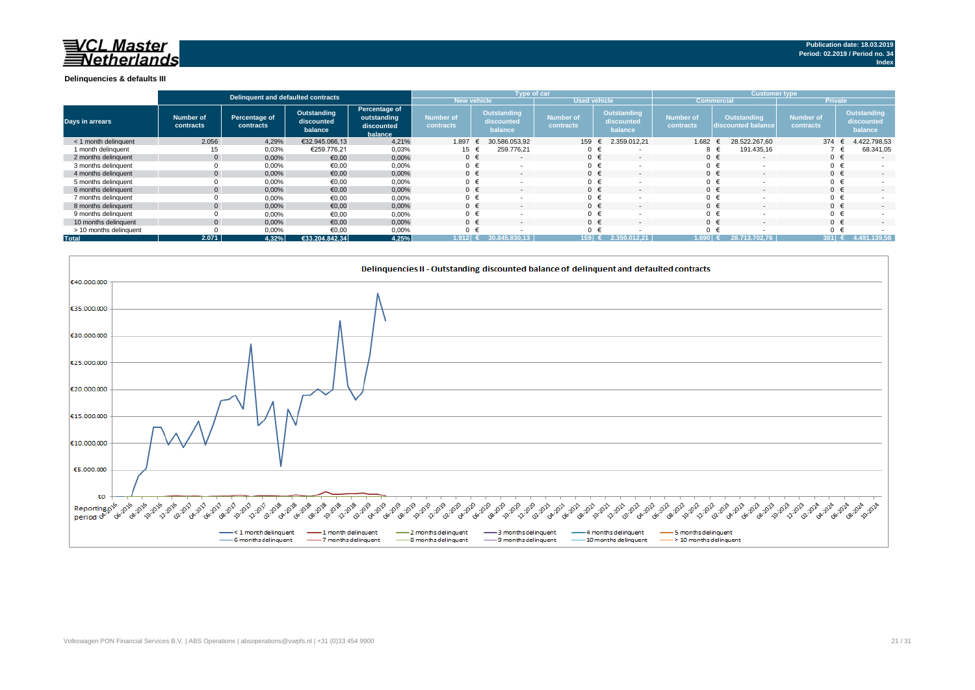#### **Delinquencies & defaults III**

|                        |                        | Delinguent and defaulted contracts |                                      |                                                       |                                      | Type of car                          |                               |                                             | <b>Customer type</b>   |                                          |                               |                                      |  |
|------------------------|------------------------|------------------------------------|--------------------------------------|-------------------------------------------------------|--------------------------------------|--------------------------------------|-------------------------------|---------------------------------------------|------------------------|------------------------------------------|-------------------------------|--------------------------------------|--|
|                        |                        |                                    |                                      |                                                       | <b>New vehicle</b>                   |                                      | <b>Used vehicle</b>           |                                             | <b>Commercia</b>       |                                          | <b>Private</b>                |                                      |  |
| <b>Days in arrears</b> | Number of<br>contracts | Percentage of<br>contracts         | Outstanding<br>discounted<br>balance | Percentage of<br>outstanding<br>discounted<br>balance | <b>Number of</b><br><b>contracts</b> | Outstanding<br>discounted<br>balance | <b>Number of</b><br>contracts | <b>Outstanding</b><br>discounted<br>balance | Number of<br>contracts | <b>Outstanding</b><br>discounted balance | <b>Number of</b><br>contracts | Outstanding<br>discounted<br>balance |  |
| < 1 month delinguent   | 2.056                  | 4,29%                              | €32.945.066,13                       | 4,21%                                                 | 1.897                                | 30.586.053.92                        | 159                           | 2.359.012.21                                | 1.682                  | 28.522.267.60                            | 374                           | 4.422.798,53                         |  |
| 1 month delinguent     |                        | 0,03%                              | €259.776,21                          | 0,03%                                                 | 15                                   | 259.776,21                           |                               |                                             | 8 €                    | 191.435,16                               |                               | 68.341,05                            |  |
| 2 months delinguent    |                        | 0.00%                              | €0,00                                | 0,00%                                                 | $0 \in$                              | $\sim$                               | $0 \in$                       | $\overline{\phantom{a}}$                    | $0 \in$                |                                          |                               | $\sim$                               |  |
| 3 months delinguent    |                        | 0,00%                              | €0,00                                | 0,00%                                                 | $\mathbf{0}$                         |                                      |                               |                                             | $0 \in$                |                                          |                               |                                      |  |
| 4 months delinquent    |                        | 0.00%                              | €0,00                                | 0,00%                                                 | $0 \in$                              | $\sim$                               | $0 \in$                       |                                             | $0 \in$                |                                          | $0 \in$                       | $\sim$                               |  |
| 5 months delinquent    |                        | 0,00%                              | €0,00                                | 0,00%                                                 | 0                                    |                                      | $0 \in$                       |                                             | $0 \in$                |                                          |                               |                                      |  |
| 6 months delinguent    |                        | 0,00%                              | €0,00                                | 0,00%                                                 | $0 \in$                              |                                      | $0 \in$                       |                                             | $0 \in$                |                                          |                               | $\sim$                               |  |
| 7 months delinquent    |                        | 0,00%                              | €0,00                                | 0,00%                                                 | $\Omega$                             |                                      |                               |                                             | $0 \in$                |                                          |                               |                                      |  |
| 8 months delinguent    |                        | 0,00%                              | €0,00                                | 0,00%                                                 | $\Omega$                             |                                      |                               |                                             | $0 \in$                |                                          |                               | $\overline{\phantom{a}}$             |  |
| 9 months delinquent    |                        | 0,00%                              | €0,00                                | 0,00%                                                 | $\Omega$                             |                                      | $0 \in$                       |                                             | $0 \in$                |                                          |                               |                                      |  |
| 10 months delinguent   |                        | 0,00%                              | €0,00                                | 0,00%                                                 | $\Omega$                             |                                      | $0 \in$                       |                                             | $0 \in$                |                                          |                               | $\overline{\phantom{a}}$             |  |
| > 10 months delinquent |                        | 0,00%                              | €0,00                                | 0,00%                                                 | $\Omega$                             |                                      | ∩ €                           |                                             |                        |                                          |                               |                                      |  |
| <b>Total</b>           | 2.071                  | 4.32%                              | €33.204.842.34                       | 4,25%                                                 | 1.912 I€                             | 345.830.13                           | $159$ (                       | . 2.359.012.21                              | $1.690+$               | 28.713.702.76                            | $381 \in$                     | 4.491.139,58                         |  |

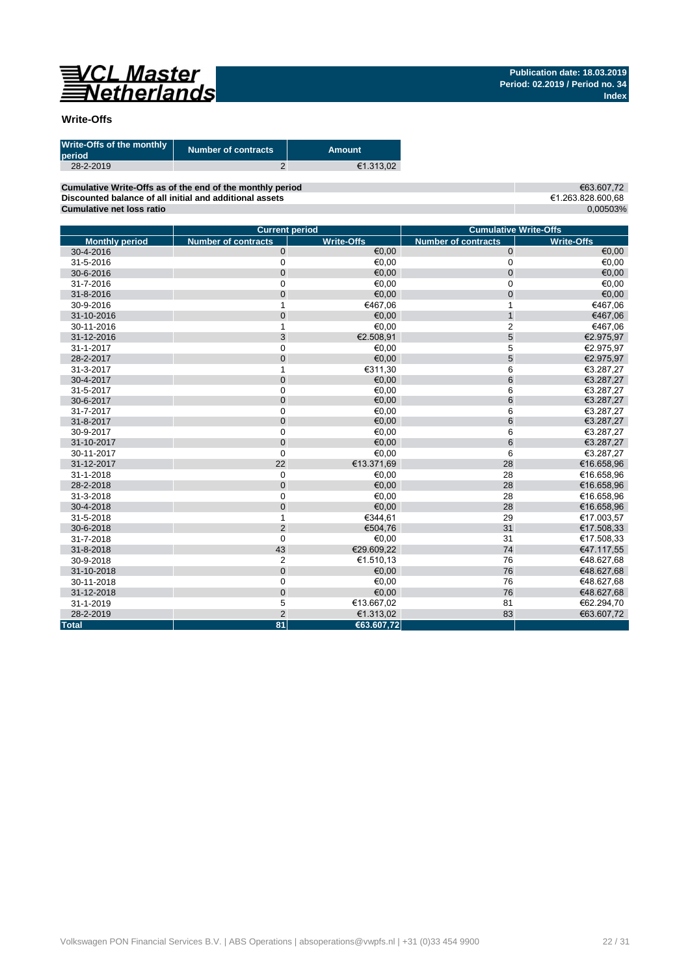

### **Write-Offs**

| Write-Offs of the monthly<br>period | <b>Number of contracts</b> | <b>Amount</b> |
|-------------------------------------|----------------------------|---------------|
| 28-2-2019                           |                            | €1.313.02     |

**Cumulative Write-Offs as of the end of the monthly period Discounted balance of all initial and additional assets Cumulative net loss ratio**

€63.607,72 €1.263.828.600,68 0,00503%

|                       | <b>Current period</b>      |                   |                            | <b>Cumulative Write-Offs</b> |
|-----------------------|----------------------------|-------------------|----------------------------|------------------------------|
| <b>Monthly period</b> | <b>Number of contracts</b> | <b>Write-Offs</b> | <b>Number of contracts</b> | <b>Write-Offs</b>            |
| 30-4-2016             | $\pmb{0}$                  | €0,00             | $\mathbf 0$                | $\epsilon$ 0,00              |
| 31-5-2016             | 0                          | €0,00             | $\mathbf 0$                | €0,00                        |
| 30-6-2016             | $\mathbf 0$                | €0,00             | $\mathbf 0$                | €0,00                        |
| 31-7-2016             | $\mathbf 0$                | €0,00             | $\mathbf 0$                | €0,00                        |
| 31-8-2016             | $\mathbf 0$                | €0,00             | $\mathbf 0$                | €0,00                        |
| 30-9-2016             | 1                          | €467,06           | $\mathbf 1$                | €467,06                      |
| 31-10-2016            | $\mathbf 0$                | €0,00             | $\mathbf{1}$               | €467,06                      |
| 30-11-2016            | 1                          | €0,00             | $\overline{2}$             | €467,06                      |
| 31-12-2016            | 3                          | €2.508,91         | 5                          | €2.975,97                    |
| 31-1-2017             | $\mathbf 0$                | €0,00             | 5                          | €2.975,97                    |
| 28-2-2017             | $\mathbf{0}$               | €0.00             | 5                          | €2.975,97                    |
| 31-3-2017             | 1                          | €311.30           | 6                          | €3.287,27                    |
| 30-4-2017             | $\mathbf 0$                | €0,00             | $6\phantom{1}$             | €3.287,27                    |
| 31-5-2017             | $\mathbf 0$                | €0,00             | 6                          | €3.287,27                    |
| 30-6-2017             | $\mathbf{0}$               | €0,00             | $6\phantom{1}6$            | €3.287,27                    |
| 31-7-2017             | $\boldsymbol{0}$           | €0,00             | 6                          | €3.287,27                    |
| 31-8-2017             | $\mathbf 0$                | €0,00             | 6                          | €3.287,27                    |
| 30-9-2017             | $\mathbf 0$                | €0,00             | 6                          | €3.287,27                    |
| 31-10-2017            | $\mathbf 0$                | €0,00             | $6\phantom{1}6$            | €3.287,27                    |
| 30-11-2017            | $\mathbf 0$                | €0,00             | 6                          | €3.287,27                    |
| 31-12-2017            | 22                         | €13.371,69        | 28                         | €16.658,96                   |
| 31-1-2018             | $\mathbf 0$                | €0,00             | 28                         | €16.658,96                   |
| 28-2-2018             | $\mathbf{0}$               | €0,00             | 28                         | €16.658,96                   |
| 31-3-2018             | $\mathbf 0$                | €0.00             | 28                         | €16.658,96                   |
| 30-4-2018             | $\mathbf 0$                | €0,00             | 28                         | €16.658,96                   |
| 31-5-2018             | 1                          | €344.61           | 29                         | €17.003,57                   |
| 30-6-2018             | $\overline{2}$             | €504,76           | 31                         | €17.508,33                   |
| 31-7-2018             | $\mathbf 0$                | €0,00             | 31                         | €17.508,33                   |
| 31-8-2018             | 43                         | €29.609,22        | 74                         | €47.117,55                   |
| 30-9-2018             | $\overline{2}$             | €1.510,13         | 76                         | €48.627,68                   |
| 31-10-2018            | $\pmb{0}$                  | €0,00             | 76                         | €48.627,68                   |
| 30-11-2018            | $\mathbf 0$                | €0,00             | 76                         | €48.627,68                   |
| 31-12-2018            | $\mathbf 0$                | €0,00             | 76                         | €48.627,68                   |
| 31-1-2019             | 5                          | €13.667,02        | 81                         | €62.294,70                   |
| 28-2-2019             | $\overline{2}$             | €1.313,02         | 83                         | €63.607,72                   |
| <b>Total</b>          | 81                         | €63.607,72        |                            |                              |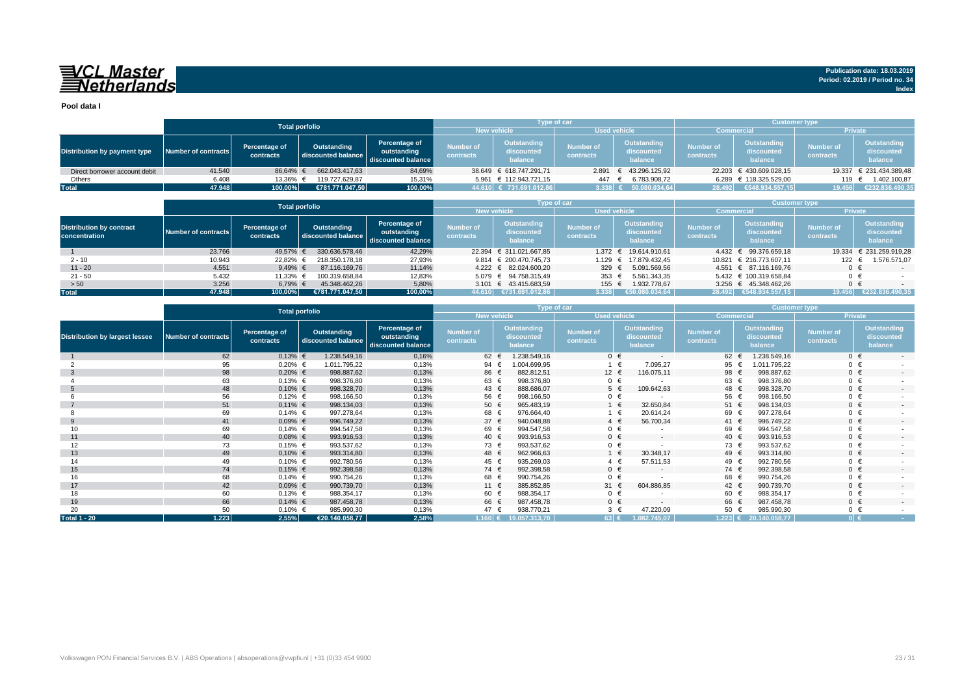## VCL Master<br>ENetherlands

**Pool data I**

|                               |                     |                            | <b>Total porfolio</b>             |                                                    |                                           | Type of car                          |                               |                                      | <b>Customer type</b>          |                                      |                               |                                      |
|-------------------------------|---------------------|----------------------------|-----------------------------------|----------------------------------------------------|-------------------------------------------|--------------------------------------|-------------------------------|--------------------------------------|-------------------------------|--------------------------------------|-------------------------------|--------------------------------------|
|                               |                     |                            |                                   |                                                    | <b>New vehicle</b><br><b>Used vehicle</b> |                                      | <b>Commercial</b>             |                                      | <b>Private</b>                |                                      |                               |                                      |
| Distribution by payment type  | Number of contracts | Percentage of<br>contracts | Outstanding<br>discounted balance | Percentage of<br>outstanding<br>discounted balance | <b>Number of</b><br>contracts             | Outstanding<br>discounted<br>balance | <b>Number of</b><br>contracts | Outstanding<br>discounted<br>balance | <b>Number of</b><br>contracts | Outstanding<br>discounted<br>balance | <b>Number of</b><br>contracts | Outstanding<br>discounted<br>balance |
| Direct borrower account debit | 41.540              | 86.64% €                   | 662.043.417.63                    | 84,69%                                             |                                           | 38.649 € 618.747.291.71              |                               | 2.891 € 43.296.125.92                |                               | 22.203 € 430.609.028.15              |                               | 19.337 € 231.434.389,48              |
| Others                        | 6.408               | 13.36% €                   | 119.727.629.87                    | 15,31%                                             |                                           | 5.961 € 112.943.721.15               | 447                           | 6.783.908,72                         |                               | 6.289 € 118.325.529,00               |                               | 1.402.100,87                         |
| <b>Total</b>                  | 47.948              | 100,00%                    | €781.771.047.50                   | 100,00%                                            |                                           | 44.610 € 731.691.012,86              | $3.338$ €                     | 50.080.034.64                        |                               | 28.492 €548.934.557,15               | 19.456                        | €232.836.490,35                      |

|                                                  |                     |                            | <b>Total porfolio</b>             |                                                    |                                           | Type of car                          |                                      |                                      | <b>Customer type</b>          |                                             |                               |                                      |  |
|--------------------------------------------------|---------------------|----------------------------|-----------------------------------|----------------------------------------------------|-------------------------------------------|--------------------------------------|--------------------------------------|--------------------------------------|-------------------------------|---------------------------------------------|-------------------------------|--------------------------------------|--|
|                                                  |                     |                            |                                   |                                                    | <b>New vehicle</b><br><b>Used vehicle</b> |                                      |                                      |                                      |                               | <b>Commercial</b>                           |                               | <b>Private</b>                       |  |
| <b>Distribution by contract</b><br>concentration | Number of contracts | Percentage of<br>contracts | Outstanding<br>discounted balance | Percentage of<br>outstanding<br>discounted balance | <b>Number of</b><br>contracts             | Outstanding<br>discounted<br>balance | <b>Number of</b><br><b>contracts</b> | Outstanding<br>discounted<br>balance | <b>Number of</b><br>contracts | <b>Outstanding</b><br>discounted<br>balance | <b>Number of</b><br>contracts | Outstanding<br>discounted<br>balance |  |
|                                                  | 23.766              | 49,57%                     | 330.636.578.46                    | 42,29%                                             |                                           | 22.394 € 311.021.667,85              |                                      | 1.372 € 19.614.910,61                |                               | 4.432 € 99.376.659,18                       |                               | 19.334 € 231.259.919,28              |  |
| $2 - 10$                                         | 10.943              | 22,82%                     | 218.350.178.18                    | 27,93%                                             |                                           | 9.814 $\in$ 200.470.745.73           |                                      | 1.129 € 17.879.432.45                |                               | 10.821 € 216.773.607.11                     | 122                           | 1.576.571,07                         |  |
| $11 - 20$                                        | 4.551               | 9,49% $\in$                | 87.116.169.76                     | 11,14%                                             |                                           | 4.222 € 82.024.600.20                | 329 $\epsilon$                       | 5.091.569.56                         |                               | 4.551 € 87.116.169.76                       | $0 \in$                       | $-$                                  |  |
| $21 - 50$                                        | 5.432               | 11,33%                     | 100.319.658.84                    | 12,83%                                             |                                           | 5.079 € 94.758.315.49                | 353 $\epsilon$                       | 5.561.343.35                         |                               | 5.432 € 100.319.658.84                      | $0 \in$                       |                                      |  |
| > 50                                             | 3.256               | 6,79% €                    | 45.348.462.26                     | 5,80%                                              |                                           | 3.101 € 43.415.683,59                | 155 €                                | 1.932.778.67                         |                               | 3.256 € 45.348.462.26                       | $0 \in$                       |                                      |  |
| <b>Total</b>                                     | 47.948              | 100.00%                    | €781.771.047.50                   | 100,00%                                            | 44.610                                    | ₹731.691.012,86                      | 3.338                                | €50.080.034.64                       |                               | 28.492 €548.934.557.15                      | 19.456                        | €232.836.490,35                      |  |

|                                       |                            |                            | <b>Total porfolio</b>             |                                                    |                               |                                      | Type of car                   |                                      | <b>Customer type</b>          |                                             |                               |                                             |
|---------------------------------------|----------------------------|----------------------------|-----------------------------------|----------------------------------------------------|-------------------------------|--------------------------------------|-------------------------------|--------------------------------------|-------------------------------|---------------------------------------------|-------------------------------|---------------------------------------------|
|                                       |                            |                            |                                   |                                                    | <b>New vehicle</b>            |                                      |                               | <b>Used vehicle</b>                  | <b>Commercial</b>             |                                             | Private                       |                                             |
| <b>Distribution by largest lessee</b> | <b>Number of contracts</b> | Percentage of<br>contracts | Outstanding<br>discounted balance | Percentage of<br>outstanding<br>discounted balance | <b>Number of</b><br>contracts | Outstanding<br>discounted<br>balance | <b>Number of</b><br>contracts | Outstanding<br>discounted<br>balance | <b>Number of</b><br>contracts | <b>Outstanding</b><br>discounted<br>balance | <b>Number of</b><br>contracts | <b>Outstanding</b><br>discounted<br>balance |
|                                       | 62                         | $0,13%$ €                  | 1.238.549,16                      | 0,16%                                              | 62                            | 1.238.549,16                         |                               | $0 \in$<br>$\overline{\phantom{a}}$  | 62 €                          | 1.238.549,16                                | $0 \in$                       | $\sim$                                      |
|                                       | 95                         | $0,20%$ €                  | 1.011.795,22                      | 0,13%                                              | 94                            | 004.699,95                           |                               | 7.095,27<br>$1 \in$                  | 95 €                          | 1.011.795,22                                | $0 \in$                       |                                             |
| -3                                    | 98                         | $0,20%$ €                  | 998.887,62                        | 0,13%                                              | 86 €                          | 882.812,51                           | 12 €                          | 116.075,11                           | 98 €                          | 998.887,62                                  | $0 \in$                       | $\sim$                                      |
|                                       | 63                         | $0,13%$ €                  | 998.376,80                        | 0,13%                                              | 63 €                          | 998.376,80                           | $0 \in$                       |                                      | 63 €                          | 998.376,80                                  | $0 \in$                       |                                             |
|                                       | 48                         | $0,10%$ €                  | 998.328,70                        | 0,13%                                              | 43 €                          | 888.686,07                           |                               | $5 \in$<br>109.642,63                | 48 €                          | 998.328,70                                  | $0 \in$                       | $\sim$                                      |
|                                       | 56                         | $0,12%$ €                  | 998.166,50                        | 0,13%                                              | 56 €                          | 998.166,50                           | $0 \in$                       | $\overline{\phantom{a}}$             | 56 €                          | 998.166,50                                  | $0 \in$                       |                                             |
|                                       | 51                         | $0,11%$ €                  | 998.134,03                        | 0,13%                                              | 50 $\epsilon$                 | 965.483,19                           |                               | 1 €<br>32.650,84                     | 51 $\epsilon$                 | 998.134,03                                  | $0 \in$                       | $\overline{\phantom{a}}$                    |
|                                       | 69                         | $0,14%$ €                  | 997.278,64                        | 0,13%                                              | 68 €                          | 976.664,40                           |                               | 20.614,24<br>1 €                     | 69 €                          | 997.278,64                                  | $0 \in$                       |                                             |
| 9                                     | 41                         | $0,09%$ €                  | 996.749,22                        | 0,13%                                              | 37 $\epsilon$                 | 940.048,88                           |                               | 56.700,34<br>$4 \in$                 | 41 €                          | 996.749,22                                  | $0 \in$                       | $\sim$                                      |
|                                       | 69                         | $0,14%$ €                  | 994.547,58                        | 0,13%                                              | 69 €                          | 994.547,58                           | $0 \in$                       |                                      | 69 €                          | 994.547,58                                  | $0 \in$                       |                                             |
| 11                                    | 40                         | $0.08%$ €                  | 993.916,53                        | 0,13%                                              | 40 €                          | 993.916,53                           |                               | $0 \in$<br>$\overline{\phantom{a}}$  | 40 €                          | 993.916.53                                  | $0 \in$                       | $\overline{\phantom{a}}$                    |
| 12                                    | 73                         | $0,15%$ €                  | 993.537,62                        | 0,13%                                              | 73 €                          | 993.537,62                           | $0 \in$                       |                                      | 73 €                          | 993.537,62                                  | $0 \in$                       |                                             |
| 13                                    | 49                         | $0,10%$ €                  | 993.314,80                        | 0,13%                                              | 48 €                          | 962.966,63                           |                               | 30.348,17<br>1 €                     | 49 €                          | 993.314,80                                  | $0 \in$                       | $\overline{\phantom{a}}$                    |
| 14                                    | 49                         | $0,10%$ €                  | 992.780,56                        | 0,13%                                              | 45 €                          | 935.269,03                           | $4 \in$                       | 57.511,53                            | 49 €                          | 992.780,56                                  | $0 \in$                       |                                             |
| 15                                    | 74                         | $0,15%$ €                  | 992.398,58                        | 0,13%                                              | 74 €                          | 992.398,58                           |                               | $0 \in$<br>$\sim$                    | 74 €                          | 992.398,58                                  | $0 \in$                       | $\sim$                                      |
| 16                                    | 68                         | $0,14%$ €                  | 990.754,26                        | 0,13%                                              | 68                            | 990.754,26                           | $0 \in$                       | $\overline{\phantom{a}}$             | 68 €                          | 990.754,26                                  | $0 \in$                       |                                             |
| 17                                    | 42                         | $0.09%$ €                  | 990.739,70                        | 0,13%                                              | 11 €                          | 385.852,85                           | 31 $\epsilon$                 | 604.886,85                           | 42 €                          | 990.739,70                                  | $0 \in$                       | $\sim$                                      |
| 18                                    | 60                         | $0,13%$ €                  | 988.354,17                        | 0,13%                                              | 60 €                          | 988.354,17                           | $0 \in$                       |                                      | 60 €                          | 988.354,17                                  | $0 \in$                       |                                             |
| 19                                    | 66                         | $0,14%$ €                  | 987.458,78                        | 0,13%                                              | 66 €                          | 987.458,78                           |                               | $0 \in$<br>$\sim$                    | 66 €                          | 987.458,78                                  | $0 \in$                       | $\overline{\phantom{a}}$                    |
| 20                                    | 50                         | $0,10%$ €                  | 985.990,30                        | 0,13%                                              | 47 €                          | 938.770,21                           | $3 \in$                       | 47.220,09                            | 50                            | 985.990,30                                  | $0 \in$                       |                                             |
| <b>Total 1 - 20</b>                   | 1.223                      | 2,55%                      | €20.140.058,77                    | 2,58%                                              |                               | $1.160 \in 19.057.313,70$            | $63 \in$                      | 1.082.745,07                         |                               | $1.223$ € 20.140.058,77                     | $0 \in$                       | <b>Contract</b>                             |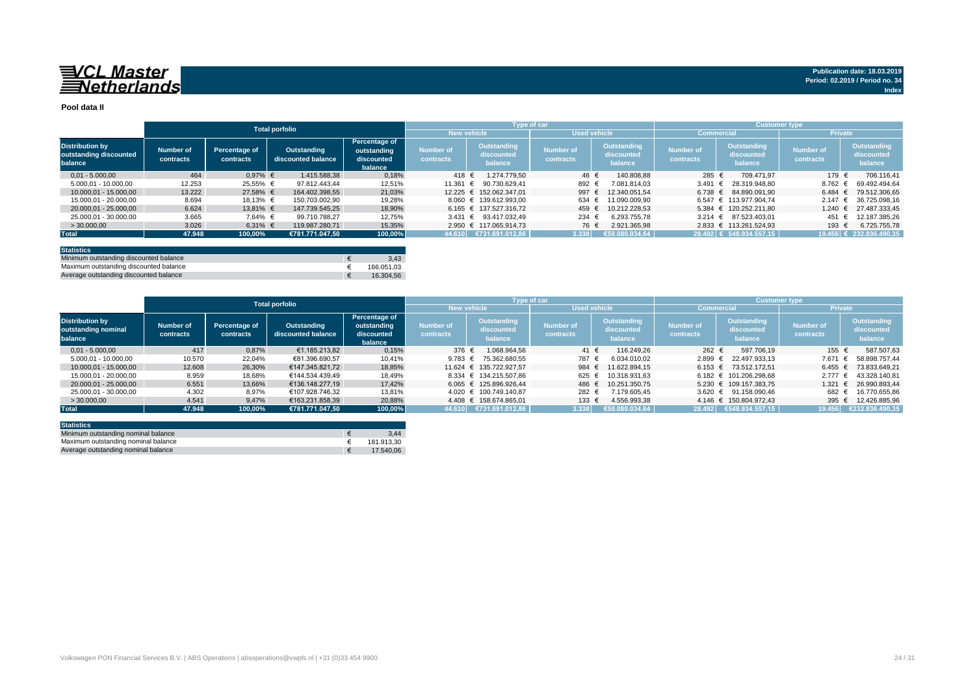#### **Pool data II**

|                                                             |                        |                            |                                   |                                                       |                               |                                             | Type of car                   |                                      | <b>Customer type</b>          |                                             |                               |                                             |
|-------------------------------------------------------------|------------------------|----------------------------|-----------------------------------|-------------------------------------------------------|-------------------------------|---------------------------------------------|-------------------------------|--------------------------------------|-------------------------------|---------------------------------------------|-------------------------------|---------------------------------------------|
|                                                             |                        |                            | <b>Total porfolio</b>             |                                                       | <b>New vehicle</b>            |                                             | <b>Used vehicle</b>           |                                      | <b>Commercial</b>             |                                             |                               | <b>Private</b>                              |
| <b>Distribution by</b><br>outstanding discounted<br>balance | Number of<br>contracts | Percentage of<br>contracts | Outstanding<br>discounted balance | Percentage of<br>outstanding<br>discounted<br>balance | <b>Number of</b><br>contracts | <b>Outstanding</b><br>discounted<br>balance | <b>Number of</b><br>contracts | Outstanding<br>discounted<br>balance | <b>Number of</b><br>contracts | <b>Outstanding</b><br>discounted<br>balance | <b>Number of</b><br>contracts | <b>Outstanding</b><br>discounted<br>balance |
| $0.01 - 5.000.00$                                           | 464                    | $0.97%$ €                  | 1.415.588.38                      | 0,18%                                                 | 418 €                         | 1.274.779.50                                | 46 €                          | 140.808.88                           | 285 €                         | 709.471.97                                  | 179                           | 706.116.41                                  |
| 5.000.01 - 10.000.00                                        | 12.253                 | 25.55% €                   | 97.812.443.44                     | 12,51%                                                | 11.361 €                      | 90.730.629.41                               | 892 €                         | 7.081.814.03                         | 3.491                         | 28.319.948.80                               | 8.762                         | 69.492.494.64                               |
| 10.000.01 - 15.000.00                                       | 13.222                 | 27,58% €                   | 164.402.398.55                    | 21,03%                                                |                               | 12.225 € 152.062.347.01                     | 997                           | 12.340.051.54                        | 6.738 $∈$                     | 84.890.091.90                               | 6.484                         | 79.512.306.65                               |
| 15.000.01 - 20.000.00                                       | 8.694                  | 18.13% €                   | 150.703.002.90                    | 19,28%                                                |                               | 8.060 € 139.612.993.00                      | 634 €                         | 11.090.009.90                        |                               | 6.547 € 113.977.904.74                      | 2.147                         | 36.725.098.16                               |
| 20.000.01 - 25.000.00                                       | 6.624                  | 13.81% €                   | 147.739.545.25                    | 18,90%                                                |                               | $6.165 \text{ } \in 137.527.316.72$         | 459                           | 10.212.228.53                        |                               | 5.384 € 120.252.211.80                      | 1.240                         | 27.487.333.45                               |
| 25.000.01 - 30.000.00                                       | 3.665                  | 7.64% €                    | 99.710.788.27                     | 12,75%                                                |                               | 3.431 € 93.417.032.49                       | 234 €                         | 6.293.755.78                         |                               | $3.214 \div 87.523.403.01$                  | 451                           | 12.187.385.26                               |
| >30.000,00                                                  | 3.026                  | 6,31% €                    | 119.987.280,71                    | 15,35%                                                |                               | 2.950 € 117.065.914.73                      | 76 €                          | 2.921.365.98                         |                               | 2.833 € 113.261.524.93                      | 193 €                         | 6.725.755,78                                |
| <b>Total</b>                                                | 47.948                 | 100,00%                    | €781.771.047.50                   | 100,00%                                               |                               | 44.610 €731.691.012,86                      | 3.338                         | 650.080.034.64                       |                               | 28.492 € 548.934.557,15                     |                               | 19.456 € 232.836.490,35                     |
|                                                             |                        |                            |                                   |                                                       |                               |                                             |                               |                                      |                               |                                             |                               |                                             |

| <b>Statistics</b>                      |            |
|----------------------------------------|------------|
| Minimum outstanding discounted balance | 3.43       |
| Maximum outstanding discounted balance | 166.051.03 |
| Average outstanding discounted balance | 16.304.56  |

|                                                          | <b>Total porfolio</b>  |                            |                                   |                                                              |                        | <b>Type of car</b>                   |                               |                                      | <b>Customer type</b>          |                                      |                               |                                      |
|----------------------------------------------------------|------------------------|----------------------------|-----------------------------------|--------------------------------------------------------------|------------------------|--------------------------------------|-------------------------------|--------------------------------------|-------------------------------|--------------------------------------|-------------------------------|--------------------------------------|
|                                                          |                        |                            |                                   |                                                              |                        | <b>New vehicle</b>                   |                               | <b>Used vehicle</b>                  |                               | <b>Commercial</b>                    | <b>Private</b>                |                                      |
| <b>Distribution by</b><br>outstanding nominal<br>balance | Number of<br>contracts | Percentage of<br>contracts | Outstanding<br>discounted balance | <b>Percentage of</b><br>outstanding<br>discounted<br>balance | Number of<br>contracts | Outstanding<br>discounted<br>balance | <b>Number of</b><br>contracts | Outstanding<br>discounted<br>balance | <b>Number of</b><br>contracts | Outstanding<br>discounted<br>balance | <b>Number of</b><br>contracts | Outstanding<br>discounted<br>balance |
| $0.01 - 5.000.00$                                        | 417                    | 0.87%                      | €1.185.213.82                     | 0,15%                                                        | 376 €                  | 1.068.964.56                         | 41 €                          | 116.249.26                           | 262 €                         | 597.706.19                           | 155 €                         | 587.507,63                           |
| 5.000.01 - 10.000.00                                     | 10.570                 | 22,04%                     | €81.396.690.57                    | 10,41%                                                       | 9.783 $\epsilon$       | 75.362.680.55                        | 787                           | 6.034.010.02                         | $2.899$ €                     | 22.497.933.13                        | 7.671                         | 58.898.757.44<br>$\ddot{ }$          |
| 10.000.01 - 15.000.00                                    | 12.608                 | 26,30%                     | €147.345.821.72                   | 18,85%                                                       |                        | 11.624 € 135.722.927.57              | 984 €                         | 11.622.894.15                        |                               | $6.153 \in 73.512.172.51$            | 6.455 €                       | 73.833.649.21                        |
| 15.000.01 - 20.000.00                                    | 8.959                  | 18.68%                     | €144.534.439.49                   | 18.49%                                                       |                        | 8.334 € 134.215.507.86               | 625                           | 10.318.931.63                        |                               | 6.182 € 101.206.298.68               | $2.777$ €                     | 43.328.140.81                        |
| 20.000.01 - 25.000.00                                    | 6.551                  | 13,66%                     | €136.148.277.19                   | 17.42%                                                       |                        | 6.065 € 125.896.926.44               | 486                           | 10.251.350.75                        |                               | 5.230 € 109.157.383.75               | $1.321 \text{ }€$             | 26.990.893.44                        |
| 25.000.01 - 30.000.00                                    | 4.302                  | 8,97%                      | €107.928.746.32                   | 13,81%                                                       |                        | 4.020 € 100.749.140.87               | 282 €                         | 7.179.605.45                         |                               | 3.620 € 91.158.090.46                | 682 €                         | 16.770.655.86                        |
| >30.000,00                                               | 4.541                  | 9,47%                      | €163.231.858.39                   | 20,88%                                                       |                        | 4.408 € 158.674.865.01               | 133 €                         | 4.556.993.38                         |                               | 4.146 € 150.804.972.43               | 395 $\epsilon$                | 12.426.885,96                        |
| <b>Total</b>                                             | 47.948                 | 100.00%                    | €781.771.047.50                   | 100.00%                                                      | 44.610                 | €731.691.012,86                      | 3.338                         | €50.080.034.64                       | 28.492                        | 6548.934.557,15                      | 19,456                        | €232.836.490.35                      |

| <b>Statistics</b>                   |            |
|-------------------------------------|------------|
| Minimum outstanding nominal balance | 3.44       |
| Maximum outstanding nominal balance | 181.913.30 |
| Average outstanding nominal balance | 17.540.06  |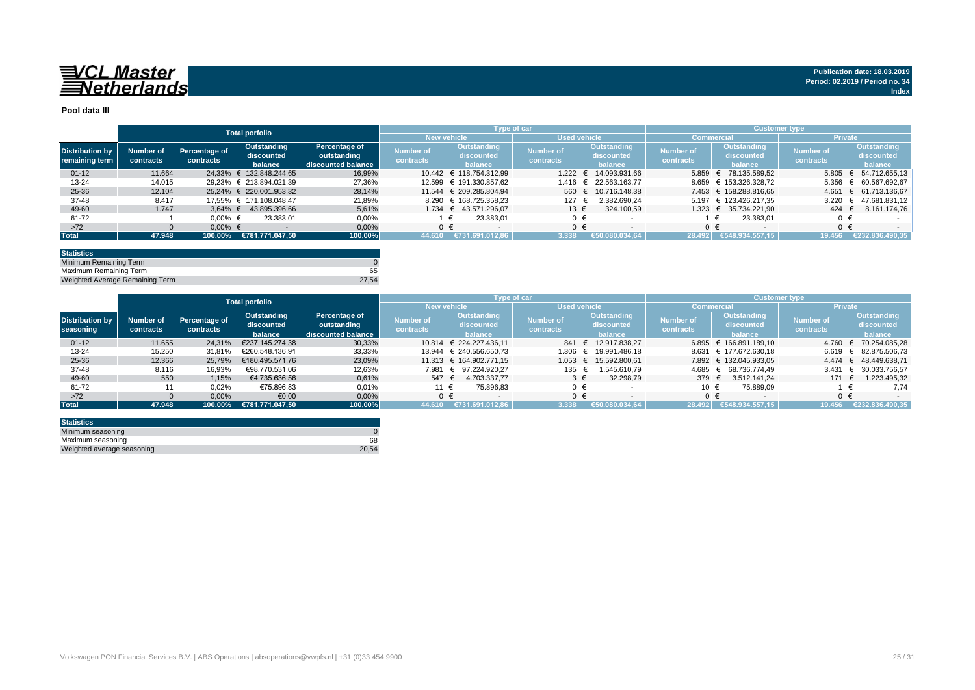

#### **Pool data III**

|                                          |                        |                            | <b>Total porfolio</b>                |                                                    |                                      |                                      | Type of car                   |                                      | <b>Customer type</b>          |                                      |                        |                                       |
|------------------------------------------|------------------------|----------------------------|--------------------------------------|----------------------------------------------------|--------------------------------------|--------------------------------------|-------------------------------|--------------------------------------|-------------------------------|--------------------------------------|------------------------|---------------------------------------|
|                                          |                        |                            |                                      |                                                    |                                      | <b>New vehicle</b>                   |                               | <b>Used vehicle</b>                  |                               | <b>Commercial</b>                    | <b>Private</b>         |                                       |
| <b>Distribution by</b><br>remaining term | Number of<br>contracts | Percentage of<br>contracts | Outstanding<br>discounted<br>balance | Percentage of<br>outstanding<br>discounted balance | <b>Number of</b><br><b>contracts</b> | Outstanding<br>discounted<br>balance | <b>Number of</b><br>contracts | Outstanding<br>discounted<br>balance | <b>Number of</b><br>contracts | Outstanding<br>discounted<br>balance | Number of<br>contracts | Outstanding<br>discounted<br>balance  |
| $01 - 12$                                | 11.664                 |                            | 24.33% € 132.848.244.65              | 16.99%                                             |                                      | 10.442 € 118.754.312.99              |                               | 1.222 € 14.093.931.66                | 5.859                         | 78.135.589.52                        |                        | $5.805 \quad \in \quad 54.712.655.13$ |
| $13 - 24$                                | 14.015                 |                            | 29.23% € 213.894.021.39              | 27,36%                                             |                                      | 12.599 € 191.330.857,62              | 1.416                         | € 22.563.163.77                      | 8.659                         | € 153.326.328,72                     |                        | 5.356 € 60.567.692,67                 |
| 25-36                                    | 12.104                 |                            | 25.24% € 220.001.953.32              | 28.14%                                             |                                      | 11.544 € 209.285.804.94              |                               | 560 € 10.716.148,38                  |                               | 7.453 € 158.288.816.65               |                        | 4.651 € 61.713.136.67                 |
| 37-48                                    | 8.417                  |                            | 17.55% € 171.108.048.47              | 21.89%                                             | 8.290                                | € 168.725.358.23                     | $127$ €                       | 2.382.690.24                         |                               | 5.197 € 123.426.217.35               | 3.220                  | 47.681.831,12<br>$\epsilon$           |
| 49-60                                    | 1.747                  | $3.64\%$ €                 | 43.895.396.66                        | 5.61%                                              |                                      | 1.734 € 43.571.296.07                | 13 €                          | 324.100.59                           |                               | 1.323 € 35.734.221.90                | 424 $\in$              | 8.161.174,76                          |
| 61-72                                    |                        | $0.00\%$ €                 | 23.383.01                            | 0,00%                                              |                                      | 23.383.01                            | $0 \in$                       |                                      |                               | 23.383.01                            | 0€                     |                                       |
| $>72$                                    |                        | $0.00\%$ €                 |                                      | 0,00%                                              |                                      | $0 \in$                              | $0 \in$                       |                                      |                               | $\cap$ $\in$                         | $0 \in$                |                                       |
| <b>Total</b>                             | 47.948                 | 100.00%                    | €781.771.047,50                      | 100,00%                                            | 44.610                               | €731.691.012.86                      | 3.338                         | €50.080.034,64                       | 28.492                        | €548.934.557.15                      |                        | 19.456 €232.836.490,35                |

| <b>Statistics</b>               |       |
|---------------------------------|-------|
| Minimum Remaining Term          |       |
| Maximum Remaining Term          | 65    |
| Weighted Average Remaining Term | 27.54 |

|                        |           |               | <b>Total porfolio</b> |                    |                    | Type of car             |              |                 | 'Customer type , |                            |                  |                                       |
|------------------------|-----------|---------------|-----------------------|--------------------|--------------------|-------------------------|--------------|-----------------|------------------|----------------------------|------------------|---------------------------------------|
|                        |           |               |                       |                    | <b>New vehicle</b> |                         | Used vehicle |                 |                  | Commercial                 | <b>Private</b>   |                                       |
|                        |           |               | Outstanding           | Percentage of      | Number of          | Outstanding             |              | Outstanding     | <b>Number of</b> | Outstanding                | <b>Number of</b> | Outstanding                           |
| <b>Distribution by</b> | Number of | Percentage of | discounted            | outstanding        |                    | Number of<br>discounted | discounted   | discounted      |                  | discounted                 |                  |                                       |
| seasoning              | contracts | contracts     | balance               | discounted balance | contracts          | balance                 | contracts    | balance         | contracts        | balance                    | contracts        | balance                               |
| $01 - 12$              | 11.655    | 24,31%        | €237.145.274.38       | 30,33%             | 10.814             | € 224.227.436.11        | 841 €        | 12.917.838.27   |                  | $6.895 \in 166.891.189.10$ | 4.760            | € 70.254.085.28                       |
| $13 - 24$              | 15.250    | 31.81%        | €260.548.136.91       | 33,33%             | 13.944             | € 240.556.650.73        | 1.306        | € 19.991.486.18 |                  | 8.631 € 177.672.630.18     |                  | $6.619 \quad \in \quad 82.875.506.73$ |
| $25 - 36$              | 12.366    | 25.79%        | €180.495.571.76       | 23,09%             |                    | 11.313 € 164.902.771.15 | 1.053        | € 15.592.800,61 |                  | 7.892 € 132.045.933,05     |                  | 4.474 € 48.449.638.71                 |
| 37-48                  | 8.116     | 16,93%        | €98.770.531.06        | 12,63%             |                    | 7.981 € 97.224.920,27   | 135          | 1.545.610.79    | 4.685            | 68.736.774.49              | 3.431            | € 30.033.756.57                       |
| 49-60                  | 550       | 1,15%         | €4.735.636,56         | 0,61%              | 547 €              | 4.703.337.77            | $3 \in$      | 32.298,79       | 379 €            | 3.512.141.24               | 171 €            | 1.223.495,32                          |
| 61-72                  |           | 0,02%         | €75.896,83            | 0,01%              | 11 €               | 75.896.83               | $0 \in$      |                 | 10 €             | 75.889,09                  |                  | 7.74                                  |
| $>72$                  |           | 0,00%         | €0,00                 | 0,00%              |                    | $0 \in$                 | $0 \in$      |                 | ∩ €              |                            | $0 \in$          |                                       |
| <b>Total</b>           | 47.948    | 100.00%       | €781.771.047.50       | 100,00%            | 44.610             | €731.691.012.86         | 3.338        | €50.080.034.64  | 28.492           | €548.934.557.15            | 19.456           | €232.836.490.35                       |

| <b>Statistics</b>          |       |
|----------------------------|-------|
| Minimum seasoning          |       |
| Maximum seasoning          | 68    |
| Weighted average seasoning | 20.54 |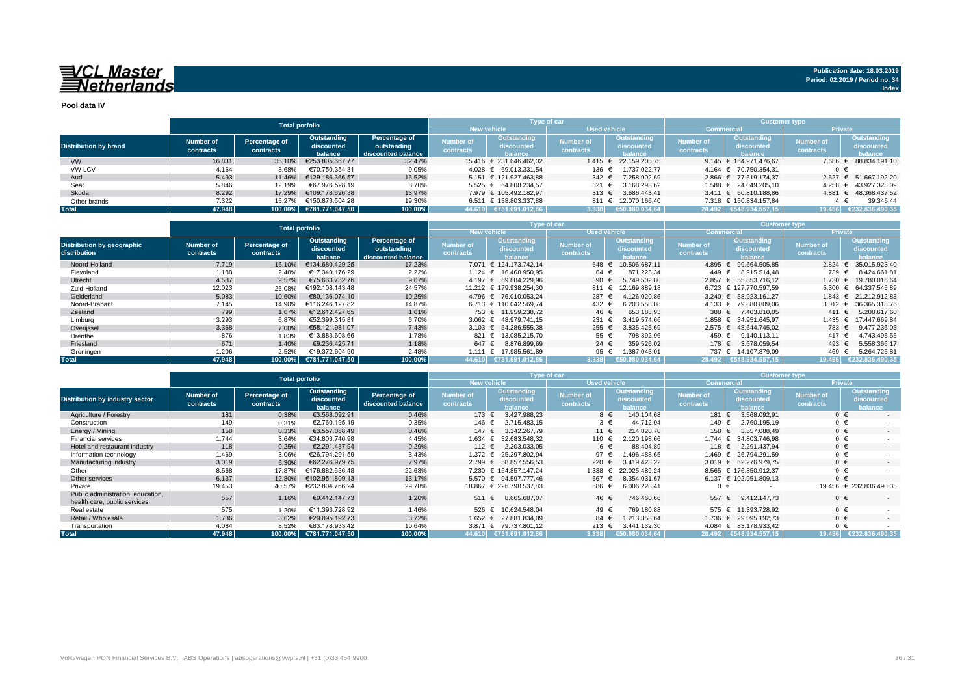**Pool data IV**

|                              |           |                           | <b>Total porfolio</b>   |                    |                  | Type of car             |                     |                     | <b>Customer type</b> |                           |                  |                        |  |  |  |  |
|------------------------------|-----------|---------------------------|-------------------------|--------------------|------------------|-------------------------|---------------------|---------------------|----------------------|---------------------------|------------------|------------------------|--|--|--|--|
|                              |           |                           |                         |                    |                  | <b>New vehicle</b>      | <b>Used vehicle</b> |                     | <b>Commercial</b>    |                           | <b>Private</b>   |                        |  |  |  |  |
|                              | Number of | Percentage of             | Outstanding             | Percentage of      | Number of        | Outstanding             | <b>Number of</b>    | Outstanding         | <b>Number of</b>     | Outstanding               | <b>Number of</b> | Outstanding            |  |  |  |  |
| <b>Distribution by brand</b> |           | contracts                 | discounted              | outstanding        | <b>contracts</b> | discounted              | <b>contracts</b>    | discounted          | contracts            | discounted                | contracts        | discounted             |  |  |  |  |
|                              | contracts |                           | balance                 | discounted balance |                  | halance                 |                     | balance             |                      | halance                   |                  | <b>balance</b>         |  |  |  |  |
| <b>VW</b>                    | 16.831    | 35,10%                    | €253.805.667,77         | 32,47%             |                  | 15.416 € 231.646.462.02 | 1.415               | 22.159.205.75       |                      | 9.145 € 164.971.476.67    | 7.686            | € 88.834.191,10        |  |  |  |  |
| <b>VW LCV</b>                | 4.164     | 8,68%                     | €70.750.354.31          | 9,05%              |                  | 4.028 € 69.013.331.54   | 136 €               | 1.737.022.77        |                      | 4.164 € 70.750.354.31     | 0 €              |                        |  |  |  |  |
| Audi                         | 5.493     | 11.46%                    | €129.186.366.57         | 16,52%             |                  | 5.151 € 121.927.463.88  | 342 $\in$           | 7.258.902.69        |                      | 2.866 € 77.519.174.37     | 2.627            | € 51.667.192.20        |  |  |  |  |
| Seat                         | 5.846     | 12.19%                    | €67.976.528.19          | 8,70%              |                  | 5.525 € 64.808.234.57   | 321 $\epsilon$      | 3.168.293,62        |                      | 1.588 € 24.049.205.10     | 4.258            | $\in$ 43.927.323,09    |  |  |  |  |
| Skoda                        | 8.292     | 17.29%                    | €109.178.626.38         | 13.97%             |                  | 7.979 € 105.492.182.97  | 313 $\epsilon$      | 3.686.443.41        |                      | $3.411 \in 60.810.188.86$ |                  | 4.881 € 48.368.437,52  |  |  |  |  |
| Other brands                 | 7.322     | €150.873.504.28<br>15.27% |                         | 19,30%             |                  | 6.511 € 138.803.337.88  |                     | 811 € 12.070.166.40 |                      | 7.318 € 150.834.157.84    |                  | 39.346.44              |  |  |  |  |
| <b>Total</b>                 | 47.948    |                           | 100,00% €781.771.047,50 | 100,00%            |                  | 44.610 €731.691.012,86  | 3.338               | €50.080.034.64      |                      | 28.492 €548.934.557.15    |                  | 19.456 €232.836.490,35 |  |  |  |  |

|                                            |                        | <b>Total porfolio</b>                                                                                                    |                 |                               |                                      |                               | Type of car                                 |                               | <b>Customer type</b>                        |                        |                                                    |                       |  |  |  |  |
|--------------------------------------------|------------------------|--------------------------------------------------------------------------------------------------------------------------|-----------------|-------------------------------|--------------------------------------|-------------------------------|---------------------------------------------|-------------------------------|---------------------------------------------|------------------------|----------------------------------------------------|-----------------------|--|--|--|--|
|                                            |                        |                                                                                                                          |                 |                               |                                      | <b>New vehicle</b>            | <b>Used vehicle</b>                         |                               |                                             | Commercial             | <b>Private</b>                                     |                       |  |  |  |  |
| Distribution by geographic<br>distribution | Number of<br>contracts | Percentage of<br>Outstanding<br>Percentage of<br>outstanding<br>discounted<br>contracts<br>discounted balance<br>balance |                 | <b>Number of</b><br>contracts | Outstanding<br>discounted<br>halance | <b>Number of</b><br>contracts | <b>Outstanding</b><br>discounted<br>balance | <b>Number of</b><br>contracts | Outstanding<br>discounted<br><b>balance</b> | Number of<br>contracts | <b>Outstanding</b><br>discounted<br><b>balance</b> |                       |  |  |  |  |
| Noord-Holland                              | 7.719                  | 16.10%                                                                                                                   | €134.680.429.25 | 17,23%                        |                                      | 7.071 € 124.173.742.14        | 648 €                                       | 10.506.687.11                 | $4.895$ €                                   | 99.664.505.85          | 2.824                                              | 35.015.923,40         |  |  |  |  |
| Flevoland                                  | 1.188                  | 2.48%                                                                                                                    | €17.340.176.29  | 2,22%                         |                                      | 1.124 € 16.468.950,95         | 64 €                                        | 871.225.34                    | 449 €                                       | 8.915.514,48           | 739 €                                              | 8.424.661.81          |  |  |  |  |
| Utrecht                                    | 4.587                  | 9,57%                                                                                                                    | €75.633.732.76  | 9,67%                         |                                      | 4.197 € 69.884.229.96         | 390 $\epsilon$                              | 5.749.502.80                  |                                             | 2.857 € 55.853.716.12  | 1.730                                              | 19.780.016.64         |  |  |  |  |
| Zuid-Holland                               | 12.023                 | 25,08%                                                                                                                   | €192.108.143.48 | 24,57%                        |                                      | 11.212 € 179.938.254.30       | 811 €                                       | 12.169.889.18                 |                                             | 6.723 € 127.770.597.59 | 5.300                                              | 64.337.545.89         |  |  |  |  |
| Gelderland                                 | 5.083                  | 10.60%                                                                                                                   | €80.136.074.10  | 10,25%                        |                                      | 4.796 € 76.010.053.24         | 287 €                                       | 126.020.86                    |                                             | 3.240 € 58.923.161.27  |                                                    | 1.843 € 21.212.912,83 |  |  |  |  |
| Noord-Brabant                              | 7.145                  | 14.90%                                                                                                                   | €116.246.127.82 | 14,87%                        |                                      | 6.713 € 110.042.569.74        | 432 €                                       | 6.203.558.08                  | 4.133 €                                     | 79.880.809.06          | 3.012                                              | 36.365.318.76<br>€    |  |  |  |  |
| Zeeland                                    | 799                    | 1.67%                                                                                                                    | €12.612.427.65  | 1,61%                         |                                      | 753 € 11.959.238.72           | 46 €                                        | 653.188.93                    | 388 €                                       | 7.403.810.05           | 411 €                                              | 5.208.617.60          |  |  |  |  |
| Limburg                                    | 3.293                  | 6,87%                                                                                                                    | €52.399.315,81  | 6,70%                         |                                      | 3.062 € 48.979.741.15         | 231 €                                       | 3.419.574.66                  | 1.858 €                                     | 34.951.645.97          | 1.435                                              | 17.447.669.84<br>€    |  |  |  |  |
| Overijssel                                 | 3.358                  | 7,00%                                                                                                                    | €58.121.981.07  | 7,43%                         |                                      | 3.103 € 54.286.555.38         | 255 €                                       | 3.835.425.69                  | $2.575 \in$                                 | 48.644.745.02          | 783 €                                              | 9.477.236,05          |  |  |  |  |
| Drenthe                                    | 876                    | 1,83%                                                                                                                    | €13.883.608.66  | 1.78%                         | 821 €                                | 13.085.215.70                 | 55 €                                        | 798.392.96                    | 459 €                                       | 9.140.113.11           | 417 €                                              | 4.743.495,55          |  |  |  |  |
| Friesland                                  | 671                    | 1.40%                                                                                                                    | €9.236.425.71   | 1,18%                         | 647 €                                | 8.876.899,69                  | 24 $\in$                                    | 359.526.02                    | 178 €                                       | 3.678.059.54           | 493 €                                              | 5.558.366,17          |  |  |  |  |
| Groningen                                  | 1.206                  | 2,52%                                                                                                                    | €19.372.604.90  | 2,48%                         |                                      | 1.111 € 17.985.561.89         | 95 €                                        | 1.387.043.01                  | 737 €                                       | 14.107.879.09          | 469                                                | 5.264.725,81          |  |  |  |  |
| <b>Total</b>                               | 47.948                 | $100.00\%$                                                                                                               | €781.771.047.50 | 100,00%                       |                                      | 44.610 €731.691.012.86        | 3.338                                       | €50.080.034.64                |                                             | 28.492 €548.934.557.15 | 19.456                                             | €232.836.490.35       |  |  |  |  |

|                                                                   |                                            | <b>Total porfolio</b>                    |                                      |                                     |                                                                                     | Type of car                 |                               |                                             | <b>Customer type</b>          |                                             |                        |                                             |  |  |  |  |
|-------------------------------------------------------------------|--------------------------------------------|------------------------------------------|--------------------------------------|-------------------------------------|-------------------------------------------------------------------------------------|-----------------------------|-------------------------------|---------------------------------------------|-------------------------------|---------------------------------------------|------------------------|---------------------------------------------|--|--|--|--|
|                                                                   |                                            |                                          |                                      |                                     |                                                                                     | <b>New vehicle</b>          | <b>Used vehicle</b>           |                                             | <b>Commercia</b>              |                                             | <b>Private</b>         |                                             |  |  |  |  |
| <b>Distribution by industry sector</b>                            | <b>Number of</b><br>contracts              | Percentage of<br>contracts               | Outstanding<br>discounted<br>balance | Percentage of<br>discounted balance | <b>Outstanding</b><br><b>Number of</b><br>discounted<br><b>contracts</b><br>balance |                             | <b>Number of</b><br>contracts | <b>Outstanding</b><br>discounted<br>balance | <b>Number of</b><br>contracts | <b>Outstanding</b><br>discounted<br>balance | Number of<br>contracts | <b>Outstanding</b><br>discounted<br>balance |  |  |  |  |
| Agriculture / Forestry                                            | 181                                        | 0,38%                                    | €3.568.092.91                        | 0,46%                               | 173 €                                                                               | 3.427.988.23                | 8 €                           | 140.104.68                                  | 181 €                         | 3.568.092.91                                | $0 \in$                |                                             |  |  |  |  |
| Construction                                                      | 149                                        | 0,31%                                    | €2.760.195,19                        | 0,35%                               | 146 €                                                                               | 2.715.483,15                | $3 \in$                       | 44.712.04                                   | 149 €                         | 2.760.195.19                                | $0 \in$                |                                             |  |  |  |  |
| Energy / Mining                                                   | 158                                        | 0,33%<br>€3.557.088.49<br>€34.803.746.98 |                                      | 0,46%                               | 147 €                                                                               | 3.342.267.79                | 11 €                          | 214.820.70                                  | 158 €<br>3.557.088,49         |                                             | $0 \in$                | $\sim$                                      |  |  |  |  |
| <b>Financial services</b>                                         | 1.744                                      | 3,64%                                    |                                      | 4,45%                               | 1.634                                                                               | 32.683.548.32<br>$\epsilon$ | 110 €                         | 120.198.66                                  | 1.744 €                       | 34.803.746.98                               | $0 \in$                |                                             |  |  |  |  |
| Hotel and restaurant industry                                     | 118                                        | 0,25%                                    | €2.291.437.94                        | 0,29%                               | 112 €                                                                               | 2.203.033.05                | 6 €                           | 88.404.89                                   | 118 €                         | 2.291.437.94                                | $0 \in$                | $\sim$                                      |  |  |  |  |
| Information technology                                            | 1.469                                      | 3,06%                                    | €26.794.291.59                       | 3,43%                               | 1.372 €                                                                             | 25.297.802.94               | 97 €                          | .496.488.65                                 | 1.469 €                       | 26.794.291.59                               | $0 \in$                |                                             |  |  |  |  |
| Manufacturing industry                                            | 3.019                                      | 6,30%                                    | €62.276.979.75                       | 7,97%                               |                                                                                     | 2.799 € 58.857.556,53       | 220 €                         | 3.419.423.22                                | 3.019 $\epsilon$              | 62.276.979,75                               | $0 \in$                |                                             |  |  |  |  |
| Other                                                             | 8.568                                      | 17.87%                                   | €176.882.636.48                      | 22,63%                              |                                                                                     | 7.230 € 154.857.147.24      | 1.338                         | 22.025.489.24                               |                               | 8.565 € 176.850.912,37                      | $0 \in$                |                                             |  |  |  |  |
| Other services                                                    | 6.137                                      | 12,80%                                   | €102.951.809.13                      | 13.17%                              |                                                                                     | 5.570 € 94.597.777.46       | 567 €                         | 8.354.031.67                                |                               | 6.137 € 102.951.809.13                      | $0 \in$                |                                             |  |  |  |  |
| Private                                                           | 19.453                                     | 40,57%                                   | €232.804.766,24                      | 29,78%                              |                                                                                     | 18.867 € 226.798.537.83     | 586 €                         | 6.006.228.41                                | $0 \in$                       |                                             |                        | 19.456 € 232.836.490.35                     |  |  |  |  |
| Public administration, education,<br>health care, public services | 557                                        | 1,16%                                    | €9.412.147.73                        | 1,20%                               | 511                                                                                 | 8.665.687,07<br>€           | 46 €                          | 746.460,66                                  | 557 €                         | 9.412.147.73                                | $0 \in$                |                                             |  |  |  |  |
| Real estate                                                       | 575                                        | 1,20%                                    | €11.393.728.92                       | 1,46%                               | 526 €                                                                               | 10.624.548.04               | 49 €                          | 769.180.88                                  | 575 €                         | 11.393.728.92                               | $0 \in$                |                                             |  |  |  |  |
| Retail / Wholesale                                                | 1.736                                      | 3,62%                                    | €29.095.192.73                       | 3,72%                               | 1.652 €                                                                             | 27.881.834.09               | 84 €                          | 1.213.358,64                                | 1.736 $∈$                     | 29.095.192.73                               | $0 \in$                | $\sim$                                      |  |  |  |  |
| Transportation                                                    | 4.084<br>8.52%<br>€83.178.933,42<br>10,64% |                                          | 3.871                                | € 79.737.801.12                     | 213 €                                                                               | 3.441.132.30                |                               | 4.084 € 83.178.933.42                       | $0 \in$                       |                                             |                        |                                             |  |  |  |  |
| <b>Total</b>                                                      | 47.948                                     | 100,00%                                  | €781.771.047,50                      |                                     | 44.610 €731.691.012,86                                                              | 3.338                       | €50.080.034.64                |                                             | 28.492 €548.934.557.15        | 19.456                                      | €232.836.490.35        |                                             |  |  |  |  |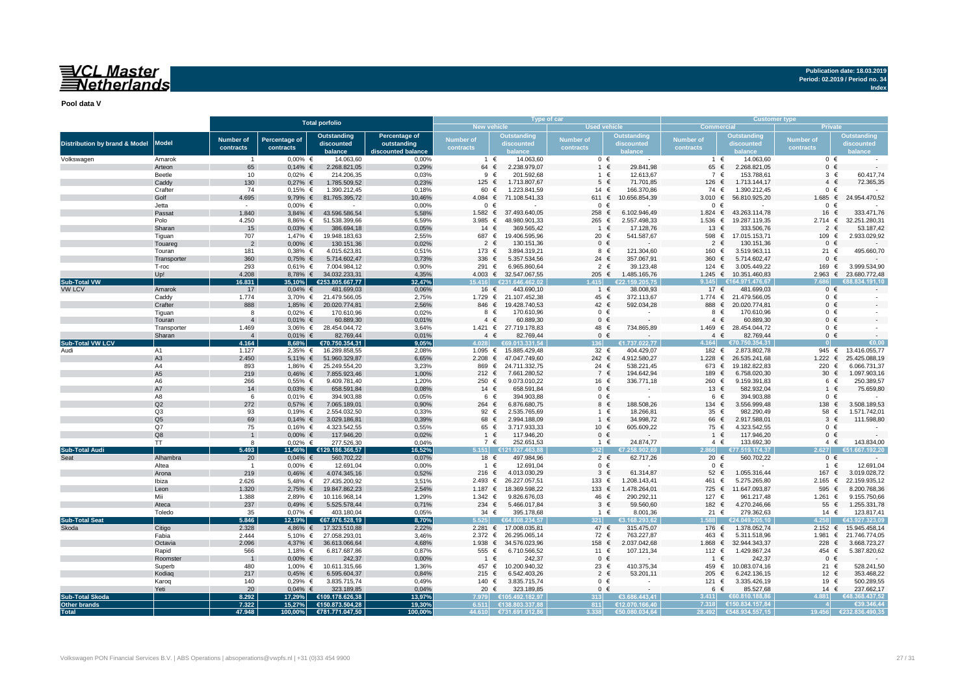**Pool data V**

|                                               |                       |                         |                         | <b>Total porfolio</b>              |                    |                  | Type of car                      |                  |                         | <b>Customer type</b> |                                    |                |                               |  |  |  |
|-----------------------------------------------|-----------------------|-------------------------|-------------------------|------------------------------------|--------------------|------------------|----------------------------------|------------------|-------------------------|----------------------|------------------------------------|----------------|-------------------------------|--|--|--|
|                                               |                       |                         |                         |                                    |                    |                  | New vehicle                      | Used vehicle     |                         | Commercial           |                                    | <b>Private</b> |                               |  |  |  |
|                                               |                       | <b>Number of</b>        | <b>Percentage of</b>    | Outstanding                        | Percentage of      | <b>Number of</b> | <b>Outstanding</b>               |                  | Outstanding             | <b>Number of</b>     | Outstanding                        | Number of      | <b>Outstanding</b>            |  |  |  |
| <b>Distribution by brand &amp; Model</b>      | <b>Model</b>          |                         |                         | discounted                         | outstanding        |                  | discounted                       | <b>Number of</b> | discounted              |                      | discounted                         |                | discounted                    |  |  |  |
|                                               |                       | contracts               | contracts               | balance                            | liscounted balance | contracts        |                                  | contracts        |                         | contracts            |                                    | contracts      |                               |  |  |  |
| Volkswagen                                    | Amarok                | $\blacksquare$          | $0,00%$ €               | 14.063,60                          | 0,00%              |                  | 1 $\in$<br>14.063,60             | $0 \in$          | $\sim$                  | $1 \in$              | 14.063,60                          |                | $0 \in$                       |  |  |  |
|                                               | Arteon                | 65                      | $0,14%$ €               | 2.268.821,05                       | 0,29%              | 64 €             | 2.238.979,07                     | $1 \in$          | 29.841,98               | 65 €                 | 2.268.821,05                       |                | $0 \in$                       |  |  |  |
|                                               | Beetle                | 10                      | $0.02\%$ €              | 214.206,35                         | 0.03%              |                  | 201.592,68<br>$9 \in$            | 1 €              | 12.613,67               | 7 €                  | 153.788,61                         | 3              | $\epsilon$<br>60.417,74       |  |  |  |
|                                               | Caddy                 | 130                     | $0,27%$ €               | 1.785.509,52                       | 0,23%              | 125 €            | 1.713.807,67                     | $5 \in$          | 71.701,85               | 126 €                | 1.713.144,17                       |                | $4 \in$<br>72.365,35          |  |  |  |
|                                               | Crafter               | 74                      | $0,15%$ €               | 1.390.212,45                       | 0,18%              | 60 €             | 1.223.841,59                     | 14 €             | 166.370,86              | 74 €                 | 1.390.212,45                       |                | $0 \in$                       |  |  |  |
|                                               | Golf                  | 4.695                   | 9,79% €                 | 81.765.395,72                      | 10,46%             |                  | 4.084 € 71.108.541,33            | 611 €            | 10.656.854,39           | 3.010 $\in$          | 56.810.925,20                      | 1.685 $∈$      | 24.954.470,52                 |  |  |  |
|                                               | Jetta                 | $\sim$                  | $0.00\%$ €              | $\sim$                             | 0.00%              |                  | $0 \in$                          | $0 \in$          |                         | $0 \in$              |                                    |                | $0 \in$                       |  |  |  |
|                                               | Passat                | 1.840                   |                         | 3,84% € 43.596.586,54              | 5,58%              |                  | 1.582 € 37.493.640,05            | 258 €            | 6.102.946,49            | 1.824 $∈$            | 43.263.114,78                      |                | 333.471,76<br>16 €            |  |  |  |
|                                               | Polo                  | 4.250                   | 8,86% €                 | 51.538.399,66                      | 6,59%              | 3.985 €          | 48.980.901,33                    | 265 €            | 2.557.498,33            | $1.536$ €            | 19.287.119,35                      | 2.714 ∈        | 32.251.280,31                 |  |  |  |
|                                               | Sharan                | 15                      | $0,03%$ €               | 386.694,18                         | 0,05%              | 14 $\in$         | 369.565,42                       | 1 €              | 17.128,76               | 13 €                 | 333.506,76                         | $\overline{2}$ | 53.187,42<br>$\epsilon$       |  |  |  |
|                                               | Tiguan                | 707                     | 1,47% €                 | 19.948.183,63                      | 2,55%              | 687 €            | 19.406.595,96                    | 20 €             | 541.587,67              | 598 €                | 17.015.153,71                      | 109 €          | 2.933.029,92                  |  |  |  |
|                                               | Touareg               | $\overline{2}$          | $0,00%$ €               | 130.151,36                         | 0,02%              | $2 \in$          | 130.151,36                       | $0 \in$          |                         | $2 \in$              | 130.151,36                         | $\mathbf{0}$   | $\epsilon$                    |  |  |  |
|                                               | Touran                | 181                     | $0,38%$ €               | 4.015.623,81                       | 0,51%              | 173 €            | 3.894.319,21                     | 8 €              | 121.304,60              | 160 €                | 3.519.963,11                       |                | 21 €<br>495.660,70            |  |  |  |
|                                               | Transporter           | 360                     | $0,75%$ €               | 5.714.602,47                       | 0,73%              | 336 $\epsilon$   | 5.357.534,56                     | 24 $\in$         | 357.067,91              | 360                  | $\epsilon$<br>5.714.602,47         | $\mathbf{0}$   | $\epsilon$                    |  |  |  |
|                                               | T-roc                 | 293                     | $0,61\%$ €              | 7.004.984,12                       | 0.90%              | 291 €            | 6.965.860,64                     | $2 \in$          | 39.123,48               | 124 $∈$              | 3.005.449,22                       | 169 €          | 3.999.534,90                  |  |  |  |
|                                               | Up!                   | 4.208                   | 8,78% €                 | 34.032.233,31                      | 4,35%              |                  | 4.003 € 32.547.067,55            | 205 €            | 1.485.165,76            |                      | 1.245 € 10.351.460,83              | $2.963$ €      | 23.680.772,48                 |  |  |  |
| <b>Sub-Total VW</b>                           |                       | 6.831                   | 35,10%                  | €253.805.667,77                    | 32,47%             | 15.416           | €231.646.462,02                  | .415             | €22.159.205,75          | 9.145                | €164.971.476,67                    |                | 88.834.191.1                  |  |  |  |
| VW LCV                                        | Amarok                | 17                      | $0,04%$ €               | 481.699,03                         | 0,06%              | 16 €             | 443.690,10                       | $1 \in$          | 38.008,93               | 17 €                 | 481.699,03                         |                | $0 \in$                       |  |  |  |
|                                               | Caddy                 | 1.774                   |                         | 3,70% € 21.479.566,05              | 2,75%              |                  | 1.729 € 21.107.452,38            | 45 €             | 372.113,67              |                      | 1.774 € 21.479.566,05              |                | $0 \in$                       |  |  |  |
|                                               | Crafter               | 888                     | 1,85% €                 | 20.020.774,81                      | 2,56%              |                  | 846 € 19.428.740,53              | 42 €             | 592.034,28              | 888                  | 20.020.774,81<br>$\epsilon$        | $\mathbf 0$    | $\epsilon$                    |  |  |  |
|                                               | Tiguan                | 8                       | $0,02%$ €               | 170.610,96                         | 0,02%              |                  | 170.610,96<br>8 €                | $0 \in$          | $\sim$                  | 8 €                  | 170.610,96                         |                | $0 \in$                       |  |  |  |
|                                               | Touran                | $\overline{4}$          | $0,01\%$ €              | 60.889,30                          | 0,01%              |                  | $4 \in$<br>60.889,30             | $0 \in$<br>48 €  |                         | $4 \in$              | 60.889,30                          |                | $0 \in$                       |  |  |  |
|                                               | Transporter<br>Sharan | 1.469<br>$\overline{4}$ | $3,06%$ €<br>$0,01\%$ € | 28.454.044,72<br>82.769,44         | 3,64%<br>0,01%     |                  | 1.421 € 27.719.178,83<br>$4 \in$ | $0 \in$          | 734.865,89              | $4 \in$              | 1.469 € 28.454.044,72<br>82.769,44 |                | $0 \in$<br>$0 \in$            |  |  |  |
| <b>Sub-Total VW LCV</b>                       |                       | 4.164                   | 8,68%                   | €70.750.354,31                     | 9,05%              | 4 N 28           | 82.769,44<br>€69.013.331.54      | 136              | €1.737.022,77           | 4.164                | €70.750.354,31                     |                | €0.00                         |  |  |  |
| Audi                                          | A1                    |                         | $2,35%$ €               | 16.289.858,55                      | 2,08%              |                  | 1.095 € 15.885.429,48            | 32 $\epsilon$    | 404.429,07              | 182 €                | 2.873.802,78                       |                | 945 € 13.416.055,77           |  |  |  |
|                                               | A <sub>3</sub>        | 1.127<br>2.450          | 5,11% $∈$               | 51.960.329,87                      | 6,65%              |                  | 2.208 € 47.047.749,60            | 242 €            | 4.912.580,27            | 1.228                | $\epsilon$<br>26.535.241,68        | $1.222$ €      | 25.425.088,19                 |  |  |  |
|                                               | A4                    | 893                     |                         | 1,86% € 25.249.554,20              | 3,23%              | 869 €            | 24.711.332,75                    | 24 $\in$         | 538.221,45              | 673 €                | 19.182.822,83                      | 220 €          | 6.066.731,37                  |  |  |  |
|                                               | A <sub>5</sub>        | 219                     | $0,46%$ €               | 7.855.923,46                       | 1,00%              | 212 $∈$          | 7.661.280,52                     | 7 €              | 194.642,94              | 189 €                | 6.758.020,30                       |                | 30 $\epsilon$<br>1.097.903,16 |  |  |  |
|                                               | A6                    | 266                     | $0,55%$ €               | 9.409.781,40                       | 1,20%              | 250              | 9.073.010,22<br>€                | 16 €             | 336.771,18              | 260 €                | 9.159.391,83                       | 6              | 250.389,57<br>$\epsilon$      |  |  |  |
|                                               | A7                    | 14                      | $0.03%$ €               | 658.591,84                         | 0.08%              | 14 $\in$         | 658.591,84                       | $0 \in$          |                         | 13 €                 | 582.932.04                         | $\overline{1}$ | 75,659.80<br>$\epsilon$       |  |  |  |
|                                               | A8                    | 6                       | $0,01\%$ €              | 394.903,88                         | 0,05%              |                  | 394.903,88<br>6 €                | $0 \in$          |                         | 6 €                  | 394.903,88                         |                | $0 \in$                       |  |  |  |
|                                               | Q2                    | 272                     | $0,57%$ €               | 7.065.189,01                       | 0,90%              | 264 €            | 6.876.680,75                     | 8 €              | 188.508,26              | 134 €                | 3.556.999,48                       | 138            | 3.508.189,53<br>$\epsilon$    |  |  |  |
|                                               | Q <sub>3</sub>        | 93                      | $0.19%$ €               | 2.554.032,50                       | 0.33%              | 92 €             | 2.535.765,69                     | 1 €              | 18.266,81               | 35 $\epsilon$        | 982.290,49                         | 58             | 1.571.742,01<br>$\epsilon$    |  |  |  |
|                                               | Q <sub>5</sub>        | 69                      | $0,14%$ €               | 3.029.186,81                       | 0,39%              | 68 €             | 2.994.188,09                     | $1 \in$          | 34.998,72               | 66 €                 | 2.917.588,01                       | 3              | 111.598,80<br>$\epsilon$      |  |  |  |
|                                               | Q7                    | 75                      | $0,16%$ €               | 4.323.542,55                       | 0,55%              | 65 €             | 3.717.933,33                     | 10 €             | 605.609,22              | 75 €                 | 4.323.542,55                       |                | $0 \in$                       |  |  |  |
|                                               | Q8                    | $\overline{1}$          | $0,00%$ €               | 117.946,20                         | 0,02%              | 1 €              | 117.946,20                       | $0 \in$          | $\sim$                  | $1 \in$              | 117.946,20                         |                | $0 \in$                       |  |  |  |
|                                               | TT.                   | 8                       | $0,02%$ €               | 277.526,30                         | 0,04%              |                  | 7 €<br>252.651,53                | $1 \in$          | 24.874,77               | $4 \in$              | 133.692,30                         |                | $4 \in$<br>143.834,00         |  |  |  |
| Sub-Total Audi                                |                       | 5.493                   | 11.46%                  | €129.186.366.57                    | 16.52%             | .151             | €121.927.463.88                  | 42               | 258.902.69              |                      | €77.519.174.37                     | 627            | .667.192.20                   |  |  |  |
|                                               | Alhambra              | 20                      | $0,04%$ €               | 560.702,22                         | 0,07%              | 18 €             | 497.984,96                       | $2 \in$          | 62.717,26               | 20 €                 | 560.702,22                         |                | $0 \in$                       |  |  |  |
|                                               | Altea                 | $\overline{1}$          | $0,00%$ €               | 12.691,04                          | 0.00%              |                  | $1 \in$<br>12.691,04             | $0 \in$          | $\sim$                  | $0 \in$              |                                    | $\overline{1}$ | $\epsilon$<br>12.691,04       |  |  |  |
|                                               | Arona                 | 219                     | $0,46%$ €               | 4.074.345,16                       | 0,52%              | 216 €            | 4.013.030,29                     | $3 \in$          | 61.314,87               | $52 \in$             | 1.055.316,44                       | 167 €          | 3.019.028,72                  |  |  |  |
|                                               | Ibiza                 | 2.626                   |                         | 5,48% € 27.435.200,92              | 3,51%              | 2.493 €          | 26.227.057,51                    | 133 $∈$          | 1.208.143,41            | 461 €                | 5.275.265,80                       | $2.165$ €      | 22.159.935,12                 |  |  |  |
|                                               | Leon                  | 1.320                   | 2,75% €                 | 19.847.862,23                      | 2,54%              | 1.187 $∈$        | 18.369.598,22                    | 133 €            | 1.478.264,01            | 725 €                | 11.647.093,87                      | 595            | $\epsilon$<br>8.200.768,36    |  |  |  |
|                                               | Mii                   | 1.388                   | 2,89% €                 | 10.116.968,14                      | 1,29%              | 1.342 $∈$        | 9.826.676,03                     | 46 €             | 290.292,11              | 127 €                | 961.217,48                         | 1.261 $∈$      | 9.155.750,66                  |  |  |  |
|                                               | Ateca                 | 237                     | $0,49%$ €               | 5.525.578,44                       | 0,71%              | 234 $\in$        | 5.466.017,84                     | $3 \in$          | 59.560,60               | 182 €                | 4.270.246,66                       |                | 55 €<br>1.255.331,78          |  |  |  |
|                                               | Toledo                | 35                      | $0,07%$ €               | 403.180,04                         | 0,05%              | 34 $\in$         | 395.178,68                       | $1 \in$          | 8.001,36                | 21 $\in$             | 279.362,63                         |                | 14 €<br>123.817,41            |  |  |  |
| <b>Sub-Total Seat</b>                         |                       | 5.846                   | 12,19%                  | €67.976.528,19                     | 8,70%              | 5.525            | €64.808.234.57                   | 321              | €3.168.293,62           | .588                 | €24.049.205,10                     | 4.258          | €43.927.323,09                |  |  |  |
| Skoda                                         | Citigo                | 2.328                   |                         | 4,86% € 17.323.510,88              | 2,22%              |                  | 2.281 € 17.008.035,81            | 47 €             | 315.475,07              | 176 €                | 1.378.052,74                       | 2.152 ∈        | 15.945.458,14                 |  |  |  |
|                                               | Fabia                 | 2.444                   |                         | 5,10% € 27.058.293,01              | 3,46%              | 2.372 ∈          | 26.295.065,14                    | 72 €             | 763.227,87              | 463 €                | 5.311.518,96                       | 1.981 €        | 21.746.774,05                 |  |  |  |
|                                               | Octavia               | 2.096                   |                         | 4,37% € 36.613.066,64              | 4,68%              | 1.938 €          | 34.576.023.96                    | 158 €            | 2.037.042,68            | 1.868                | $\epsilon$<br>32.944.343,37        | 228            | 3.668.723,27<br>$\epsilon$    |  |  |  |
|                                               | Rapid                 | 566                     | 1,18% €                 | 6.817.687,86                       | 0,87%              | 555 €            | 6.710.566,52                     | 11 €             | 107.121,34              | 112 €                | 1.429.867,24                       | 454 €          | 5.387.820,62                  |  |  |  |
|                                               | Roomster              | $\overline{1}$          | $0,00%$ €               | 242,37                             | 0,00%              | $1 \in$          | 242,37                           | $0 \in$          |                         |                      | $\epsilon$<br>242,37               | $\mathbf{0}$   | $\epsilon$                    |  |  |  |
|                                               | Superb                | 480                     | 1,00% €                 | 10.611.315,66                      | 1,36%              | 457 €            | 10.200.940,32                    | 23 €             | 410.375,34              | 459 €                | 10.083.074,16                      |                | 21 €<br>528.241,50            |  |  |  |
|                                               | Kodiag                | 217                     | $0,45%$ €               | 6.595.604,37                       | 0,84%              | 215 $∈$          | 6.542.403,26                     | $2 \in$          | 53.201,11               | 205 €                | 6.242.136,15                       |                | 12 $\in$<br>353.468,22        |  |  |  |
|                                               | Karoq                 | 140                     | $0,29%$ €               | 3.835.715,74                       | 0,49%              | 140 €            | 3.835.715,74                     | $0 \in$          |                         | 121 €                | 3.335.426,19                       |                | 500.289,55<br>19 €            |  |  |  |
|                                               | Yeti                  | 20                      | $0,04\%$ €              | 323.189,85                         | 0,04%              | 20 €             | 323.189,85                       | $0 \in$<br>313   | $\sim$<br>€3.686.443.41 | 6 €<br>3.411         | 85.527,68<br><b>EGO 810 188 86</b> | 881            | 14 $\in$<br>237.662,17        |  |  |  |
| <b>Sub-Total Skoda</b><br><b>Other brands</b> |                       | 8.292<br>7.322          | 17,29%<br>15,27%        | €109.178.626,38<br>€150.873.504,28 | 13,97%<br>19,30%   | 7.979            | €105.492.182.97                  | 811              | €12.070.166.40          |                      | 7.318 €150.834.157.84              |                | 48.368.437.52<br>€39.346.44   |  |  |  |
| <b>Total</b>                                  |                       | 47.948                  | 100,00%                 | €781.771.047,50                    | 100,00%            |                  | 44.610 €731.691.012,86           | 3.338            | €50.080.034,64          | 28.492               | €548.934.557,15                    | 19.456         | €232.836.490.35               |  |  |  |
|                                               |                       |                         |                         |                                    |                    |                  |                                  |                  |                         |                      |                                    |                |                               |  |  |  |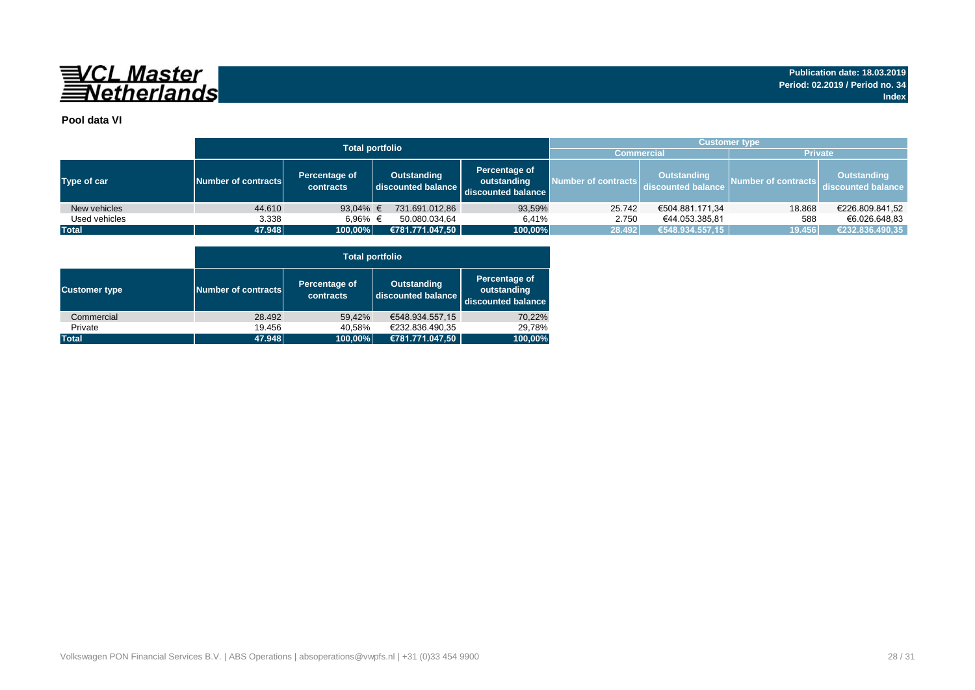

### **Pool data VI**

|               |                     | <b>Total portfolio</b>     | <b>Customer type</b>              |                                                    |                     |                                          |                     |                                          |  |  |  |  |
|---------------|---------------------|----------------------------|-----------------------------------|----------------------------------------------------|---------------------|------------------------------------------|---------------------|------------------------------------------|--|--|--|--|
|               |                     |                            |                                   |                                                    | <b>Commercial</b>   |                                          |                     | <b>Private</b>                           |  |  |  |  |
| Type of car   | Number of contracts | Percentage of<br>contracts | Outstanding<br>discounted balance | Percentage of<br>outstanding<br>discounted balance | Number of contracts | <b>Outstanding</b><br>discounted balance | Number of contracts | <b>Outstanding</b><br>discounted balance |  |  |  |  |
| New vehicles  | 44.610              | 93,04% $\in$               | 731.691.012,86                    | 93,59%                                             | 25.742              | €504.881.171,34                          | 18.868              | €226.809.841,52                          |  |  |  |  |
| Used vehicles | 3.338               | 6.96% €                    | 50.080.034.64                     | 6.41%                                              | 2.750               | €44.053.385.81                           | 588                 | €6.026.648.83                            |  |  |  |  |
| <b>Total</b>  | 47.948              | 100,00%                    | €781.771.047,50                   | 100,00%                                            | 28.492              | €548.934.557,15                          | 19.456              | €232.836.490,35                          |  |  |  |  |

|                      |                     |                            | <b>Total portfolio</b>                   |                                                    |
|----------------------|---------------------|----------------------------|------------------------------------------|----------------------------------------------------|
| <b>Customer type</b> | Number of contracts | Percentage of<br>contracts | <b>Outstanding</b><br>discounted balance | Percentage of<br>outstanding<br>discounted balance |
| Commercial           | 28.492              | 59.42%                     | €548.934.557,15                          | 70,22%                                             |
| Private              | 19.456              | 40,58%                     | €232.836.490.35                          | 29,78%                                             |
| <b>Total</b>         | 47.948              | 100,00%                    | €781.771.047,50                          | 100,00%                                            |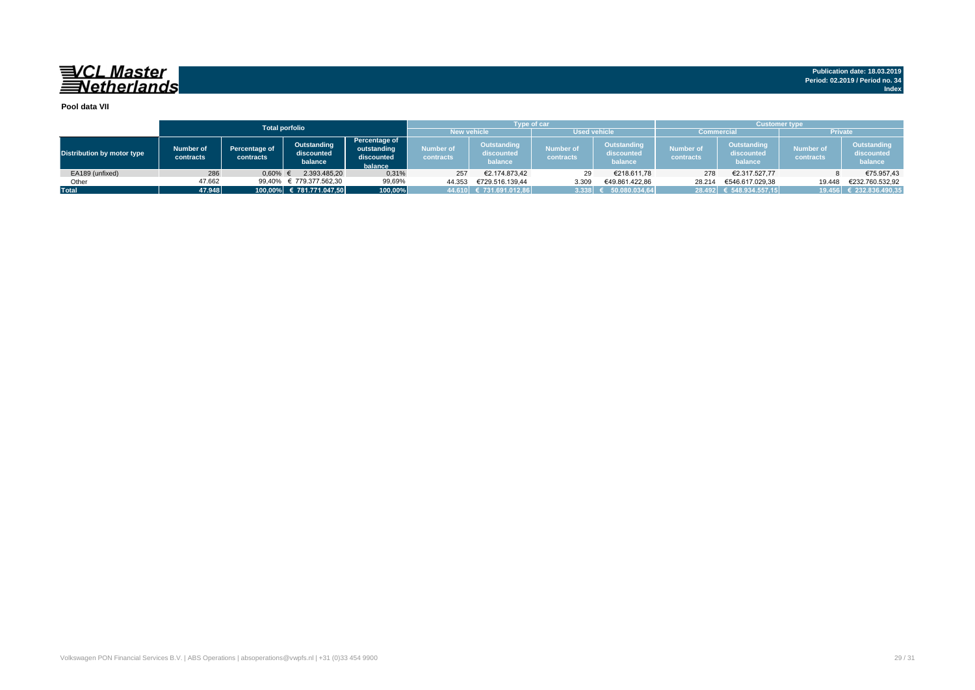#### **Pool data VII**

|                            |                        |                            | <b>Total porfolio</b>                |                                                       |                               | <b>Type of car</b>                          |                               |                                      | <b>Customer type</b>   |                                      |                               |                                      |  |  |  |  |
|----------------------------|------------------------|----------------------------|--------------------------------------|-------------------------------------------------------|-------------------------------|---------------------------------------------|-------------------------------|--------------------------------------|------------------------|--------------------------------------|-------------------------------|--------------------------------------|--|--|--|--|
|                            |                        |                            |                                      |                                                       |                               | <b>New vehicle</b>                          | <b>Used vehicle</b>           |                                      | <b>Commercial</b>      |                                      | <b>Private</b>                |                                      |  |  |  |  |
| Distribution by motor type | Number of<br>contracts | Percentage of<br>contracts | Outstanding<br>discounted<br>balance | Percentage of<br>outstanding<br>discounted<br>balance | Number of<br><b>contracts</b> | <b>Outstanding</b><br>discounted<br>balance | <b>Number of</b><br>contracts | Outstanding<br>discounted<br>balance | Number of<br>contracts | Outstanding<br>discounted<br>balance | <b>Number of</b><br>contracts | Outstanding<br>discounted<br>balance |  |  |  |  |
| EA189 (unfixed)            | 286                    | 0,60%                      | 2.393.485.20                         | 0,31%                                                 | 257                           | €2.174.873.42                               | 29                            | €218.611,78                          | 278                    | €2.317.527.77                        |                               | €75.957,43                           |  |  |  |  |
| Other                      | 47.662                 | 99.40%                     | € 779.377.562.30                     | 99,69%                                                | 44.353                        | €729.516.139.44                             | 3.309                         | €49.861.422.86                       | 28.214                 | €546.617.029.38                      | 19.448                        | €232.760.532,92                      |  |  |  |  |
| <b>Total</b>               | 47.948                 |                            | 100.00% € 781.771.047.50             |                                                       |                               | 44.610 € 731.691.012,86                     | 3.338                         | 50.080.034.64                        |                        | 28.492 € 548.934.557,15              |                               | 19.456 € 232.836.490,35              |  |  |  |  |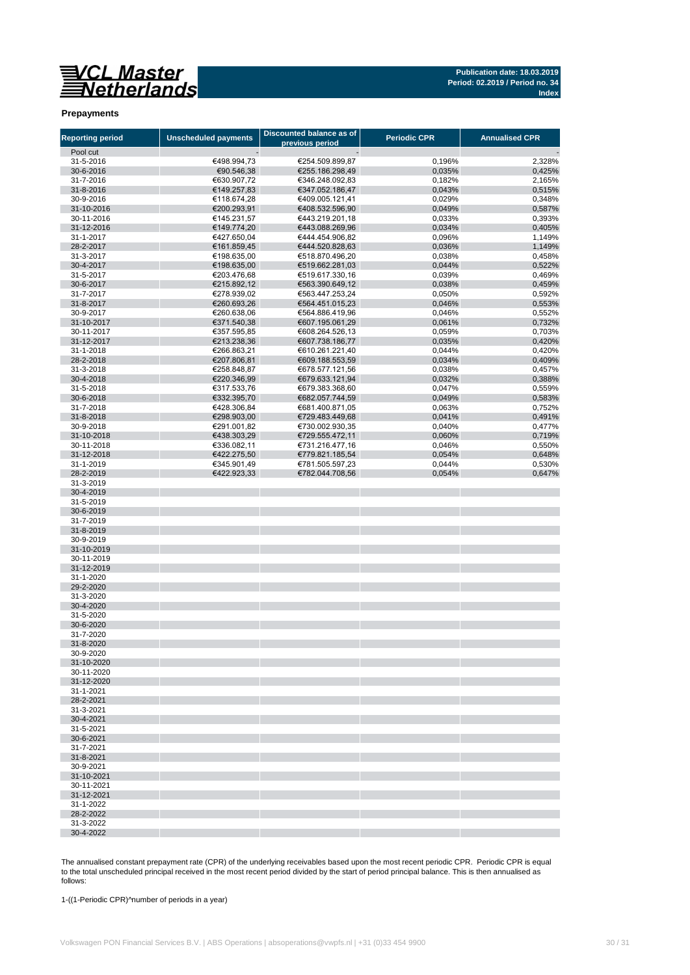**Publication date: 18.03.2019 Period: 02.2019 / Period no. 34 Index**

#### **Prepayments**

| <b>Reporting period</b> | <b>Unscheduled payments</b> | Discounted balance as of<br>previous period | <b>Periodic CPR</b> | <b>Annualised CPR</b> |
|-------------------------|-----------------------------|---------------------------------------------|---------------------|-----------------------|
| Pool cut                |                             |                                             |                     |                       |
| 31-5-2016               | €498.994,73                 | €254.509.899,87                             | 0,196%              | 2,328%                |
| 30-6-2016               | €90.546,38                  | €255.186.298,49                             | 0,035%              | 0,425%                |
| 31-7-2016               | €630.907,72                 | €346.248.092,83                             | 0,182%              | 2,165%                |
| 31-8-2016               | €149.257,83                 | €347.052.186,47                             | 0,043%              | 0,515%                |
| 30-9-2016               | €118.674,28                 | €409.005.121,41                             | 0,029%              | 0,348%                |
| 31-10-2016              | €200.293,91                 | €408.532.596,90                             | 0,049%              | 0,587%                |
| 30-11-2016              | €145.231,57                 | €443.219.201,18                             | 0,033%              | 0,393%                |
| 31-12-2016              | €149.774,20                 | €443.088.269,96                             | 0,034%              | 0,405%                |
| 31-1-2017               | €427.650,04                 | €444.454.906,82                             | 0,096%              | 1,149%                |
| 28-2-2017               | €161.859,45                 | €444.520.828,63                             | 0,036%              | 1,149%                |
| 31-3-2017               | €198.635,00                 | €518.870.496,20                             | 0,038%              | 0,458%                |
| 30-4-2017               | €198.635,00                 | €519.662.281,03                             | 0,044%              | 0,522%                |
| 31-5-2017<br>30-6-2017  | €203.476,68                 | €519.617.330,16<br>€563.390.649,12          | 0,039%              | 0,469%                |
| 31-7-2017               | €215.892,12<br>€278.939,02  | €563.447.253,24                             | 0,038%<br>0,050%    | 0,459%<br>0,592%      |
| 31-8-2017               | €260.693,26                 | €564.451.015,23                             | 0,046%              | 0,553%                |
| 30-9-2017               | €260.638,06                 | €564.886.419,96                             | 0,046%              | 0,552%                |
| 31-10-2017              | €371.540,38                 | €607.195.061,29                             | 0,061%              | 0,732%                |
| 30-11-2017              | €357.595,85                 | €608.264.526,13                             | 0,059%              | 0,703%                |
| 31-12-2017              | €213.238,36                 | €607.738.186,77                             | 0,035%              | 0,420%                |
| 31-1-2018               | €266.863,21                 | €610.261.221,40                             | 0,044%              | 0,420%                |
| 28-2-2018               | €207.806,81                 | €609.188.553,59                             | 0,034%              | 0,409%                |
| 31-3-2018               | €258.848,87                 | €678.577.121,56                             | 0,038%              | 0,457%                |
| 30-4-2018               | €220.346,99                 | €679.633.121,94                             | 0,032%              | 0,388%                |
| 31-5-2018               | €317.533,76                 | €679.383.368.60                             | 0,047%              | 0,559%                |
| 30-6-2018               | €332.395,70                 | €682.057.744,59                             | 0,049%              | 0,583%                |
| 31-7-2018               | €428.306,84                 | €681.400.871,05                             | 0,063%              | 0,752%                |
| 31-8-2018               | €298.903,00                 | €729.483.449,68                             | 0,041%              | 0,491%                |
| 30-9-2018               | €291.001,82                 | €730.002.930,35                             | 0,040%              | 0,477%                |
| 31-10-2018              | €438.303,29                 | €729.555.472.11                             | 0,060%              | 0,719%                |
| 30-11-2018              | €336.082,11                 | €731.216.477,16                             | 0,046%              | 0,550%                |
| 31-12-2018              | €422.275,50                 | €779.821.185,54                             | 0,054%              | 0,648%                |
| 31-1-2019               | €345.901,49                 | €781.505.597,23                             | 0,044%              | 0,530%                |
| 28-2-2019               | €422.923,33                 | €782.044.708,56                             | 0,054%              | 0,647%                |
| 31-3-2019<br>30-4-2019  |                             |                                             |                     |                       |
| 31-5-2019               |                             |                                             |                     |                       |
| 30-6-2019               |                             |                                             |                     |                       |
| 31-7-2019               |                             |                                             |                     |                       |
| 31-8-2019               |                             |                                             |                     |                       |
| 30-9-2019               |                             |                                             |                     |                       |
| 31-10-2019              |                             |                                             |                     |                       |
| 30-11-2019              |                             |                                             |                     |                       |
| 31-12-2019              |                             |                                             |                     |                       |
| 31-1-2020               |                             |                                             |                     |                       |
| 29-2-2020               |                             |                                             |                     |                       |
| 31-3-2020               |                             |                                             |                     |                       |
| 30-4-2020               |                             |                                             |                     |                       |
| 31-5-2020               |                             |                                             |                     |                       |
| 30-6-2020               |                             |                                             |                     |                       |
| 31-7-2020               |                             |                                             |                     |                       |
| 31-8-2020<br>30-9-2020  |                             |                                             |                     |                       |
| 31-10-2020              |                             |                                             |                     |                       |
| 30-11-2020              |                             |                                             |                     |                       |
| 31-12-2020              |                             |                                             |                     |                       |
| 31-1-2021               |                             |                                             |                     |                       |
| 28-2-2021               |                             |                                             |                     |                       |
| 31-3-2021               |                             |                                             |                     |                       |
| 30-4-2021               |                             |                                             |                     |                       |
| 31-5-2021               |                             |                                             |                     |                       |
| 30-6-2021               |                             |                                             |                     |                       |
| 31-7-2021               |                             |                                             |                     |                       |
| 31-8-2021               |                             |                                             |                     |                       |
| 30-9-2021               |                             |                                             |                     |                       |
| 31-10-2021              |                             |                                             |                     |                       |
| 30-11-2021              |                             |                                             |                     |                       |
| 31-12-2021              |                             |                                             |                     |                       |
| 31-1-2022<br>28-2-2022  |                             |                                             |                     |                       |
| 31-3-2022               |                             |                                             |                     |                       |
| 30-4-2022               |                             |                                             |                     |                       |

The annualised constant prepayment rate (CPR) of the underlying receivables based upon the most recent periodic CPR. Periodic CPR is equal to the total unscheduled principal received in the most recent period divided by the start of period principal balance. This is then annualised as follows:

1-((1-Periodic CPR)^number of periods in a year)